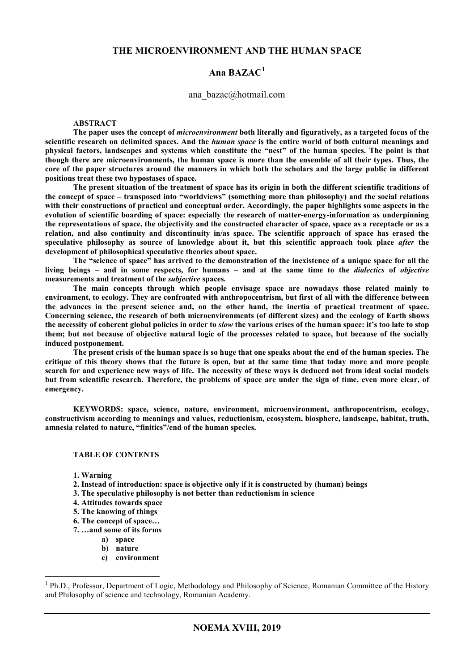#### **THE MICROENVIRONMENT AND THE HUMAN SPACE**

### **Ana BAZAC<sup>1</sup>**

#### ana\_bazac@hotmail.com

#### **ABSTRACT**

**The paper uses the concept of** *microenvironment* **both literally and figuratively, as a targeted focus of the scientific research on delimited spaces. And the** *human space* **is the entire world of both cultural meanings and physical factors, landscapes and systems which constitute the "nest" of the human species. The point is that though there are microenvironments, the human space is more than the ensemble of all their types. Thus, the core of the paper structures around the manners in which both the scholars and the large public in different positions treat these two hypostases of space.** 

**The present situation of the treatment of space has its origin in both the different scientific traditions of the concept of space – transposed into "worldviews" (something more than philosophy) and the social relations with their constructions of practical and conceptual order. Accordingly, the paper highlights some aspects in the evolution of scientific boarding of space: especially the research of matter-energy-information as underpinning the representations of space, the objectivity and the constructed character of space, space as a receptacle or as a relation, and also continuity and discontinuity in/as space. The scientific approach of space has erased the speculative philosophy as source of knowledge about it, but this scientific approach took place** *after* **the development of philosophical speculative theories about space.** 

**The "science of space" has arrived to the demonstration of the inexistence of a unique space for all the living beings – and in some respects, for humans – and at the same time to the** *dialectics* **of** *objective*  **measurements and treatment of the** *subjective* **spaces.** 

**The main concepts through which people envisage space are nowadays those related mainly to environment, to ecology. They are confronted with anthropocentrism, but first of all with the difference between the advances in the present science and, on the other hand, the inertia of practical treatment of space. Concerning science, the research of both microenvironments (of different sizes) and the ecology of Earth shows the necessity of coherent global policies in order to** *slow* **the various crises of the human space: it's too late to stop them; but not because of objective natural logic of the processes related to space, but because of the socially induced postponement.** 

**The present crisis of the human space is so huge that one speaks about the end of the human species. The critique of this theory shows that the future is open, but at the same time that today more and more people search for and experience new ways of life. The necessity of these ways is deduced not from ideal social models but from scientific research. Therefore, the problems of space are under the sign of time, even more clear, of emergency.** 

**KEYWORDS: space, science, nature, environment, microenvironment, anthropocentrism, ecology, constructivism according to meanings and values, reductionism, ecosystem, biosphere, landscape, habitat, truth, amnesia related to nature, "finitics"/end of the human species.** 

#### **TABLE OF CONTENTS**

**1. Warning** 

- **2. Instead of introduction: space is objective only if it is constructed by (human) beings**
- **3. The speculative philosophy is not better than reductionism in science**
- **4. Attitudes towards space**
- **5. The knowing of things**
- **6. The concept of space…**
- **7. …and some of its forms** 
	- **a) space**
	- **b) nature**
	- **c) environment**

<sup>&</sup>lt;sup>1</sup> Ph.D., Professor, Department of Logic, Methodology and Philosophy of Science, Romanian Committee of the History and Philosophy of science and technology, Romanian Academy.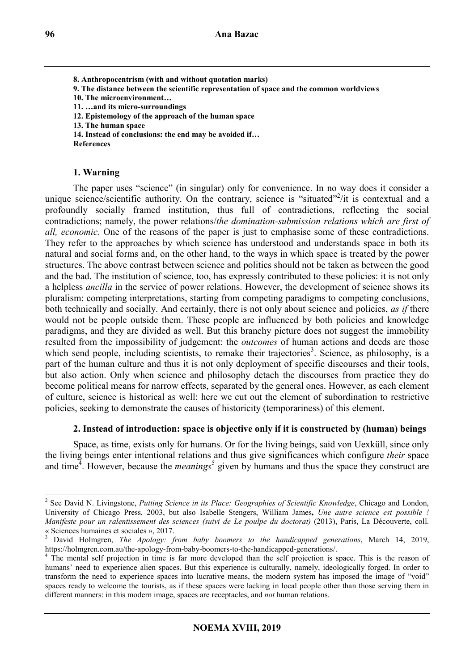**8. Anthropocentrism (with and without quotation marks) 9. The distance between the scientific representation of space and the common worldviews 10. The microenvironment… 11. …and its micro-surroundings 12. Epistemology of the approach of the human space 13. The human space 14. Instead of conclusions: the end may be avoided if… References** 

**1. Warning** 

The paper uses "science" (in singular) only for convenience. In no way does it consider a unique science/scientific authority. On the contrary, science is "situated"<sup>2</sup>/it is contextual and a profoundly socially framed institution, thus full of contradictions, reflecting the social contradictions; namely, the power relations/*the domination-submission relations which are first of all, economic*. One of the reasons of the paper is just to emphasise some of these contradictions. They refer to the approaches by which science has understood and understands space in both its natural and social forms and, on the other hand, to the ways in which space is treated by the power structures. The above contrast between science and politics should not be taken as between the good and the bad. The institution of science, too, has expressly contributed to these policies: it is not only a helpless *ancilla* in the service of power relations. However, the development of science shows its pluralism: competing interpretations, starting from competing paradigms to competing conclusions, both technically and socially. And certainly, there is not only about science and policies, *as if* there would not be people outside them. These people are influenced by both policies and knowledge paradigms, and they are divided as well. But this branchy picture does not suggest the immobility resulted from the impossibility of judgement: the *outcomes* of human actions and deeds are those which send people, including scientists, to remake their trajectories<sup>3</sup>. Science, as philosophy, is a part of the human culture and thus it is not only deployment of specific discourses and their tools, but also action. Only when science and philosophy detach the discourses from practice they do become political means for narrow effects, separated by the general ones. However, as each element of culture, science is historical as well: here we cut out the element of subordination to restrictive policies, seeking to demonstrate the causes of historicity (temporariness) of this element.

# **2. Instead of introduction: space is objective only if it is constructed by (human) beings**

Space, as time, exists only for humans. Or for the living beings, said von Uexküll, since only the living beings enter intentional relations and thus give significances which configure *their* space and time<sup>4</sup>. However, because the *meanings*<sup>5</sup> given by humans and thus the space they construct are

 2 See David N. Livingstone, *Putting Science in its Place: Geographies of Scientific Knowledge*, Chicago and London, University of Chicago Press, 2003, but also Isabelle Stengers, William James**,** *Une autre science est possible ! Manifeste pour un ralentissement des sciences (suivi de Le poulpe du doctorat)* (2013), Paris, La Découverte, coll. « Sciences humaines et sociales », 2017.

<sup>3</sup> David Holmgren, *The Apology: from baby boomers to the handicapped generations*, March 14, 2019, https://holmgren.com.au/the-apology-from-baby-boomers-to-the-handicapped-generations/.

<sup>&</sup>lt;sup>4</sup> The mental self projection in time is far more developed than the self projection is space. This is the reason of humans' need to experience alien spaces. But this experience is culturally, namely, ideologically forged. In order to transform the need to experience spaces into lucrative means, the modern system has imposed the image of "void" spaces ready to welcome the tourists, as if these spaces were lacking in local people other than those serving them in different manners: in this modern image, spaces are receptacles, and *not* human relations.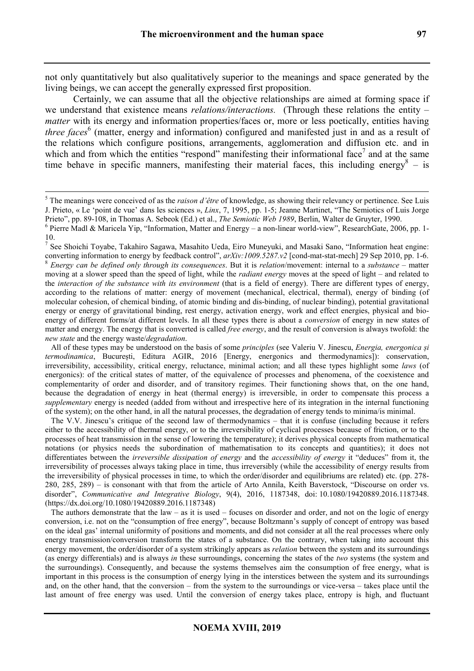not only quantitatively but also qualitatively superior to the meanings and space generated by the living beings, we can accept the generally expressed first proposition.

Certainly, we can assume that all the objective relationships are aimed at forming space if we understand that existence means *relations/interactions.* (Through these relations the entity – *matter* with its energy and information properties/faces or, more or less poetically, entities having three faces<sup>6</sup> (matter, energy and information) configured and manifested just in and as a result of the relations which configure positions, arrangements, agglomeration and diffusion etc. and in which and from which the entities "respond" manifesting their informational face<sup>7</sup> and at the same time behave in specific manners, manifesting their material faces, this including energy  $8 - is$ 

 $\overline{a}$ 

 All of these types may be understood on the basis of some *principles* (see Valeriu V. Jinescu, *Energia, energonica și termodinamica*, București, Editura AGIR, 2016 [Energy, energonics and thermodynamics]): conservation, irreversibility, accessibility, critical energy, reluctance, minimal action; and all these types highlight some *laws* (of energonics): of the critical states of matter, of the equivalence of processes and phenomena, of the coexistence and complementarity of order and disorder, and of transitory regimes. Their functioning shows that, on the one hand, because the degradation of energy in heat (thermal energy) is irreversible, in order to compensate this process a *supplementary* energy is needed (added from without and irrespective here of its integration in the internal functioning of the system); on the other hand, in all the natural processes, the degradation of energy tends to minima/is minimal.

 The V.V. Jinescu's critique of the second law of thermodynamics – that it is confuse (including because it refers either to the accessibility of thermal energy, or to the irreversibility of cyclical processes because of friction, or to the processes of heat transmission in the sense of lowering the temperature); it derives physical concepts from mathematical notations (or physics needs the subordination of mathematisation to its concepts and quantities); it does not differentiates between the *irreversible dissipation of energy* and the *accessibility of energy* it "deduces" from it, the irreversibility of processes always taking place in time, thus irreversibly (while the accessibility of energy results from the irreversibility of physical processes in time, to which the order/disorder and equilibriums are related) etc. (pp. 278- 280, 285, 289) – is consonant with that from the article of Arto Annila, Keith Baverstock, "Discourse on order vs. disorder", *Communicative and Integrative Biology*, 9(4), 2016, 1187348, doi: 10.1080/19420889.2016.1187348. (https://dx.doi.org/10.1080/19420889.2016.1187348)

The authors demonstrate that the law – as it is used – focuses on disorder and order, and not on the logic of energy conversion, i.e. not on the "consumption of free energy", because Boltzmann's supply of concept of entropy was based on the ideal gas' internal uniformity of positions and moments, and did not consider at all the real processes where only energy transmission/conversion transform the states of a substance. On the contrary, when taking into account this energy movement, the order/disorder of a system strikingly appears as *relation* between the system and its surroundings (as energy differentials) and is always *in* these surroundings, concerning the states of the *two* systems (the system and the surroundings). Consequently, and because the systems themselves aim the consumption of free energy, what is important in this process is the consumption of energy lying in the interstices between the system and its surroundings and, on the other hand, that the conversion – from the system to the surroundings or vice-versa – takes place until the last amount of free energy was used. Until the conversion of energy takes place, entropy is high, and fluctuant

<sup>5</sup> The meanings were conceived of as the *raison d'être* of knowledge, as showing their relevancy or pertinence. See Luis J. Prieto, « Le 'point de vue' dans les sciences », *Linx*, 7, 1995, pp. 1-5; Jeanne Martinet, "The Semiotics of Luis Jorge Prieto", pp. 89-108, in Thomas A. Sebeok (Ed.) et al., *The Semiotic Web 1989*, Berlin, Walter de Gruyter, 1990.

<sup>&</sup>lt;sup>6</sup> Pierre Madl & Maricela Yip, "Information, Matter and Energy – a non-linear world-view", ResearchGate, 2006, pp. 1-

<sup>10.&</sup>lt;br><sup>7</sup> See Shoichi Toyabe, Takahiro Sagawa, Masahito Ueda, Eiro Muneyuki, and Masaki Sano, "Information heat engine: converting information to energy by feedback control",  $a$ rXiv:1009.5287.v2 [cond-mat-stat-mech] 29 Sep 2010, pp. 1-6. <sup>8</sup> *Energy can be defined only through its consequences*. But it is *relation*/movement: internal to a *substance* – matter moving at a slower speed than the speed of light, while the *radiant energy* moves at the speed of light – and related to the *interaction of the substance with its environment* (that is a field of energy). There are different types of energy, according to the relations of matter: energy of movement (mechanical, electrical, thermal), energy of binding (of molecular cohesion, of chemical binding, of atomic binding and dis-binding, of nuclear binding), potential gravitational energy or energy of gravitational binding, rest energy, activation energy, work and effect energies, physical and bioenergy of different forms/at different levels. In all these types there is about a *conversion* of energy in new states of matter and energy. The energy that is converted is called *free energy*, and the result of conversion is always twofold: the *new state* and the energy waste/*degradation*.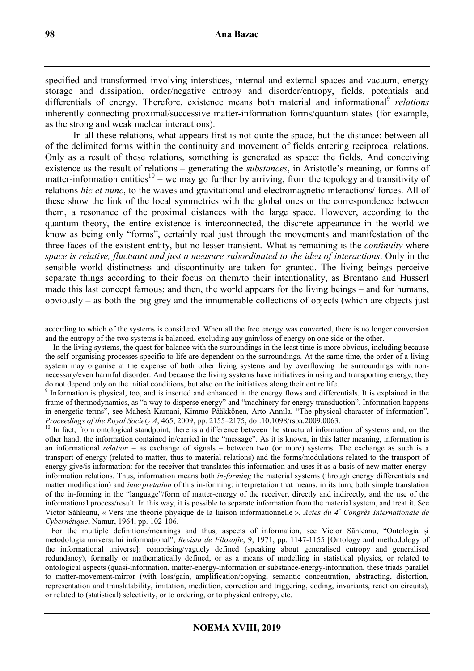specified and transformed involving interstices, internal and external spaces and vacuum, energy storage and dissipation, order/negative entropy and disorder/entropy, fields, potentials and differentials of energy. Therefore, existence means both material and informational<sup>9</sup> relations inherently connecting proximal/successive matter-information forms/quantum states (for example, as the strong and weak nuclear interactions).

In all these relations, what appears first is not quite the space, but the distance: between all of the delimited forms within the continuity and movement of fields entering reciprocal relations. Only as a result of these relations, something is generated as space: the fields. And conceiving existence as the result of relations – generating the *substances*, in Aristotle's meaning, or forms of matter-information entities<sup>10</sup> – we may go further by arriving, from the topology and transitivity of relations *hic et nunc*, to the waves and gravitational and electromagnetic interactions/ forces. All of these show the link of the local symmetries with the global ones or the correspondence between them, a resonance of the proximal distances with the large space. However, according to the quantum theory, the entire existence is interconnected, the discrete appearance in the world we know as being only "forms", certainly real just through the movements and manifestation of the three faces of the existent entity, but no lesser transient. What is remaining is the *continuity* where *space is relative, fluctuant and just a measure subordinated to the idea of interactions*. Only in the sensible world distinctness and discontinuity are taken for granted. The living beings perceive separate things according to their focus on them/to their intentionality, as Brentano and Husserl made this last concept famous; and then, the world appears for the living beings – and for humans, obviously – as both the big grey and the innumerable collections of objects (which are objects just

 $\overline{a}$ according to which of the systems is considered. When all the free energy was converted, there is no longer conversion and the entropy of the two systems is balanced, excluding any gain/loss of energy on one side or the other.

 In the living systems, the quest for balance with the surroundings in the least time is more obvious, including because the self-organising processes specific to life are dependent on the surroundings. At the same time, the order of a living system may organise at the expense of both other living systems and by overflowing the surroundings with nonnecessary/even harmful disorder. And because the living systems have initiatives in using and transporting energy, they do not depend only on the initial conditions, but also on the initiatives along their entire life.

<sup>9</sup> Information is physical, too, and is inserted and enhanced in the energy flows and differentials. It is explained in the frame of thermodynamics, as "a way to disperse energy" and "machinery for energy transduction". Information happens in energetic terms", see Mahesh Karnani, Kimmo Pääkkönen, Arto Annila, "The physical character of information", *Proceedings of the Royal Society A*, 465, 2009, pp. 2155–2175, doi:10.1098/rspa.2009.0063.

<sup>10</sup> In fact, from ontological standpoint, there is a difference between the structural information of systems and, on the other hand, the information contained in/carried in the "message". As it is known, in this latter meaning, information is an informational *relation* – as exchange of signals – between two (or more) systems. The exchange as such is a transport of energy (related to matter, thus to material relations) and the forms/modulations related to the transport of energy give/is information: for the receiver that translates this information and uses it as a basis of new matter-energyinformation relations. Thus, information means both *in-forming* the material systems (through energy differentials and matter modification) and *interpretation* of this in-forming: interpretation that means, in its turn, both simple translation of the in-forming in the "language"/form of matter-energy of the receiver, directly and indirectly, and the use of the informational process/result. In this way, it is possible to separate information from the material system, and treat it. See Victor Săhleanu, « Vers une théorie physique de la liaison informationnelle », *Actes du 4<sup>e</sup> Congrès Internationale de Cybernétique*, Namur, 1964, pp. 102-106.

 For the multiple definitions/meanings and thus, aspects of information, see Victor Săhleanu, "Ontologia și metodologia universului informațional", *Revista de Filozofie*, 9, 1971, pp. 1147-1155 [Ontology and methodology of the informational universe]: comprising/vaguely defined (speaking about generalised entropy and generalised redundancy), formally or mathematically defined, or as a means of modelling in statistical physics, or related to ontological aspects (quasi-information, matter-energy-information or substance-energy-information, these triads parallel to matter-movement-mirror (with loss/gain, amplification/copying, semantic concentration, abstracting, distortion, representation and translatability, imitation, mediation, correction and triggering, coding, invariants, reaction circuits), or related to (statistical) selectivity, or to ordering, or to physical entropy, etc.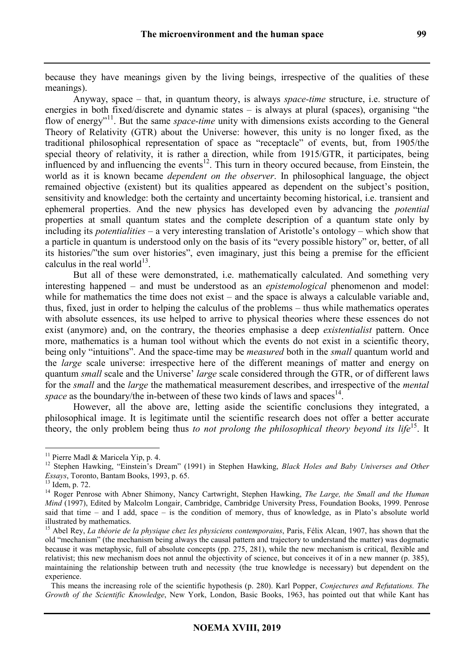because they have meanings given by the living beings, irrespective of the qualities of these meanings).

Anyway, space – that, in quantum theory, is always *space-time* structure, i.e. structure of energies in both fixed/discrete and dynamic states – is always at plural (spaces), organising "the flow of energy<sup>"11</sup>. But the same *space-time* unity with dimensions exists according to the General Theory of Relativity (GTR) about the Universe: however, this unity is no longer fixed, as the traditional philosophical representation of space as "receptacle" of events, but, from 1905/the special theory of relativity, it is rather a direction, while from 1915/GTR, it participates, being influenced by and influencing the events<sup>12</sup>. This turn in theory occured because, from Einstein, the world as it is known became *dependent on the observer*. In philosophical language, the object remained objective (existent) but its qualities appeared as dependent on the subject's position, sensitivity and knowledge: both the certainty and uncertainty becoming historical, i.e. transient and ephemeral properties. And the new physics has developed even by advancing the *potential* properties at small quantum states and the complete description of a quantum state only by including its *potentialities* – a very interesting translation of Aristotle's ontology – which show that a particle in quantum is understood only on the basis of its "every possible history" or, better, of all its histories/"the sum over histories", even imaginary, just this being a premise for the efficient calculus in the real world $^{13}$ .

But all of these were demonstrated, i.e. mathematically calculated. And something very interesting happened – and must be understood as an *epistemological* phenomenon and model: while for mathematics the time does not exist – and the space is always a calculable variable and, thus, fixed, just in order to helping the calculus of the problems – thus while mathematics operates with absolute essences, its use helped to arrive to physical theories where these essences do not exist (anymore) and, on the contrary, the theories emphasise a deep *existentialist* pattern. Once more, mathematics is a human tool without which the events do not exist in a scientific theory, being only "intuitions". And the space-time may be *measured* both in the *small* quantum world and the *large* scale universe: irrespective here of the different meanings of matter and energy on quantum *small* scale and the Universe' *large* scale considered through the GTR, or of different laws for the *small* and the *large* the mathematical measurement describes, and irrespective of the *mental*  space as the boundary/the in-between of these two kinds of laws and spaces<sup>14</sup>.

However, all the above are, letting aside the scientific conclusions they integrated, a philosophical image. It is legitimate until the scientific research does not offer a better accurate theory, the only problem being thus *to not prolong the philosophical theory beyond its life*<sup>15</sup>. It

<sup>&</sup>lt;sup>11</sup> Pierre Madl & Maricela Yip, p. 4.

<sup>&</sup>lt;sup>12</sup> Stephen Hawking, "Einstein's Dream" (1991) in Stephen Hawking, *Black Holes and Baby Universes and Other Essays*, Toronto, Bantam Books, 1993, p. 65.

<sup>13</sup> Idem, p. 72.

<sup>14</sup> Roger Penrose with Abner Shimony, Nancy Cartwright, Stephen Hawking, *The Large, the Small and the Human Mind* (1997), Edited by Malcolm Longair, Cambridge, Cambridge University Press, Foundation Books, 1999. Penrose said that time – and I add, space – is the condition of memory, thus of knowledge, as in Plato's absolute world illustrated by mathematics.

<sup>&</sup>lt;sup>15</sup> Abel Rey, *La théorie de la physique chez les physiciens contemporains*, Paris, Félix Alcan, 1907, has shown that the old "mechanism" (the mechanism being always the causal pattern and trajectory to understand the matter) was dogmatic because it was metaphysic, full of absolute concepts (pp. 275, 281), while the new mechanism is critical, flexible and relativist; this new mechanism does not annul the objectivity of science, but conceives it of in a new manner (p. 385), maintaining the relationship between truth and necessity (the true knowledge is necessary) but dependent on the experience.

This means the increasing role of the scientific hypothesis (p. 280). Karl Popper, *Conjectures and Refutations. The Growth of the Scientific Knowledge*, New York, London, Basic Books, 1963, has pointed out that while Kant has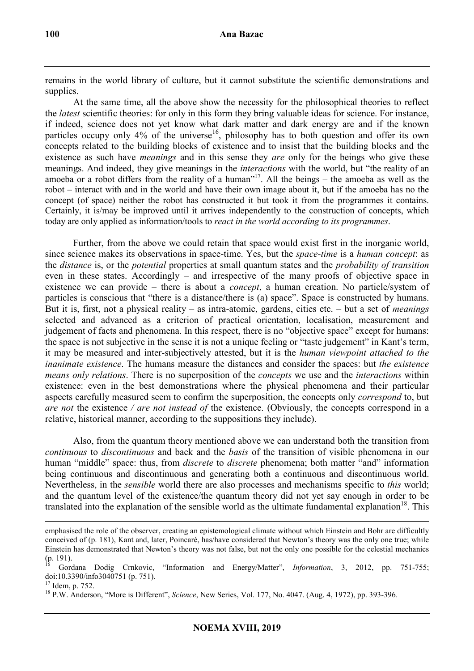remains in the world library of culture, but it cannot substitute the scientific demonstrations and supplies.

At the same time, all the above show the necessity for the philosophical theories to reflect the *latest* scientific theories: for only in this form they bring valuable ideas for science. For instance, if indeed, science does not yet know what dark matter and dark energy are and if the known particles occupy only  $4\%$  of the universe<sup>16</sup>, philosophy has to both question and offer its own concepts related to the building blocks of existence and to insist that the building blocks and the existence as such have *meanings* and in this sense they *are* only for the beings who give these meanings. And indeed, they give meanings in the *interactions* with the world, but "the reality of an amoeba or a robot differs from the reality of a human"<sup>17</sup>. All the beings – the amoeba as well as the robot – interact with and in the world and have their own image about it, but if the amoeba has no the concept (of space) neither the robot has constructed it but took it from the programmes it contains. Certainly, it is/may be improved until it arrives independently to the construction of concepts, which today are only applied as information/tools to *react in the world according to its programmes*.

Further, from the above we could retain that space would exist first in the inorganic world, since science makes its observations in space-time. Yes, but the *space-time* is a *human concept*: as the *distance* is, or the *potential* properties at small quantum states and the *probability of transition* even in these states. Accordingly – and irrespective of the many proofs of objective space in existence we can provide – there is about a *concept*, a human creation. No particle/system of particles is conscious that "there is a distance/there is (a) space". Space is constructed by humans. But it is, first, not a physical reality – as intra-atomic, gardens, cities etc. – but a set of *meanings*  selected and advanced as a criterion of practical orientation, localisation, measurement and judgement of facts and phenomena. In this respect, there is no "objective space" except for humans: the space is not subjective in the sense it is not a unique feeling or "taste judgement" in Kant's term, it may be measured and inter-subjectively attested, but it is the *human viewpoint attached to the inanimate existence*. The humans measure the distances and consider the spaces: but *the existence means only relations*. There is no superposition of the *concepts* we use and the *interactions* within existence: even in the best demonstrations where the physical phenomena and their particular aspects carefully measured seem to confirm the superposition, the concepts only *correspond* to, but *are not* the existence */ are not instead of* the existence. (Obviously, the concepts correspond in a relative, historical manner, according to the suppositions they include).

Also, from the quantum theory mentioned above we can understand both the transition from *continuous* to *discontinuous* and back and the *basis* of the transition of visible phenomena in our human "middle" space: thus, from *discrete* to *discrete* phenomena; both matter "and" information being continuous and discontinuous and generating both a continuous and discontinuous world. Nevertheless, in the *sensible* world there are also processes and mechanisms specific to *this* world; and the quantum level of the existence/the quantum theory did not yet say enough in order to be translated into the explanation of the sensible world as the ultimate fundamental explanation<sup>18</sup>. This

 $\overline{a}$ emphasised the role of the observer, creating an epistemological climate without which Einstein and Bohr are difficultly conceived of (p. 181), Kant and, later, Poincaré, has/have considered that Newton's theory was the only one true; while Einstein has demonstrated that Newton's theory was not false, but not the only one possible for the celestial mechanics  $(p. 191).$ 

<sup>16</sup> Gordana Dodig Crnkovic, "Information and Energy/Matter", *Information*, 3, 2012, pp. 751-755; doi:10.3390/info3040751 (p. 751).

 $17$  Idem, p. 752.

<sup>18</sup> P.W. Anderson, "More is Different", *Science*, New Series, Vol. 177, No. 4047. (Aug. 4, 1972), pp. 393-396.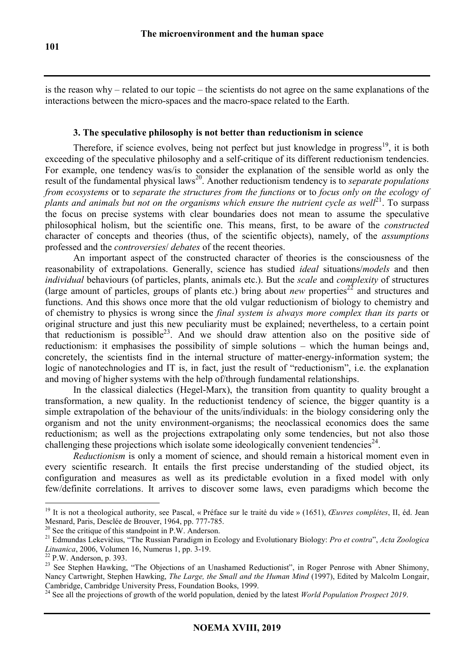is the reason why – related to our topic – the scientists do not agree on the same explanations of the interactions between the micro-spaces and the macro-space related to the Earth.

### **3. The speculative philosophy is not better than reductionism in science**

Therefore, if science evolves, being not perfect but just knowledge in progress<sup>19</sup>, it is both exceeding of the speculative philosophy and a self-critique of its different reductionism tendencies. For example, one tendency was/is to consider the explanation of the sensible world as only the result of the fundamental physical laws<sup>20</sup>. Another reductionism tendency is to *separate populations from ecosystems* or to *separate the structures from the functions* or to *focus only on the ecology of plants and animals but not on the organisms which ensure the nutrient cycle as well*<sup>21</sup>. To surpass the focus on precise systems with clear boundaries does not mean to assume the speculative philosophical holism, but the scientific one. This means, first, to be aware of the *constructed* character of concepts and theories (thus, of the scientific objects), namely, of the *assumptions* professed and the *controversies*/ *debates* of the recent theories.

An important aspect of the constructed character of theories is the consciousness of the reasonability of extrapolations. Generally, science has studied *ideal* situations/*models* and then *individual* behaviours (of particles, plants, animals etc.). But the *scale* and *complexity* of structures (large amount of particles, groups of plants etc.) bring about *new* properties<sup>22</sup> and structures and functions. And this shows once more that the old vulgar reductionism of biology to chemistry and of chemistry to physics is wrong since the *final system is always more complex than its parts* or original structure and just this new peculiarity must be explained; nevertheless, to a certain point that reductionism is possible<sup>23</sup>. And we should draw attention also on the positive side of reductionism: it emphasises the possibility of simple solutions – which the human beings and, concretely, the scientists find in the internal structure of matter-energy-information system; the logic of nanotechnologies and IT is, in fact, just the result of "reductionism", i.e. the explanation and moving of higher systems with the help of/through fundamental relationships.

In the classical dialectics (Hegel-Marx), the transition from quantity to quality brought a transformation, a new quality. In the reductionist tendency of science, the bigger quantity is a simple extrapolation of the behaviour of the units/individuals: in the biology considering only the organism and not the unity environment-organisms; the neoclassical economics does the same reductionism; as well as the projections extrapolating only some tendencies, but not also those challenging these projections which isolate some ideologically convenient tendencies<sup>24</sup>.

*Reductionism* is only a moment of science, and should remain a historical moment even in every scientific research. It entails the first precise understanding of the studied object, its configuration and measures as well as its predictable evolution in a fixed model with only few/definite correlations. It arrives to discover some laws, even paradigms which become the

<sup>19</sup> It is not a theological authority, see Pascal, « Préface sur le traité du vide » (1651), *Œuvres complétes*, II, éd. Jean Mesnard, Paris, Desclée de Brouver, 1964, pp. 777-785.

 $20$  See the critique of this standpoint in P.W. Anderson.

<sup>21</sup> Edmundas Lekevičius, "The Russian Paradigm in Ecology and Evolutionary Biology: *Pro et contra*", *Acta Zoologica Lituanica*, 2006, Volumen 16, Numerus 1, pp. 3-19.

 $22$  P.W. Anderson, p. 393.

<sup>&</sup>lt;sup>23</sup> See Stephen Hawking, "The Objections of an Unashamed Reductionist", in Roger Penrose with Abner Shimony, Nancy Cartwright, Stephen Hawking, *The Large, the Small and the Human Mind* (1997), Edited by Malcolm Longair, Cambridge, Cambridge University Press, Foundation Books, 1999.

<sup>&</sup>lt;sup>24</sup> See all the projections of growth of the world population, denied by the latest *World Population Prospect 2019*.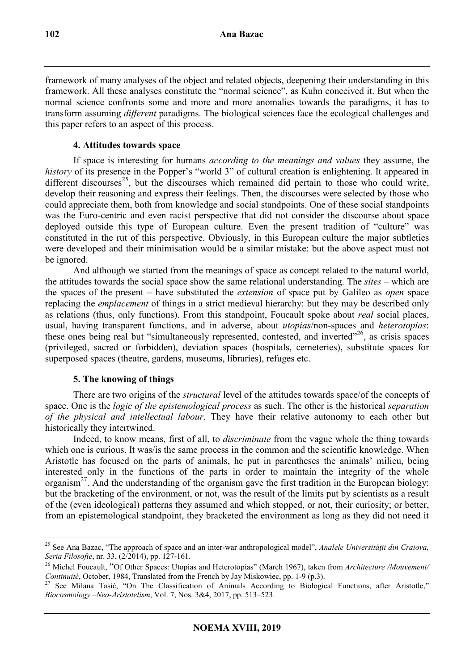framework of many analyses of the object and related objects, deepening their understanding in this framework. All these analyses constitute the "normal science", as Kuhn conceived it. But when the normal science confronts some and more and more anomalies towards the paradigms, it has to transform assuming *different* paradigms. The biological sciences face the ecological challenges and this paper refers to an aspect of this process.

# **4. Attitudes towards space**

If space is interesting for humans *according to the meanings and values* they assume, the *history* of its presence in the Popper's "world 3" of cultural creation is enlightening. It appeared in different discourses<sup>25</sup>, but the discourses which remained did pertain to those who could write, develop their reasoning and express their feelings. Then, the discourses were selected by those who could appreciate them, both from knowledge and social standpoints. One of these social standpoints was the Euro-centric and even racist perspective that did not consider the discourse about space deployed outside this type of European culture. Even the present tradition of "culture" was constituted in the rut of this perspective. Obviously, in this European culture the major subtleties were developed and their minimisation would be a similar mistake: but the above aspect must not be ignored.

And although we started from the meanings of space as concept related to the natural world, the attitudes towards the social space show the same relational understanding. The *sites* – which are the spaces of the present – have substituted the *extension* of space put by Galileo as *open* space replacing the *emplacement* of things in a strict medieval hierarchy: but they may be described only as relations (thus, only functions). From this standpoint, Foucault spoke about *real* social places, usual, having transparent functions, and in adverse, about *utopias*/non-spaces and *heterotopias*: these ones being real but "simultaneously represented, contested, and inverted"<sup>26</sup>, as crisis spaces (privileged, sacred or forbidden), deviation spaces (hospitals, cemeteries), substitute spaces for superposed spaces (theatre, gardens, museums, libraries), refuges etc.

# **5. The knowing of things**

There are two origins of the *structural* level of the attitudes towards space/of the concepts of space. One is the *logic of the epistemological process* as such. The other is the historical *separation of the physical and intellectual labour*. They have their relative autonomy to each other but historically they intertwined.

Indeed, to know means, first of all, to *discriminate* from the vague whole the thing towards which one is curious. It was/is the same process in the common and the scientific knowledge. When Aristotle has focused on the parts of animals, he put in parentheses the animals' milieu, being interested only in the functions of the parts in order to maintain the integrity of the whole organism<sup>27</sup>. And the understanding of the organism gave the first tradition in the European biology: but the bracketing of the environment, or not, was the result of the limits put by scientists as a result of the (even ideological) patterns they assumed and which stopped, or not, their curiosity; or better, from an epistemological standpoint, they bracketed the environment as long as they did not need it

 $\overline{a}$ <sup>25</sup> See Ana Bazac, "The approach of space and an inter-war anthropological model", *Analele Universităţii din Craiova, Seria Filosofie*, nr. 33, (2/2014), pp. 127-161.

<sup>26</sup> Michel Foucault, "Of Other Spaces: Utopias and Heterotopias" (March 1967), taken from *Architecture /Mouvement/ Continuité*, October, 1984, Translated from the French by Jay Miskowiec, pp. 1-9 (p.3).

<sup>&</sup>lt;sup>27</sup> See Milana Tasić, "On The Classification of Animals According to Biological Functions, after Aristotle," *Biocosmology –Neo-Aristotelism*, Vol. 7, Nos. 3&4, 2017, pp. 513–523.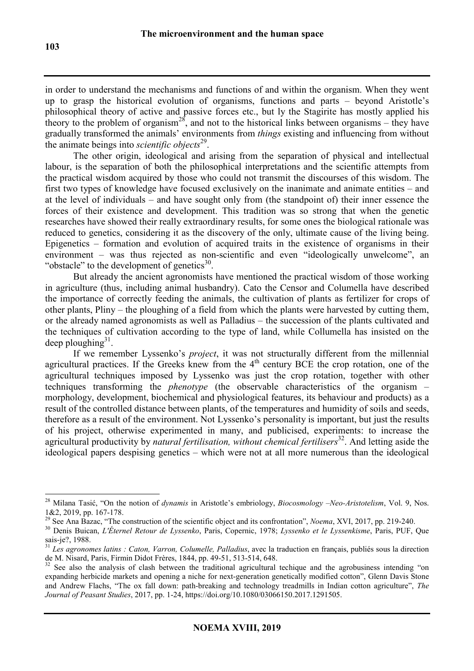in order to understand the mechanisms and functions of and within the organism. When they went up to grasp the historical evolution of organisms, functions and parts – beyond Aristotle's philosophical theory of active and passive forces etc., but ly the Stagirite has mostly applied his theory to the problem of organism<sup>28</sup>, and not to the historical links between organisms – they have gradually transformed the animals' environments from *things* existing and influencing from without the animate beings into *scientific objects*<sup>29</sup>.

The other origin, ideological and arising from the separation of physical and intellectual labour, is the separation of both the philosophical interpretations and the scientific attempts from the practical wisdom acquired by those who could not transmit the discourses of this wisdom. The first two types of knowledge have focused exclusively on the inanimate and animate entities – and at the level of individuals – and have sought only from (the standpoint of) their inner essence the forces of their existence and development. This tradition was so strong that when the genetic researches have showed their really extraordinary results, for some ones the biological rationale was reduced to genetics, considering it as the discovery of the only, ultimate cause of the living being. Epigenetics – formation and evolution of acquired traits in the existence of organisms in their environment – was thus rejected as non-scientific and even "ideologically unwelcome", an "obstacle" to the development of genetics $30$ .

But already the ancient agronomists have mentioned the practical wisdom of those working in agriculture (thus, including animal husbandry). Cato the Censor and Columella have described the importance of correctly feeding the animals, the cultivation of plants as fertilizer for crops of other plants, Pliny – the ploughing of a field from which the plants were harvested by cutting them, or the already named agronomists as well as Palladius – the succession of the plants cultivated and the techniques of cultivation according to the type of land, while Collumella has insisted on the deep ploughing $31$ .

If we remember Lyssenko's *project*, it was not structurally different from the millennial agricultural practices. If the Greeks knew from the  $4<sup>th</sup>$  century BCE the crop rotation, one of the agricultural techniques imposed by Lyssenko was just the crop rotation, together with other techniques transforming the *phenotype* (the observable characteristics of the organism – morphology, development, biochemical and physiological features, its behaviour and products) as a result of the controlled distance between plants, of the temperatures and humidity of soils and seeds, therefore as a result of the environment. Not Lyssenko's personality is important, but just the results of his project, otherwise experimented in many, and publicised, experiments: to increase the agricultural productivity by *natural fertilisation, without chemical fertilisers*<sup>32</sup>. And letting aside the ideological papers despising genetics – which were not at all more numerous than the ideological

<sup>28</sup> Milana Tasić, "On the notion of *dynamis* in Aristotle's embriology, *Biocosmology –Neo-Aristotelism*, Vol. 9, Nos. 1&2, 2019, pp. 167-178.

<sup>&</sup>lt;sup>29</sup> See Ana Bazac, "The construction of the scientific object and its confrontation", *Noema*, XVI, 2017, pp. 219-240.

<sup>30</sup> Denis Buican, *L'Éternel Retour de Lyssenko*, Paris, Copernic, 1978; *Lyssenko et le Lyssenkisme*, Paris, PUF, Que sais-je?, 1988.

<sup>31</sup> *Les agronomes latins : Caton, Varron, Columelle, Palladius*, avec la traduction en français, publiés sous la direction de M. Nisard, Paris, Firmin Didot Frères, 1844, pp. 49-51, 513-514, 648.

<sup>&</sup>lt;sup>32</sup> See also the analysis of clash between the traditional agricultural techique and the agrobusiness intending "on expanding herbicide markets and opening a niche for next-generation genetically modified cotton", Glenn Davis Stone and Andrew Flachs, "The ox fall down: path-breaking and technology treadmills in Indian cotton agriculture", *The Journal of Peasant Studies*, 2017, pp. 1-24, https://doi.org/10.1080/03066150.2017.1291505.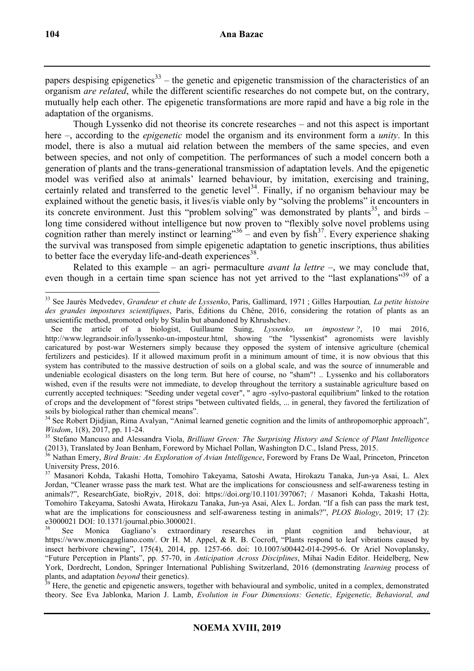papers despising epigenetics $33$  – the genetic and epigenetic transmission of the characteristics of an organism *are related*, while the different scientific researches do not compete but, on the contrary, mutually help each other. The epigenetic transformations are more rapid and have a big role in the adaptation of the organisms.

Though Lyssenko did not theorise its concrete researches – and not this aspect is important here –, according to the *epigenetic* model the organism and its environment form a *unity*. In this model, there is also a mutual aid relation between the members of the same species, and even between species, and not only of competition. The performances of such a model concern both a generation of plants and the trans-generational transmission of adaptation levels. And the epigenetic model was verified also at animals' learned behaviour, by imitation, exercising and training, certainly related and transferred to the genetic level<sup>34</sup>. Finally, if no organism behaviour may be explained without the genetic basis, it lives/is viable only by "solving the problems" it encounters in its concrete environment. Just this "problem solving" was demonstrated by plants<sup>35</sup>, and birds – long time considered without intelligence but now proven to "flexibly solve novel problems using cognition rather than merely instinct or learning"<sup>36</sup> – and even by fish<sup>37</sup>. Every experience shaking the survival was transposed from simple epigenetic adaptation to genetic inscriptions, thus abilities to better face the everyday life-and-death experiences<sup>38</sup>.

Related to this example – an agri- permaculture *avant la lettre* –, we may conclude that, even though in a certain time span science has not yet arrived to the "last explanations"<sup>39</sup> of a

 $\overline{a}$ <sup>33</sup> See Jaurès Medvedev, *Grandeur et chute de Lyssenko*, Paris, Gallimard, 1971 ; Gilles Harpoutian*, La petite histoire des grandes impostures scientifiques*, Paris, Éditions du Chêne, 2016, considering the rotation of plants as an unscientific method, promoted only by Stalin but abandoned by Khrushchev.

See the article of a biologist, Guillaume Suing, *Lyssenko, un imposteur ?*, 10 mai 2016, http://www.legrandsoir.info/lyssenko-un-imposteur.html, showing "the "lyssenkist" agronomists were lavishly caricatured by post-war Westerners simply because they opposed the system of intensive agriculture (chemical fertilizers and pesticides). If it allowed maximum profit in a minimum amount of time, it is now obvious that this system has contributed to the massive destruction of soils on a global scale, and was the source of innumerable and undeniable ecological disasters on the long term. But here of course, no "sham"! .. Lyssenko and his collaborators wished, even if the results were not immediate, to develop throughout the territory a sustainable agriculture based on currently accepted techniques: "Seeding under vegetal cover", " agro -sylvo-pastoral equilibrium" linked to the rotation of crops and the development of "forest strips "between cultivated fields, ... in general, they favored the fertilization of soils by biological rather than chemical means".

<sup>&</sup>lt;sup>34</sup> See Robert Djidjian, Rima Avalyan, "Animal learned genetic cognition and the limits of anthropomorphic approach", *Wisdom*, 1(8), 2017, pp. 11-24.

<sup>35</sup> Stefano Mancuso and Alessandra Viola, *Brilliant Green: The Surprising History and Science of Plant Intelligence* (2013), Translated by Joan Benham, Foreword by Michael Pollan, Washington D.C., Island Press, 2015.

<sup>36</sup> Nathan Emery, *Bird Brain: An Exploration of Avian Intelligence*, Foreword by Frans De Waal, Princeton, Princeton University Press, 2016.

<sup>37</sup> Masanori Kohda, Takashi Hotta, Tomohiro Takeyama, Satoshi Awata, Hirokazu Tanaka, Jun-ya Asai, L. Alex Jordan, "Cleaner wrasse pass the mark test. What are the implications for consciousness and self-awareness testing in animals?", ResearchGate, bioRχiv, 2018, doi: https://doi.org/10.1101/397067; / Masanori Kohda, Takashi Hotta, Tomohiro Takeyama, Satoshi Awata, Hirokazu Tanaka, Jun-ya Asai, Alex L. Jordan. "If a fish can pass the mark test, what are the implications for consciousness and self-awareness testing in animals?", *PLOS Biology*, 2019; 17 (2): e3000021 DOI: 10.1371/journal.pbio.3000021.

<sup>38</sup> See Monica Gagliano's extraordinary researches in plant cognition and behaviour, at https://www.monicagagliano.com/. Or H. M. Appel, & R. B. Cocroft, "Plants respond to leaf vibrations caused by insect herbivore chewing", 175(4), 2014, pp. 1257-66. doi: 10.1007/s00442-014-2995-6. Or Ariel Novoplansky, "Future Perception in Plants", pp. 57-70, in *Anticipation Across Disciplines*, Mihai Nadin Editor. Heidelberg, New York, Dordrecht, London, Springer International Publishing Switzerland, 2016 (demonstrating *learning* process of plants, and adaptation *beyond* their genetics).

<sup>&</sup>lt;sup>39</sup> Here, the genetic and epigenetic answers, together with behavioural and symbolic, united in a complex, demonstrated theory. See Eva Jablonka, Marion J. Lamb, *Evolution in Four Dimensions: Genetic, Epigenetic, Behavioral, and*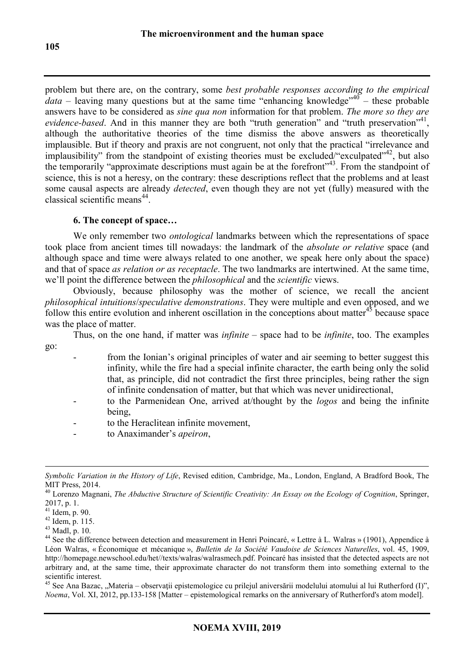problem but there are, on the contrary, some *best probable responses according to the empirical data* – leaving many questions but at the same time "enhancing knowledge"<sup>40</sup> – these probable answers have to be considered as *sine qua non* information for that problem. *The more so they are*  evidence-based. And in this manner they are both "truth generation" and "truth preservation"<sup>41</sup>, although the authoritative theories of the time dismiss the above answers as theoretically implausible. But if theory and praxis are not congruent, not only that the practical "irrelevance and implausibility" from the standpoint of existing theories must be excluded/"exculpated"<sup>42</sup>, but also the temporarily "non the standpoint of emising diseases must be entered in the application, your disease the temporarily "approximate descriptions must again be at the forefront"<sup>43</sup>. From the standpoint of science, this is not a heresy, on the contrary: these descriptions reflect that the problems and at least some causal aspects are already *detected*, even though they are not yet (fully) measured with the classical scientific means<sup>44</sup>.

# **6. The concept of space…**

We only remember two *ontological* landmarks between which the representations of space took place from ancient times till nowadays: the landmark of the *absolute or relative* space (and although space and time were always related to one another, we speak here only about the space) and that of space *as relation or as receptacle*. The two landmarks are intertwined. At the same time, we'll point the difference between the *philosophical* and the *scientific* views.

Obviously, because philosophy was the mother of science, we recall the ancient *philosophical intuitions*/*speculative demonstrations*. They were multiple and even opposed, and we follow this entire evolution and inherent oscillation in the conceptions about matter $45$  because space was the place of matter.

Thus, on the one hand, if matter was *infinite* – space had to be *infinite*, too. The examples go:

- from the Ionian's original principles of water and air seeming to better suggest this infinity, while the fire had a special infinite character, the earth being only the solid that, as principle, did not contradict the first three principles, being rather the sign of infinite condensation of matter, but that which was never unidirectional,
- to the Parmenidean One, arrived at/thought by the *logos* and being the infinite being,
- to the Heraclitean infinite movement,
- to Anaximander's *apeiron*,

 $\overline{a}$ 

 $45$  See Ana Bazac, "Materia – observații epistemologice cu prilejul aniversării modelului atomului al lui Rutherford (I)", *Noema*, Vol. XI, 2012, pp.133-158 [Matter – epistemological remarks on the anniversary of Rutherford's atom model].

*Symbolic Variation in the History of Life*, Revised edition, Cambridge, Ma., London, England, A Bradford Book, The MIT Press, 2014.

<sup>40</sup> Lorenzo Magnani, *The Abductive Structure of Scientific Creativity: An Essay on the Ecology of Cognition*, Springer, 2017, p. 1.

<sup>41</sup> Idem, p. 90.

<sup>42</sup> Idem, p. 115.

<sup>43</sup> Madl, p. 10.

<sup>&</sup>lt;sup>44</sup> See the difference between detection and measurement in Henri Poincaré, « Lettre à L. Walras » (1901), Appendice à Léon Walras, « Économique et mécanique », *Bulletin de la Société Vaudoise de Sciences Naturelles*, vol. 45, 1909, http://homepage.newschool.edu/het//texts/walras/walrasmech.pdf. Poincaré has insisted that the detected aspects are not arbitrary and, at the same time, their approximate character do not transform them into something external to the scientific interest.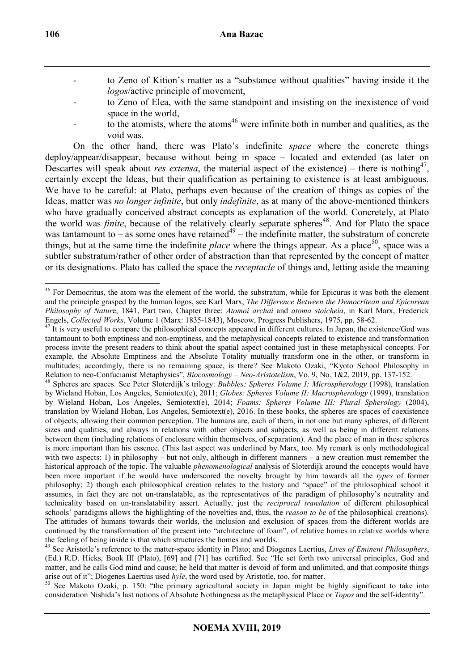- to Zeno of Kition's matter as a "substance without qualities" having inside it the *logos*/active principle of movement,
- to Zeno of Elea, with the same standpoint and insisting on the inexistence of void space in the world,
- to the atomists, where the atoms<sup>46</sup> were infinite both in number and qualities, as the void was.

On the other hand, there was Plato's indefinite *space* where the concrete things deploy/appear/disappear, because without being in space – located and extended (as later on Descartes will speak about *res extensa*, the material aspect of the existence) – there is nothing<sup>47</sup>, certainly except the Ideas, but their qualification as pertaining to existence is at least ambiguous. We have to be careful: at Plato, perhaps even because of the creation of things as copies of the Ideas, matter was *no longer infinite*, but only *indefinite*, as at many of the above-mentioned thinkers who have gradually conceived abstract concepts as explanation of the world. Concretely, at Plato the world was *finite*, because of the relatively clearly separate spheres <sup>48</sup>. And for Plato the space was tantamount to – as some ones have retained<sup>49</sup> – the indefinite matter, the substratum of concrete things, but at the same time the indefinite *place* where the things appear. As a place<sup>50</sup>, space was a subtler substratum/rather of other order of abstraction than that represented by the concept of matter or its designations. Plato has called the space the *receptacle* of things and, letting aside the meaning

<sup>&</sup>lt;sup>46</sup> For Democritus, the atom was the element of the world, the substratum, while for Epicurus it was both the element and the principle grasped by the human logos, see Karl Marx, *The Difference Between the Democritean and Epicurean Philosophy of Natur*e, 1841, Part two, Chapter three: *Atomoi archai* and *atoma stoicheia*, in Karl Marx, Frederick Engels, *Collected Works*, Volume 1 (Marx: 1835-1843), Moscow, Progress Publishers, 1975, pp. 58-62.

 $47$  It is very useful to compare the philosophical concepts appeared in different cultures. In Japan, the existence/God was tantamount to both emptiness and non-emptiness, and the metaphysical concepts related to existence and transformation process invite the present readers to think about the spatial aspect contained just in these metaphysical concepts. For example, the Absolute Emptiness and the Absolute Totality mutually transform one in the other, or transform in multitudes; accordingly, there is no remaining space, is there? See Makoto Ozaki, "Kyoto School Philosophy in Relation to neo-Confucianist Metaphysics", *Biocosmology – Neo-Aristotelism*, Vo. 9, No. 1&2, 2019, pp. 137-152.

<sup>48</sup> Spheres are spaces. See Peter Sloterdijk's trilogy: *Bubbles: Spheres Volume I: Microspherology* (1998), translation by Wieland Hoban, Los Angeles, Semiotext(e), 2011; *Globes: Spheres Volume II: Macrospherology* (1999), translation by Wieland Hoban, Los Angeles, Semiotext(e), 2014; *Foams: Spheres Volume III: Plural Spherology* (2004), translation by Wieland Hoban, Los Angeles, Semiotext(e), 2016. In these books, the spheres are spaces of coexistence of objects, allowing their common perception. The humans are, each of them, in not one but many spheres, of different sizes and qualities, and always in relations with other objects and subjects, as well as being in different relations between them (including relations of enclosure within themselves, of separation). And the place of man in these spheres is more important than his essence. (This last aspect was underlined by Marx, too. My remark is only methodological with two aspects: 1) in philosophy – but not only, although in different manners – a new creation must remember the historical approach of the topic. The valuable *phenomenological* analysis of Sloterdijk around the concepts would have been more important if he would have underscored the novelty brought by him towards all the *types* of former philosophy; 2) though each philosophical creation relates to the history and "space" of the philosophical school it assumes, in fact they are not un-translatable, as the representatives of the paradigm of philosophy's neutrality and technicality based on un-translatability assert. Actually, just the *reciprocal translation* of different philosophical schools' paradigms allows the highlighting of the novelties and, thus, the *reason to be* of the philosophical creations). The attitudes of humans towards their worlds, the inclusion and exclusion of spaces from the different worlds are continued by the transformation of the present into "architecture of foam", of relative homes in relative worlds where the feeling of being inside is that which structures the homes and worlds.

<sup>49</sup> See Aristotle's reference to the matter-space identity in Plato; and Diogenes Laertius, *Lives of Eminent Philosophers*, (Ed.) R.D. Hicks, Book III (Plato), [69] and [71] has certified. See "He set forth two universal principles, God and matter, and he calls God mind and cause; he held that matter is devoid of form and unlimited, and that composite things arise out of it"; Diogenes Laertius used *hyle*, the word used by Aristotle, too, for matter.

<sup>&</sup>lt;sup>50</sup> See Makoto Ozaki, p. 150: "the primary agricultural society in Japan might be highly significant to take into consideration Nishida's last notions of Absolute Nothingness as the metaphysical Place or *Topos* and the self-identity".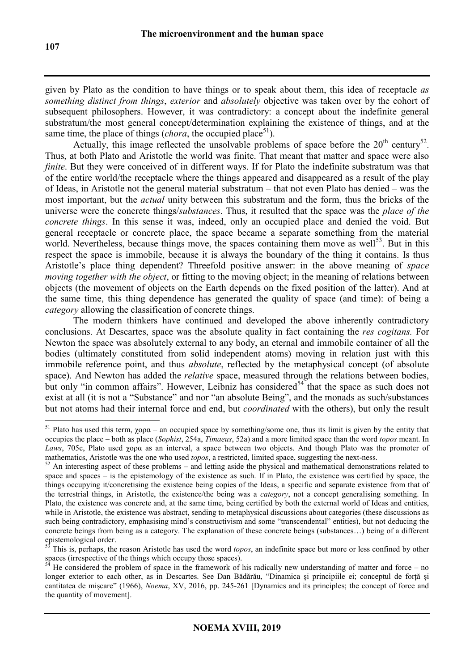given by Plato as the condition to have things or to speak about them, this idea of receptacle *as something distinct from things*, *exterior* and *absolutely* objective was taken over by the cohort of subsequent philosophers. However, it was contradictory: a concept about the indefinite general substratum/the most general concept/determination explaining the existence of things, and at the same time, the place of things (*chora*, the occupied place<sup>51</sup>).

Actually, this image reflected the unsolvable problems of space before the  $20<sup>th</sup>$  century<sup>52</sup>. Thus, at both Plato and Aristotle the world was finite. That meant that matter and space were also *finite*. But they were conceived of in different ways. If for Plato the indefinite substratum was that of the entire world/the receptacle where the things appeared and disappeared as a result of the play of Ideas, in Aristotle not the general material substratum – that not even Plato has denied – was the most important, but the *actual* unity between this substratum and the form, thus the bricks of the universe were the concrete things/*substances*. Thus, it resulted that the space was the *place of the concrete things*. In this sense it was, indeed, only an occupied place and denied the void. But general receptacle or concrete place, the space became a separate something from the material world. Nevertheless, because things move, the spaces containing them move as well<sup>53</sup>. But in this respect the space is immobile, because it is always the boundary of the thing it contains. Is thus Aristotle's place thing dependent? Threefold positive answer: in the above meaning of *space moving together with the object*, or fitting to the moving object; in the meaning of relations between objects (the movement of objects on the Earth depends on the fixed position of the latter). And at the same time, this thing dependence has generated the quality of space (and time): of being a *category* allowing the classification of concrete things.

 The modern thinkers have continued and developed the above inherently contradictory conclusions. At Descartes, space was the absolute quality in fact containing the *res cogitans.* For Newton the space was absolutely external to any body, an eternal and immobile container of all the bodies (ultimately constituted from solid independent atoms) moving in relation just with this immobile reference point, and thus *absolute*, reflected by the metaphysical concept (of absolute space). And Newton has added the *relative* space, measured through the relations between bodies, but only "in common affairs". However, Leibniz has considered<sup>54</sup> that the space as such does not exist at all (it is not a "Substance" and nor "an absolute Being", and the monads as such/substances but not atoms had their internal force and end, but *coordinated* with the others), but only the result

<sup>&</sup>lt;sup>51</sup> Plato has used this term,  $\chi$ ορα – an occupied space by something/some one, thus its limit is given by the entity that occupies the place – both as place (*Sophist*, 254a, *Timaeus*, 52a) and a more limited space than the word *topos* meant. In *Laws*, 705c, Plato used χoρα as an interval, a space between two objects. And though Plato was the promoter of mathematics, Aristotle was the one who used *topos*, a restricted, limited space, suggesting the next-ness.

 $52$  An interesting aspect of these problems – and letting aside the physical and mathematical demonstrations related to space and spaces – is the epistemology of the existence as such. If in Plato, the existence was certified by space, the things occupying it/concretising the existence being copies of the Ideas, a specific and separate existence from that of the terrestrial things, in Aristotle, the existence/the being was a *category*, not a concept generalising something. In Plato, the existence was concrete and, at the same time, being certified by both the external world of Ideas and entities, while in Aristotle, the existence was abstract, sending to metaphysical discussions about categories (these discussions as such being contradictory, emphasising mind's constructivism and some "transcendental" entities), but not deducing the concrete beings from being as a category. The explanation of these concrete beings (substances…) being of a different epistemological order.

<sup>53</sup> This is, perhaps, the reason Aristotle has used the word *topos*, an indefinite space but more or less confined by other spaces (irrespective of the things which occupy those spaces).

 $\overrightarrow{B}$  He considered the problem of space in the framework of his radically new understanding of matter and force – no longer exterior to each other, as in Descartes. See Dan Bădărău, "Dinamica și principiile ei; conceptul de forță și cantitatea de mișcare" (1966), *Noema*, XV, 2016, pp. 245-261 [Dynamics and its principles; the concept of force and the quantity of movement].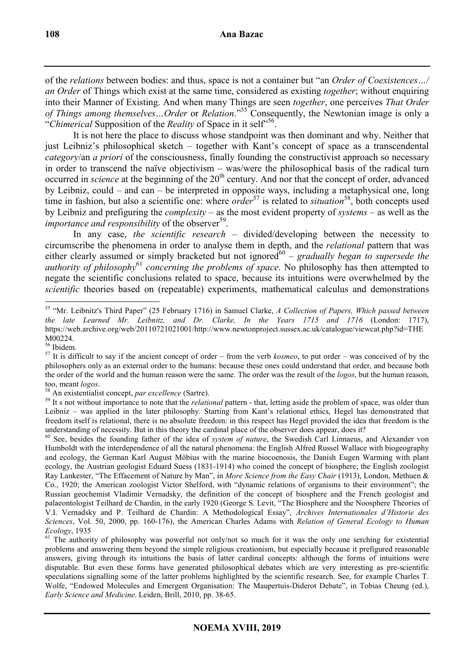of the *relations* between bodies: and thus, space is not a container but "an *Order of Coexistences…/ an Order* of Things which exist at the same time, considered as existing *together*; without enquiring into their Manner of Existing. And when many Things are seen *together*, one perceives *That Order of Things among themselves…Order* or *Relation*."<sup>55</sup> Consequently, the Newtonian image is only a "Chimerical Supposition of the *Reality* of Space in it self<sup>556</sup>.

It is not here the place to discuss whose standpoint was then dominant and why. Neither that just Leibniz's philosophical sketch – together with Kant's concept of space as a transcendental *category*/an *a priori* of the consciousness, finally founding the constructivist approach so necessary in order to transcend the naïve objectivism – was/were the philosophical basis of the radical turn occurred in *science* at the beginning of the 20<sup>th</sup> century. And nor that the concept of order, advanced by Leibniz, could – and can – be interpreted in opposite ways, including a metaphysical one, long time in fashion, but also a scientific one: where *order*<sup>57</sup> is related to *situation*<sup>58</sup>, both concepts used by Leibniz and prefiguring the *complexity* – as the most evident property of *systems* – as well as the *importance and responsibility* of the observer<sup>59</sup>.

In any case, *the scientific research* – divided/developing between the necessity to circumscribe the phenomena in order to analyse them in depth, and the *relational* pattern that was either clearly assumed or simply bracketed but not ignored<sup>60</sup> – *gradually began to supersede the authority of philosophy*<sup>61</sup> *concerning the problems of space*. No philosophy has then attempted to negate the scientific conclusions related to space, because its intuitions were overwhelmed by the *scientific* theories based on (repeatable) experiments, mathematical calculus and demonstrations

 $\overline{a}$ <sup>55</sup> "Mr. Leibnitz's Third Paper" (25 February 1716) in Samuel Clarke, *A Collection of Papers, Which passed between the late Learned Mr. Leibnitz, and Dr. Clarke, In the Years 1715 and 1716* (London: 1717), https://web.archive.org/web/20110721021001/http://www.newtonproject.sussex.ac.uk/catalogue/viewcat.php?id=THE M00224.

<sup>56</sup> Ibidem.

<sup>57</sup> It is difficult to say if the ancient concept of order – from the verb *kosmeo*, to put order – was conceived of by the philosophers only as an external order to the humans: because these ones could understand that order, and because both the order of the world and the human reason were the same. The order was the result of the *logos*, but the human reason, too, meant *logos*.

<sup>58</sup> An existentialist concept, *par excellence* (Sartre).

<sup>&</sup>lt;sup>59</sup> It s not without importance to note that the *relational* pattern - that, letting aside the problem of space, was older than Leibniz – was applied in the later philosophy. Starting from Kant's relational ethics, Hegel has demonstrated that freedom itself is relational, there is no absolute freedom: in this respect has Hegel provided the idea that freedom is the understanding of necessity. But in this theory the cardinal place of the observer does appear, does it?

<sup>60</sup> See, besides the founding father of the idea of *system of nature*, the Swedish Carl Linnaeus, and Alexander von Humboldt with the interdependence of all the natural phenomena: the English Alfred Russel Wallace with biogeography and ecology, the German Karl August Möbius with the marine biocoenosis, the Danish Eugen Warming with plant ecology, the Austrian geologist Eduard Suess (1831-1914) who coined the concept of biosphere; the English zoologist Ray Lankester, "The Effacement of Nature by Man", in *More Science from the Easy Chair* (1913), London, Methuen & Co., 1920; the American zoologist Victor Shelford, with "dynamic relations of organisms to their environment"; the Russian geochemist Vladimir Vernadsky, the definition of the concept of biosphere and the French geologist and palaeontologist Teilhard de Chardin, in the early 1920 (George S. Levit, "The Biosphere and the Noosphere Theories of V.I. Vernadsky and P. Teilhard de Chardin: A Methodological Essay", *Archives Internationales d'Historie des Sciences*, Vol. 50, 2000, pp. 160-176), the American Charles Adams with *Relation of General Ecology to Human Ecology*, 1935

 $61$  The authority of philosophy was powerful not only/not so much for it was the only one serching for existential problems and answering them beyond the simple religious creationism, but especially because it prefigured reasonable answers, giving through its intuitions the basis of latter cardinal concepts: although the forms of intuitions were disputable. But even these forms have generated philosophical debates which are very interesting as pre-scientific speculations signalling some of the latter problems highlighted by the scientific research. See, for example Charles T. Wolfe, "Endowed Molecules and Emergent Organisation: The Maupertuis-Diderot Debate", in Tobias Cheung (ed.), *Early Science and Medicine*. Leiden, Brill, 2010, pp. 38-65.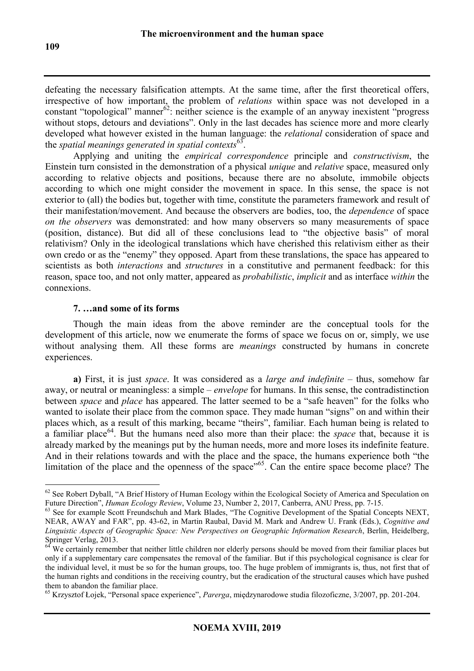defeating the necessary falsification attempts. At the same time, after the first theoretical offers, irrespective of how important, the problem of *relations* within space was not developed in a constant "topological" manner<sup>62</sup>: neither science is the example of an anyway inexistent "progress" without stops, detours and deviations". Only in the last decades has science more and more clearly developed what however existed in the human language: the *relational* consideration of space and the *spatial meanings generated in spatial contexts*<sup>63</sup> .

 Applying and uniting the *empirical correspondence* principle and *constructivism*, the Einstein turn consisted in the demonstration of a physical *unique* and *relative* space, measured only according to relative objects and positions, because there are no absolute, immobile objects according to which one might consider the movement in space. In this sense, the space is not exterior to (all) the bodies but, together with time, constitute the parameters framework and result of their manifestation/movement. And because the observers are bodies, too, the *dependence* of space *on the observers* was demonstrated: and how many observers so many measurements of space (position, distance). But did all of these conclusions lead to "the objective basis" of moral relativism? Only in the ideological translations which have cherished this relativism either as their own credo or as the "enemy" they opposed. Apart from these translations, the space has appeared to scientists as both *interactions* and *structures* in a constitutive and permanent feedback: for this reason, space too, and not only matter, appeared as *probabilistic*, *implicit* and as interface *within* the connexions.

### **7. …and some of its forms**

Though the main ideas from the above reminder are the conceptual tools for the development of this article, now we enumerate the forms of space we focus on or, simply, we use without analysing them. All these forms are *meanings* constructed by humans in concrete experiences.

**a)** First, it is just *space*. It was considered as a *large and indefinite* – thus, somehow far away, or neutral or meaningless: a simple – *envelope* for humans. In this sense, the contradistinction between *space* and *place* has appeared. The latter seemed to be a "safe heaven" for the folks who wanted to isolate their place from the common space. They made human "signs" on and within their places which, as a result of this marking, became "theirs", familiar. Each human being is related to a familiar place<sup>64</sup>. But the humans need also more than their place: the *space* that, because it is already marked by the meanings put by the human needs, more and more loses its indefinite feature. And in their relations towards and with the place and the space, the humans experience both "the limitation of the place and the openness of the space"<sup>65</sup>. Can the entire space become place? The

 $\overline{a}$  $62$  See Robert Dyball, "A Brief History of Human Ecology within the Ecological Society of America and Speculation on Future Direction", *Human Ecology Review*, Volume 23, Number 2, 2017, Canberra, ANU Press, pp. 7-15.

<sup>&</sup>lt;sup>63</sup> See for example Scott Freundschuh and Mark Blades, "The Cognitive Development of the Spatial Concepts NEXT, NEAR, AWAY and FAR", pp. 43-62, in Martin Raubal, David M. Mark and Andrew U. Frank (Eds.), *Cognitive and Linguistic Aspects of Geographic Space: New Perspectives on Geographic Information Research*, Berlin, Heidelberg, Springer Verlag, 2013.

<sup>&</sup>lt;sup>64</sup> We certainly remember that neither little children nor elderly persons should be moved from their familiar places but only if a supplementary care compensates the removal of the familiar. But if this psychological cognisance is clear for the individual level, it must be so for the human groups, too. The huge problem of immigrants is, thus, not first that of the human rights and conditions in the receiving country, but the eradication of the structural causes which have pushed them to abandon the familiar place.

<sup>65</sup> Krzysztof Łojek, "Personal space experience", *Parerga*, międzynarodowe studia filozoficzne, 3/2007, pp. 201-204.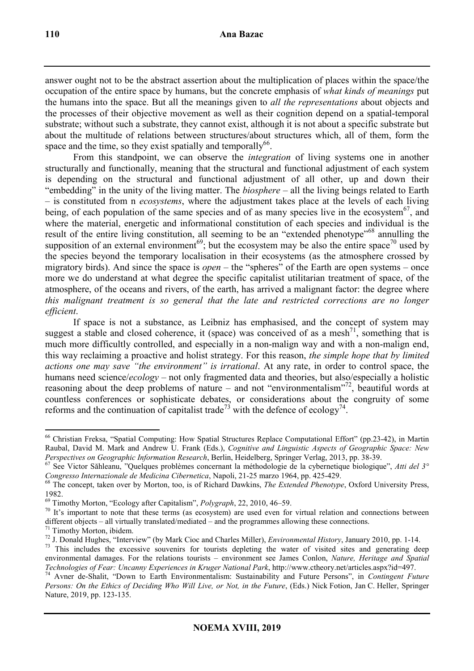answer ought not to be the abstract assertion about the multiplication of places within the space/the occupation of the entire space by humans, but the concrete emphasis of *what kinds of meanings* put the humans into the space. But all the meanings given to *all the representations* about objects and the processes of their objective movement as well as their cognition depend on a spatial-temporal substrate; without such a substrate, they cannot exist, although it is not about a specific substrate but about the multitude of relations between structures/about structures which, all of them, form the space and the time, so they exist spatially and temporally  $66$ .

From this standpoint, we can observe the *integration* of living systems one in another structurally and functionally, meaning that the structural and functional adjustment of each system is depending on the structural and functional adjustment of all other, up and down their "embedding" in the unity of the living matter. The *biosphere* – all the living beings related to Earth – is constituted from n *ecosystems*, where the adjustment takes place at the levels of each living being, of each population of the same species and of as many species live in the ecosystem<sup>67</sup>, and where the material, energetic and informational constitution of each species and individual is the result of the entire living constitution, all seeming to be an "extended phenotype"<sup>68</sup> annulling the supposition of an external environment<sup>69</sup>; but the ecosystem may be also the entire space<sup>70</sup> used by the species beyond the temporary localisation in their ecosystems (as the atmosphere crossed by migratory birds). And since the space is *open* – the "spheres" of the Earth are open systems – once more we do understand at what degree the specific capitalist utilitarian treatment of space, of the atmosphere, of the oceans and rivers, of the earth, has arrived a malignant factor: the degree where *this malignant treatment is so general that the late and restricted corrections are no longer efficient*.

If space is not a substance, as Leibniz has emphasised, and the concept of system may suggest a stable and closed coherence, it (space) was conceived of as a mesh<sup>71</sup>, something that is much more difficultly controlled, and especially in a non-malign way and with a non-malign end, this way reclaiming a proactive and holist strategy. For this reason, *the simple hope that by limited actions one may save "the environment" is irrational*. At any rate, in order to control space, the humans need science/*ecology* – not only fragmented data and theories, but also/especially a holistic reasoning about the deep problems of nature – and not "environmentalism"<sup>72</sup>, beautiful words at countless conferences or sophisticate debates, or considerations about the congruity of some reforms and the continuation of capitalist trade<sup>73</sup> with the defence of ecology<sup>74</sup>.

 $\overline{a}$ <sup>66</sup> Christian Freksa, "Spatial Computing: How Spatial Structures Replace Computational Effort" (pp.23-42), in Martin Raubal, David M. Mark and Andrew U. Frank (Eds.), *Cognitive and Linguistic Aspects of Geographic Space: New Perspectives on Geographic Information Research*, Berlin, Heidelberg, Springer Verlag, 2013, pp. 38-39.

<sup>67</sup> See Victor Săhleanu, "Quelques problèmes concernant la méthodologie de la cybernetique biologique", *Atti del 3° Congresso Internazionale de Medicina Cibernetica*, Napoli, 21-25 marzo 1964, pp. 425-429.

<sup>68</sup> The concept, taken over by Morton, too, is of Richard Dawkins, *The Extended Phenotype*, Oxford University Press, 1982.

<sup>69</sup> Timothy Morton, "Ecology after Capitalism", *Polygraph*, 22, 2010, 46–59.

 $70$  It's important to note that these terms (as ecosystem) are used even for virtual relation and connections between different objects – all virtually translated/mediated – and the programmes allowing these connections.

 $71$  Timothy Morton, ibidem.

<sup>72</sup> J. Donald Hughes, "Interview" (by Mark Cioc and Charles Miller), *Environmental History*, January 2010, pp. 1-14.

<sup>&</sup>lt;sup>73</sup> This includes the excessive souvenirs for tourists depleting the water of visited sites and generating deep environmental damages. For the relations tourists – environment see James Conlon, *Nature, Heritage and Spatial Technologies of Fear: Uncanny Experiences in Kruger National Park*, http://www.ctheory.net/articles.aspx?id=497.

<sup>74</sup> Avner de-Shalit, "Down to Earth Environmentalism: Sustainability and Future Persons", in *Contingent Future Persons: On the Ethics of Deciding Who Will Live, or Not, in the Future*, (Eds.) Nick Fotion, Jan C. Heller, Springer Nature, 2019, pp. 123-135.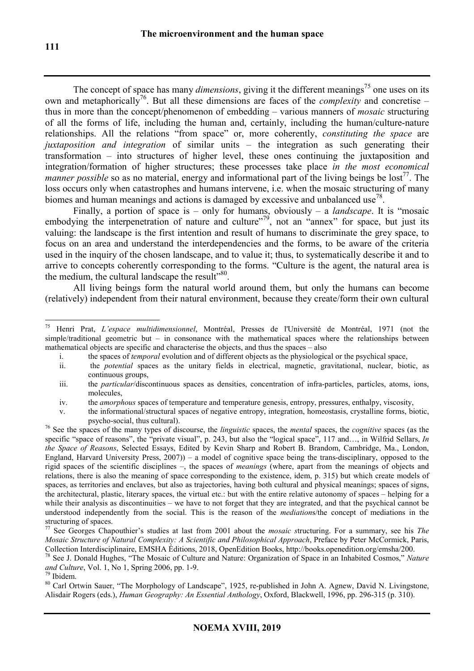The concept of space has many *dimensions*, giving it the different meanings<sup>75</sup> one uses on its own and metaphorically<sup>76</sup>. But all these dimensions are faces of the *complexity* and concretise – thus in more than the concept/phenomenon of embedding – various manners of *mosaic* structuring of all the forms of life, including the human and, certainly, including the human/culture-nature relationships. All the relations "from space" or, more coherently, *constituting the space* are *juxtaposition and integration* of similar units – the integration as such generating their transformation – into structures of higher level, these ones continuing the juxtaposition and integration/formation of higher structures; these processes take place *in the most economical manner possible* so as no material, energy and informational part of the living beings be lost<sup>77</sup>. The loss occurs only when catastrophes and humans intervene, i.e. when the mosaic structuring of many biomes and human meanings and actions is damaged by excessive and unbalanced use<sup>78</sup>.

Finally, a portion of space is – only for humans, obviously – a *landscape*. It is "mosaic embodying the interpenetration of nature and culture"<sup>79</sup>, not an "annex" for space, but just its valuing: the landscape is the first intention and result of humans to discriminate the grey space, to focus on an area and understand the interdependencies and the forms, to be aware of the criteria used in the inquiry of the chosen landscape, and to value it; thus, to systematically describe it and to arrive to concepts coherently corresponding to the forms. "Culture is the agent, the natural area is the medium, the cultural landscape the result"<sup>80</sup>.

All living beings form the natural world around them, but only the humans can become (relatively) independent from their natural environment, because they create/form their own cultural

- i. the spaces of *temporal* evolution and of different objects as the physiological or the psychical space,
- ii. the *potential* spaces as the unitary fields in electrical, magnetic, gravitational, nuclear, biotic, as continuous groups,
- iii. the *particular*/discontinuous spaces as densities, concentration of infra-particles, particles, atoms, ions, molecules,
- iv. the *amorphous* spaces of temperature and temperature genesis, entropy, pressures, enthalpy, viscosity,

 $75\,$ <sup>75</sup> Henri Prat, *L'espace multidimensionnel*, Montréal, Presses de l'Université de Montréal, 1971 (not the simple/traditional geometric but – in consonance with the mathematical spaces where the relationships between mathematical objects are specific and characterise the objects, and thus the spaces – also

v. the informational/structural spaces of negative entropy, integration, homeostasis, crystalline forms, biotic, psycho-social, thus cultural).

<sup>76</sup> See the spaces of the many types of discourse, the *linguistic* spaces, the *mental* spaces, the *cognitive* spaces (as the specific "space of reasons", the "private visual", p. 243, but also the "logical space", 117 and…, in Wilfrid Sellars, *In the Space of Reasons*, Selected Essays, Edited by Kevin Sharp and Robert B. Brandom, Cambridge, Ma., London, England, Harvard University Press, 2007)) – a model of cognitive space being the trans-disciplinary, opposed to the rigid spaces of the scientific disciplines –, the spaces of *meanings* (where, apart from the meanings of objects and relations, there is also the meaning of space corresponding to the existence, idem, p. 315) but which create models of spaces, as territories and enclaves, but also as trajectories, having both cultural and physical meanings; spaces of signs, the architectural, plastic, literary spaces, the virtual etc.: but with the entire relative autonomy of spaces – helping for a while their analysis as discontinuities – we have to not forget that they are integrated, and that the psychical cannot be understood independently from the social. This is the reason of the *mediation*s/the concept of mediations in the structuring of spaces.

<sup>77</sup> See Georges Chapouthier's studies at last from 2001 about the *mosaic s*tructuring. For a summary, see his *The Mosaic Structure of Natural Complexity: A Scientific and Philosophical Approach*, Preface by Peter McCormick, Paris, Collection Interdisciplinaire, EMSHA Éditions, 2018, OpenEdition Books, http://books.openedition.org/emsha/200.

<sup>78</sup> See J. Donald Hughes, "The Mosaic of Culture and Nature: Organization of Space in an Inhabited Cosmos," *Nature and Culture*, Vol. 1, No 1, Spring 2006, pp. 1-9.

<sup>79</sup> Ibidem.

<sup>&</sup>lt;sup>80</sup> Carl Ortwin Sauer, "The Morphology of Landscape", 1925, re-published in John A. Agnew, David N. Livingstone, Alisdair Rogers (eds.), *Human Geography: An Essential Anthology*, Oxford, Blackwell, 1996, pp. 296-315 (p. 310).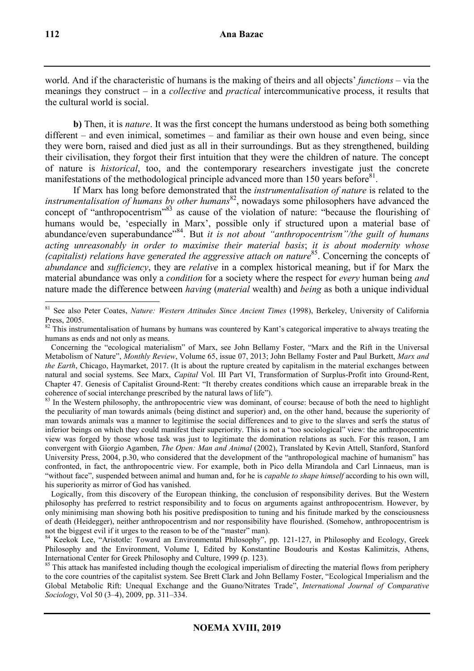world. And if the characteristic of humans is the making of theirs and all objects' *functions* – via the meanings they construct – in a *collective* and *practical* intercommunicative process, it results that the cultural world is social.

**b)** Then, it is *nature*. It was the first concept the humans understood as being both something different – and even inimical, sometimes – and familiar as their own house and even being, since they were born, raised and died just as all in their surroundings. But as they strengthened, building their civilisation, they forgot their first intuition that they were the children of nature. The concept of nature is *historical*, too, and the contemporary researchers investigate just the concrete manifestations of the methodological principle advanced more than 150 years before<sup>81</sup>.

If Marx has long before demonstrated that the *instrumentalisation of nature* is related to the *instrumentalisation of humans by other humans*<sup>82</sup>, nowadays some philosophers have advanced the concept of "anthropocentrism"<sup>83</sup> as cause of the violation of nature: "because the flourishing of humans would be, 'especially in Marx', possible only if structured upon a material base of abundance/even superabundance<sup>384</sup>. But *it is not about "anthropocentrism"/the guilt of humans acting unreasonably in order to maximise their material basis*; *it is about modernity whose (capitalist) relations have generated the aggressive attach on nature*<sup>85</sup>. Concerning the concepts of *abundance* and *sufficiency*, they are *relative* in a complex historical meaning, but if for Marx the material abundance was only a *condition* for a society where the respect for *every* human being *and*  nature made the difference between *having* (*material* wealth) and *being* as both a unique individual

 $\overline{a}$ <sup>81</sup> See also Peter Coates, *Nature: Western Attitudes Since Ancient Times* (1998), Berkeley, University of California Press, 2005.

<sup>&</sup>lt;sup>82</sup> This instrumentalisation of humans by humans was countered by Kant's categorical imperative to always treating the humans as ends and not only as means.

Concerning the "ecological materialism" of Marx, see John Bellamy Foster, "Marx and the Rift in the Universal Metabolism of Nature", *Monthly Review*, Volume 65, issue 07, 2013; John Bellamy Foster and Paul Burkett, *Marx and the Earth*, Chicago, Haymarket, 2017. (It is about the rupture created by capitalism in the material exchanges between natural and social systems. See Marx, *Capital* Vol. III Part VI, Transformation of Surplus-Profit into Ground-Rent, Chapter 47. Genesis of Capitalist Ground-Rent: "It thereby creates conditions which cause an irreparable break in the coherence of social interchange prescribed by the natural laws of life").

 $83$  In the Western philosophy, the anthropocentric view was dominant, of course: because of both the need to highlight the peculiarity of man towards animals (being distinct and superior) and, on the other hand, because the superiority of man towards animals was a manner to legitimise the social differences and to give to the slaves and serfs the status of inferior beings on which they could manifest their superiority. This is not a "too sociological" view: the anthropocentric view was forged by those whose task was just to legitimate the domination relations as such. For this reason, I am convergent with Giorgio Agamben, *The Open: Man and Animal* (2002), Translated by Kevin Attell, Stanford, Stanford University Press, 2004, p.30, who considered that the development of the "anthropological machine of humanism" has confronted, in fact, the anthropocentric view. For example, both in Pico della Mirandola and Carl Linnaeus, man is "without face", suspended between animal and human and, for he is *capable to shape himself* according to his own will, his superiority as mirror of God has vanished.

Logically, from this discovery of the European thinking, the conclusion of responsibility derives. But the Western philosophy has preferred to restrict responsibility and to focus on arguments against anthropocentrism. However, by only minimising man showing both his positive predisposition to tuning and his finitude marked by the consciousness of death (Heidegger), neither anthropocentrism and nor responsibility have flourished. (Somehow, anthropocentrism is not the biggest evil if it urges to the reason to be of the "master" man).

<sup>&</sup>lt;sup>84</sup> Keekok Lee, "Aristotle: Toward an Environmental Philosophy", pp. 121-127, in Philosophy and Ecology, Greek Philosophy and the Environment, Volume I, Edited by Konstantine Boudouris and Kostas Kalimitzis, Athens, International Center for Greek Philosophy and Culture, 1999 (p. 123).

<sup>&</sup>lt;sup>85</sup> This attack has manifested including though the ecological imperialism of directing the material flows from periphery to the core countries of the capitalist system. See Brett Clark and John Bellamy Foster, "Ecological Imperialism and the Global Metabolic Rift: Unequal Exchange and the Guano/Nitrates Trade", *International Journal of Comparative Sociology*, Vol 50 (3–4), 2009, pp. 311–334.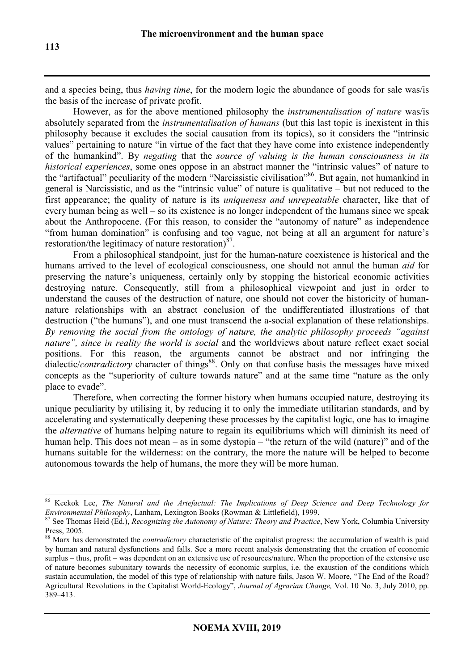and a species being, thus *having time*, for the modern logic the abundance of goods for sale was/is the basis of the increase of private profit.

However, as for the above mentioned philosophy the *instrumentalisation of nature* was/is absolutely separated from the *instrumentalisation of humans* (but this last topic is inexistent in this philosophy because it excludes the social causation from its topics), so it considers the "intrinsic values" pertaining to nature "in virtue of the fact that they have come into existence independently of the humankind". By *negating* that the *source of valuing is the human consciousness in its historical experiences*, some ones oppose in an abstract manner the "intrinsic values" of nature to the "artifactual" peculiarity of the modern "Narcissistic civilisation"<sup>86</sup>. But again, not humankind in general is Narcissistic, and as the "intrinsic value" of nature is qualitative – but not reduced to the first appearance; the quality of nature is its *uniqueness and unrepeatable* character, like that of every human being as well – so its existence is no longer independent of the humans since we speak about the Anthropocene. (For this reason, to consider the "autonomy of nature" as independence "from human domination" is confusing and too vague, not being at all an argument for nature's restoration/the legitimacy of nature restoration) $^{87}$ .

From a philosophical standpoint, just for the human-nature coexistence is historical and the humans arrived to the level of ecological consciousness, one should not annul the human *aid* for preserving the nature's uniqueness, certainly only by stopping the historical economic activities destroying nature. Consequently, still from a philosophical viewpoint and just in order to understand the causes of the destruction of nature, one should not cover the historicity of humannature relationships with an abstract conclusion of the undifferentiated illustrations of that destruction ("the humans"), and one must transcend the a-social explanation of these relationships. *By removing the social from the ontology of nature, the analytic philosophy proceeds "against nature", since in reality the world is social* and the worldviews about nature reflect exact social positions. For this reason, the arguments cannot be abstract and nor infringing the  $\frac{d}{dt}$  dialectic/*contradictory* character of things<sup>88</sup>. Only on that confuse basis the messages have mixed concepts as the "superiority of culture towards nature" and at the same time "nature as the only place to evade".

Therefore, when correcting the former history when humans occupied nature, destroying its unique peculiarity by utilising it, by reducing it to only the immediate utilitarian standards, and by accelerating and systematically deepening these processes by the capitalist logic, one has to imagine the *alternative* of humans helping nature to regain its equilibriums which will diminish its need of human help. This does not mean – as in some dystopia – "the return of the wild (nature)" and of the humans suitable for the wilderness: on the contrary, the more the nature will be helped to become autonomous towards the help of humans, the more they will be more human.

 $\overline{a}$ <sup>86</sup> Keekok Lee, *The Natural and the Artefactual: The Implications of Deep Science and Deep Technology for Environmental Philosophy*, Lanham, Lexington Books (Rowman & Littlefield), 1999.

<sup>&</sup>lt;sup>87</sup> See Thomas Heid (Ed.), *Recognizing the Autonomy of Nature: Theory and Practice*, New York, Columbia University Press, 2005.

<sup>88</sup> Marx has demonstrated the *contradictory* characteristic of the capitalist progress: the accumulation of wealth is paid by human and natural dysfunctions and falls. See a more recent analysis demonstrating that the creation of economic surplus – thus, profit – was dependent on an extensive use of resources/nature. When the proportion of the extensive use of nature becomes subunitary towards the necessity of economic surplus, i.e. the exaustion of the conditions which sustain accumulation, the model of this type of relationship with nature fails, Jason W. Moore, "The End of the Road? Agricultural Revolutions in the Capitalist World-Ecology", *Journal of Agrarian Change,* Vol. 10 No. 3, July 2010, pp. 389–413.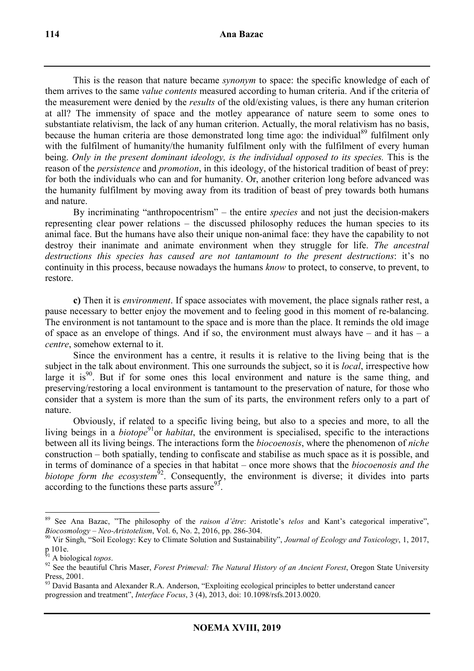This is the reason that nature became *synonym* to space: the specific knowledge of each of them arrives to the same *value contents* measured according to human criteria. And if the criteria of the measurement were denied by the *results* of the old/existing values, is there any human criterion at all? The immensity of space and the motley appearance of nature seem to some ones to substantiate relativism, the lack of any human criterion. Actually, the moral relativism has no basis, because the human criteria are those demonstrated long time ago: the individual<sup>89</sup> fulfilment only with the fulfilment of humanity/the humanity fulfilment only with the fulfilment of every human being. *Only in the present dominant ideology, is the individual opposed to its species.* This is the reason of the *persistence* and *promotion*, in this ideology, of the historical tradition of beast of prey: for both the individuals who can and for humanity. Or, another criterion long before advanced was the humanity fulfilment by moving away from its tradition of beast of prey towards both humans and nature.

By incriminating "anthropocentrism" – the entire *species* and not just the decision-makers representing clear power relations – the discussed philosophy reduces the human species to its animal face. But the humans have also their unique non-animal face: they have the capability to not destroy their inanimate and animate environment when they struggle for life. *The ancestral destructions this species has caused are not tantamount to the present destructions*: it's no continuity in this process, because nowadays the humans *know* to protect, to conserve, to prevent, to restore.

**c)** Then it is *environment*. If space associates with movement, the place signals rather rest, a pause necessary to better enjoy the movement and to feeling good in this moment of re-balancing. The environment is not tantamount to the space and is more than the place. It reminds the old image of space as an envelope of things. And if so, the environment must always have  $-$  and it has  $-$  a *centre*, somehow external to it.

Since the environment has a centre, it results it is relative to the living being that is the subject in the talk about environment. This one surrounds the subject, so it is *local*, irrespective how large it is<sup>90</sup>. But if for some ones this local environment and nature is the same thing, and preserving/restoring a local environment is tantamount to the preservation of nature, for those who consider that a system is more than the sum of its parts, the environment refers only to a part of nature.

Obviously, if related to a specific living being, but also to a species and more, to all the living beings in a *biotope*<sup>91</sup>or *habitat*, the environment is specialised, specific to the interactions between all its living beings. The interactions form the *biocoenosis*, where the phenomenon of *niche* construction – both spatially, tending to confiscate and stabilise as much space as it is possible, and in terms of dominance of a species in that habitat – once more shows that the *biocoenosis and the biotope form the ecosystem*<sup>92</sup>. Consequently, the environment is diverse; it divides into parts according to the functions these parts assure  $93$ .

<sup>89</sup> See Ana Bazac, "The philosophy of the *raison d'être*: Aristotle's *telos* and Kant's categorical imperative", *Biocosmology – Neo-Aristotelism*, Vol. 6, No. 2, 2016, pp. 286-304.

<sup>90</sup> Vir Singh, "Soil Ecology: Key to Climate Solution and Sustainability", *Journal of Ecology and Toxicology*, 1, 2017, p 101e.

<sup>91</sup> A biological *topos*.

<sup>92</sup> See the beautiful Chris Maser, *Forest Primeval: The Natural History of an Ancient Forest*, Oregon State University Press, 2001.

<sup>&</sup>lt;sup>93</sup> David Basanta and Alexander R.A. Anderson, "Exploiting ecological principles to better understand cancer progression and treatment", *Interface Focus*, 3 (4), 2013, doi: 10.1098/rsfs.2013.0020.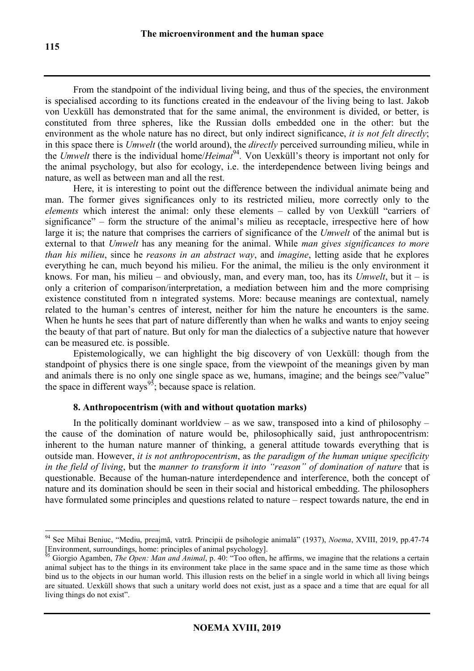From the standpoint of the individual living being, and thus of the species, the environment is specialised according to its functions created in the endeavour of the living being to last. Jakob von Uexküll has demonstrated that for the same animal, the environment is divided, or better, is constituted from three spheres, like the Russian dolls embedded one in the other: but the environment as the whole nature has no direct, but only indirect significance, *it is not felt directly*; in this space there is *Umwelt* (the world around), the *directly* perceived surrounding milieu, while in the *Umwelt* there is the individual home/*Heimat*<sup>94</sup>. Von Uexküll's theory is important not only for the animal psychology, but also for ecology, i.e. the interdependence between living beings and nature, as well as between man and all the rest.

Here, it is interesting to point out the difference between the individual animate being and man. The former gives significances only to its restricted milieu, more correctly only to the *elements* which interest the animal: only these elements – called by von Uexküll "carriers of significance" – form the structure of the animal's milieu as receptacle, irrespective here of how large it is; the nature that comprises the carriers of significance of the *Umwelt* of the animal but is external to that *Umwelt* has any meaning for the animal. While *man gives significances to more than his milieu*, since he *reasons in an abstract way*, and *imagine*, letting aside that he explores everything he can, much beyond his milieu. For the animal, the milieu is the only environment it knows. For man, his milieu – and obviously, man, and every man, too, has its *Umwelt*, but it – is only a criterion of comparison/interpretation, a mediation between him and the more comprising existence constituted from n integrated systems. More: because meanings are contextual, namely related to the human's centres of interest, neither for him the nature he encounters is the same. When he hunts he sees that part of nature differently than when he walks and wants to enjoy seeing the beauty of that part of nature. But only for man the dialectics of a subjective nature that however can be measured etc. is possible.

Epistemologically, we can highlight the big discovery of von Uexküll: though from the standpoint of physics there is one single space, from the viewpoint of the meanings given by man and animals there is no only one single space as we, humans, imagine; and the beings see/"value" the space in different ways<sup>95</sup>; because space is relation.

### **8. Anthropocentrism (with and without quotation marks)**

In the politically dominant worldview – as we saw, transposed into a kind of philosophy – the cause of the domination of nature would be, philosophically said, just anthropocentrism: inherent to the human nature manner of thinking, a general attitude towards everything that is outside man. However, *it is not anthropocentrism*, as *the paradigm of the human unique specificity in the field of living*, but the *manner to transform it into "reason" of domination of nature* that is questionable. Because of the human-nature interdependence and interference, both the concept of nature and its domination should be seen in their social and historical embedding. The philosophers have formulated some principles and questions related to nature – respect towards nature, the end in

<sup>94</sup> See Mihai Beniuc, "Mediu, preajmă, vatră. Principii de psihologie animală" (1937), *Noema*, XVIII, 2019, pp.47-74 [Environment, surroundings, home: principles of animal psychology].

<sup>95</sup> Giorgio Agamben, *The Open: Man and Animal*, p. 40: "Too often, he affirms, we imagine that the relations a certain animal subject has to the things in its environment take place in the same space and in the same time as those which bind us to the objects in our human world. This illusion rests on the belief in a single world in which all living beings are situated. Uexküll shows that such a unitary world does not exist, just as a space and a time that are equal for all living things do not exist".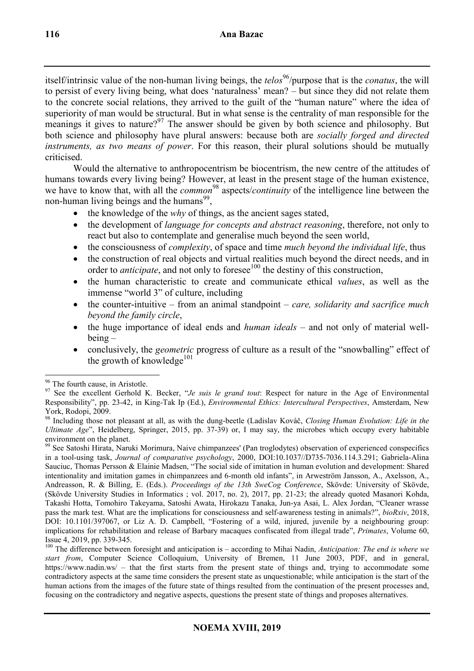itself/intrinsic value of the non-human living beings, the *telos*<sup>96</sup>/purpose that is the *conatus*, the will to persist of every living being, what does 'naturalness' mean? – but since they did not relate them to the concrete social relations, they arrived to the guilt of the "human nature" where the idea of superiority of man would be structural. But in what sense is the centrality of man responsible for the meanings it gives to nature?<sup>97</sup> The answer should be given by both science and philosophy. But both science and philosophy have plural answers: because both are *socially forged and directed instruments, as two means of power*. For this reason, their plural solutions should be mutually criticised.

Would the alternative to anthropocentrism be biocentrism, the new centre of the attitudes of humans towards every living being? However, at least in the present stage of the human existence, we have to know that, with all the *common* <sup>98</sup> aspects/*continuity* of the intelligence line between the non-human living beings and the humans<sup>99</sup>,

- the knowledge of the *why* of things, as the ancient sages stated,
- the development of *language for concepts and abstract reasoning*, therefore, not only to react but also to contemplate and generalise much beyond the seen world,
- the consciousness of *complexity*, of space and time *much beyond the individual life*, thus
- the construction of real objects and virtual realities much beyond the direct needs, and in order to *anticipate*, and not only to foresee<sup>100</sup> the destiny of this construction,
- the human characteristic to create and communicate ethical *values*, as well as the immense "world 3" of culture, including
- the counter-intuitive from an animal standpoint *care, solidarity and sacrifice much beyond the family circle*,
- the huge importance of ideal ends and *human ideals* and not only of material wellbeing –
- conclusively, the *geometric* progress of culture as a result of the "snowballing" effect of the growth of knowledge<sup>101</sup>

 $\overline{a}$ <sup>96</sup> The fourth cause, in Aristotle.

<sup>97</sup> See the excellent Gerhold K. Becker, "*Je suis le grand tout*: Respect for nature in the Age of Environmental Responsibility", pp. 23-42, in King-Tak Ip (Ed.), *Environmental Ethics: Intercultural Perspectives*, Amsterdam, New York, Rodopi, 2009.

<sup>98</sup> Including those not pleasant at all, as with the dung-beetle (Ladislav Kovàč, *Closing Human Evolution: Life in the Ultimate Age*", Heidelberg, Springer, 2015, pp. 37-39) or, I may say, the microbes which occupy every habitable environment on the planet.

<sup>99</sup> See Satoshi Hirata, Naruki Morimura, Naive chimpanzees' (Pan troglodytes) observation of experienced conspecifics in a tool-using task, *Journal of comparative psychology*, 2000, DOI:10.1037//D735-7036.114.3.291; Gabriela-Alina Sauciuc, Thomas Persson & Elainie Madsen, "The social side of imitation in human evolution and development: Shared intentionality and imitation games in chimpanzees and 6-month old infants", in Arweström Jansson, A., Axelsson, A., Andreasson, R. & Billing, E. (Eds.). *Proceedings of the 13th SweCog Conference*, Skövde: University of Skövde, (Skövde University Studies in Informatics ; vol. 2017, no. 2), 2017, pp. 21-23; the already quoted Masanori Kohda, Takashi Hotta, Tomohiro Takeyama, Satoshi Awata, Hirokazu Tanaka, Jun-ya Asai, L. Alex Jordan, "Cleaner wrasse pass the mark test. What are the implications for consciousness and self-awareness testing in animals?", *bioRxiv*, 2018, DOI: 10.1101/397067, or Liz A. D. Campbell, "Fostering of a wild, injured, juvenile by a neighbouring group: implications for rehabilitation and release of Barbary macaques confiscated from illegal trade", *Primates*, Volume 60, Issue 4, 2019, pp. 339-345.

<sup>100</sup> The difference between foresight and anticipation is – according to Mihai Nadin, *Anticipation: The end is where we start from*, Computer Science Colloquium, University of Bremen, 11 June 2003, PDF, and in general, https://www.nadin.ws/ – that the first starts from the present state of things and, trying to accommodate some contradictory aspects at the same time considers the present state as unquestionable; while anticipation is the start of the human actions from the images of the future state of things resulted from the continuation of the present processes and, focusing on the contradictory and negative aspects, questions the present state of things and proposes alternatives.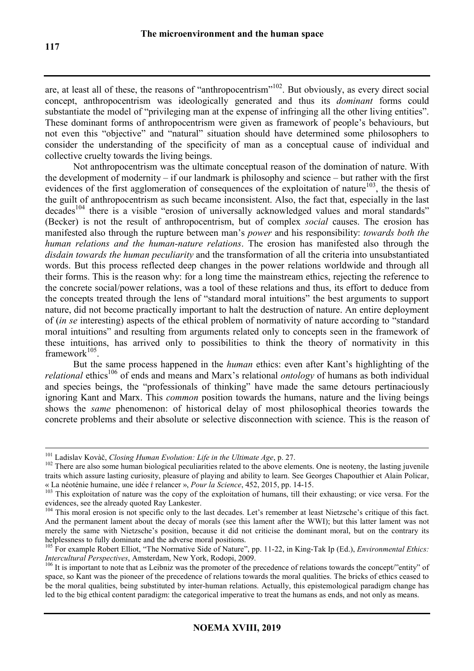are, at least all of these, the reasons of "anthropocentrism"<sup>102</sup>. But obviously, as every direct social concept, anthropocentrism was ideologically generated and thus its *dominant* forms could substantiate the model of "privileging man at the expense of infringing all the other living entities". These dominant forms of anthropocentrism were given as framework of people's behaviours, but not even this "objective" and "natural" situation should have determined some philosophers to consider the understanding of the specificity of man as a conceptual cause of individual and collective cruelty towards the living beings.

Not anthropocentrism was the ultimate conceptual reason of the domination of nature. With the development of modernity – if our landmark is philosophy and science – but rather with the first evidences of the first agglomeration of consequences of the exploitation of nature<sup>103</sup>, the thesis of the guilt of anthropocentrism as such became inconsistent. Also, the fact that, especially in the last  $decades<sup>104</sup>$  there is a visible "erosion of universally acknowledged values and moral standards" (Becker) is not the result of anthropocentrism, but of complex *social* causes. The erosion has manifested also through the rupture between man's *power* and his responsibility: *towards both the human relations and the human-nature relations*. The erosion has manifested also through the *disdain towards the human peculiarity* and the transformation of all the criteria into unsubstantiated words. But this process reflected deep changes in the power relations worldwide and through all their forms. This is the reason why: for a long time the mainstream ethics, rejecting the reference to the concrete social/power relations, was a tool of these relations and thus, its effort to deduce from the concepts treated through the lens of "standard moral intuitions" the best arguments to support nature, did not become practically important to halt the destruction of nature. An entire deployment of (*in se* interesting) aspects of the ethical problem of normativity of nature according to "standard moral intuitions" and resulting from arguments related only to concepts seen in the framework of these intuitions, has arrived only to possibilities to think the theory of normativity in this framework $^{105}$ .

But the same process happened in the *human* ethics: even after Kant's highlighting of the *relational* ethics<sup>106</sup> of ends and means and Marx's relational *ontology* of humans as both individual and species beings, the "professionals of thinking" have made the same detours pertinaciously ignoring Kant and Marx. This *common* position towards the humans, nature and the living beings shows the *same* phenomenon: of historical delay of most philosophical theories towards the concrete problems and their absolute or selective disconnection with science. This is the reason of

<sup>101</sup> Ladislav Kovàč, *Closing Human Evolution: Life in the Ultimate Age*, p. 27.

<sup>&</sup>lt;sup>102</sup> There are also some human biological peculiarities related to the above elements. One is neoteny, the lasting juvenile traits which assure lasting curiosity, pleasure of playing and ability to learn. See Georges Chapouthier et Alain Policar, « La néoténie humaine, une idée ŕ relancer », *Pour la Science*, 452, 2015, pp. 14-15.

<sup>&</sup>lt;sup>103</sup> This exploitation of nature was the copy of the exploitation of humans, till their exhausting; or vice versa. For the evidences, see the already quoted Ray Lankester.

<sup>&</sup>lt;sup>104</sup> This moral erosion is not specific only to the last decades. Let's remember at least Nietzsche's critique of this fact. And the permanent lament about the decay of morals (see this lament after the WWI); but this latter lament was not merely the same with Nietzsche's position, because it did not criticise the dominant moral, but on the contrary its helplessness to fully dominate and the adverse moral positions.

<sup>105</sup> For example Robert Elliot, "The Normative Side of Nature", pp. 11-22, in King-Tak Ip (Ed.), *Environmental Ethics: Intercultural Perspectives*, Amsterdam, New York, Rodopi, 2009.

<sup>&</sup>lt;sup>106</sup> It is important to note that as Leibniz was the promoter of the precedence of relations towards the concept/"entity" of space, so Kant was the pioneer of the precedence of relations towards the moral qualities. The bricks of ethics ceased to be the moral qualities, being substituted by inter-human relations. Actually, this epistemological paradigm change has led to the big ethical content paradigm: the categorical imperative to treat the humans as ends, and not only as means.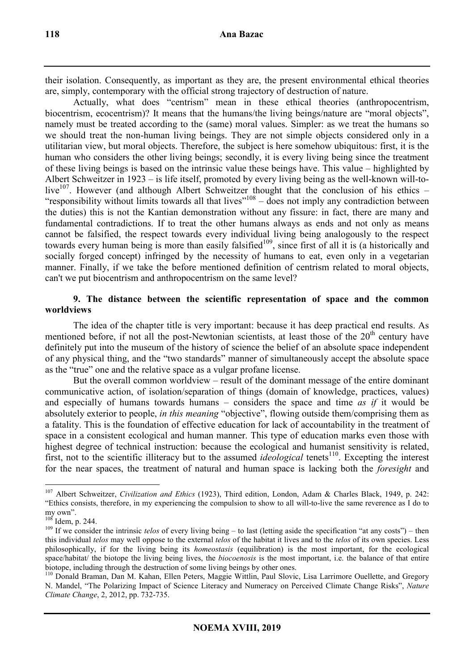their isolation. Consequently, as important as they are, the present environmental ethical theories are, simply, contemporary with the official strong trajectory of destruction of nature.

Actually, what does "centrism" mean in these ethical theories (anthropocentrism, biocentrism, ecocentrism)? It means that the humans/the living beings/nature are "moral objects", namely must be treated according to the (same) moral values. Simpler: as we treat the humans so we should treat the non-human living beings. They are not simple objects considered only in a utilitarian view, but moral objects. Therefore, the subject is here somehow ubiquitous: first, it is the human who considers the other living beings; secondly, it is every living being since the treatment of these living beings is based on the intrinsic value these beings have. This value – highlighted by Albert Schweitzer in 1923 – is life itself, promoted by every living being as the well-known will-tolive<sup>107</sup>. However (and although Albert Schweitzer thought that the conclusion of his ethics – "responsibility without limits towards all that lives $108 - 108$  – does not imply any contradiction between the duties) this is not the Kantian demonstration without any fissure: in fact, there are many and fundamental contradictions. If to treat the other humans always as ends and not only as means cannot be falsified, the respect towards every individual living being analogously to the respect towards every human being is more than easily falsified<sup>109</sup>, since first of all it is (a historically and socially forged concept) infringed by the necessity of humans to eat, even only in a vegetarian manner. Finally, if we take the before mentioned definition of centrism related to moral objects, can't we put biocentrism and anthropocentrism on the same level?

# **9. The distance between the scientific representation of space and the common worldviews**

The idea of the chapter title is very important: because it has deep practical end results. As mentioned before, if not all the post-Newtonian scientists, at least those of the  $20<sup>th</sup>$  century have definitely put into the museum of the history of science the belief of an absolute space independent of any physical thing, and the "two standards" manner of simultaneously accept the absolute space as the "true" one and the relative space as a vulgar profane license.

But the overall common worldview – result of the dominant message of the entire dominant communicative action, of isolation/separation of things (domain of knowledge, practices, values) and especially of humans towards humans – considers the space and time *as if* it would be absolutely exterior to people, *in this meaning* "objective", flowing outside them/comprising them as a fatality. This is the foundation of effective education for lack of accountability in the treatment of space in a consistent ecological and human manner. This type of education marks even those with highest degree of technical instruction: because the ecological and humanist sensitivity is related, first, not to the scientific illiteracy but to the assumed *ideological* tenets<sup>110</sup>. Excepting the interest for the near spaces, the treatment of natural and human space is lacking both the *foresight* and

 $\overline{a}$ <sup>107</sup> Albert Schweitzer, *Civilization and Ethics* (1923), Third edition, London, Adam & Charles Black, 1949, p. 242: "Ethics consists, therefore, in my experiencing the compulsion to show to all will-to-live the same reverence as I do to my own".

 $10^{8}$  Idem, p. 244.

<sup>&</sup>lt;sup>109</sup> If we consider the intrinsic *telos* of every living being – to last (letting aside the specification "at any costs") – then this individual *telos* may well oppose to the external *telos* of the habitat it lives and to the *telos* of its own species. Less philosophically, if for the living being its *homeostasis* (equilibration) is the most important, for the ecological space/habitat/ the biotope the living being lives, the *biocoenosis* is the most important, i.e. the balance of that entire biotope, including through the destruction of some living beings by other ones.

<sup>&</sup>lt;sup>110</sup> Donald Braman, Dan M. Kahan, Ellen Peters, Maggie Wittlin, Paul Slovic, Lisa Larrimore Ouellette, and Gregory N. Mandel, "The Polarizing Impact of Science Literacy and Numeracy on Perceived Climate Change Risks", *Nature Climate Change*, 2, 2012, pp. 732-735.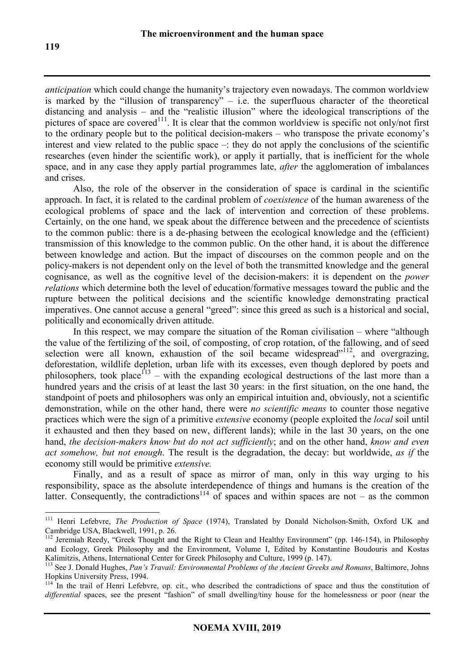*anticipation* which could change the humanity's trajectory even nowadays. The common worldview is marked by the "illusion of transparency" – i.e. the superfluous character of the theoretical distancing and analysis – and the "realistic illusion" where the ideological transcriptions of the pictures of space are covered<sup>111</sup>. It is clear that the common worldview is specific not only/not first to the ordinary people but to the political decision-makers – who transpose the private economy's interest and view related to the public space  $-$ : they do not apply the conclusions of the scientific researches (even hinder the scientific work), or apply it partially, that is inefficient for the whole space, and in any case they apply partial programmes late, *after* the agglomeration of imbalances and crises.

Also, the role of the observer in the consideration of space is cardinal in the scientific approach. In fact, it is related to the cardinal problem of *coexistence* of the human awareness of the ecological problems of space and the lack of intervention and correction of these problems. Certainly, on the one hand, we speak about the difference between and the precedence of scientists to the common public: there is a de-phasing between the ecological knowledge and the (efficient) transmission of this knowledge to the common public. On the other hand, it is about the difference between knowledge and action. But the impact of discourses on the common people and on the policy-makers is not dependent only on the level of both the transmitted knowledge and the general cognisance, as well as the cognitive level of the decision-makers: it is dependent on the *power relations* which determine both the level of education/formative messages toward the public and the rupture between the political decisions and the scientific knowledge demonstrating practical imperatives. One cannot accuse a general "greed": since this greed as such is a historical and social, politically and economically driven attitude.

In this respect, we may compare the situation of the Roman civilisation – where "although the value of the fertilizing of the soil, of composting, of crop rotation, of the fallowing, and of seed selection were all known, exhaustion of the soil became widespread"<sup>112</sup>, and overgrazing, deforestation, wildlife depletion, urban life with its excesses, even though deplored by poets and philosophers, took place<sup> $13$ </sup> – with the expanding ecological destructions of the last more than a hundred years and the crisis of at least the last 30 years: in the first situation, on the one hand, the standpoint of poets and philosophers was only an empirical intuition and, obviously, not a scientific demonstration, while on the other hand, there were *no scientific means* to counter those negative practices which were the sign of a primitive *extensive* economy (people exploited the *local* soil until it exhausted and then they based on new, different lands); while in the last 30 years, on the one hand, *the decision-makers know but do not act sufficiently*; and on the other hand, *know and even act somehow, but not enough*. The result is the degradation, the decay: but worldwide, *as if* the economy still would be primitive *extensive.*

Finally, and as a result of space as mirror of man, only in this way urging to his responsibility, space as the absolute interdependence of things and humans is the creation of the latter. Consequently, the contradictions<sup>114</sup> of spaces and within spaces are not – as the common

<sup>111</sup> Henri Lefebvre, *The Production of Space* (1974), Translated by Donald Nicholson-Smith, Oxford UK and Cambridge USA, Blackwell, 1991, p. 26.

<sup>112</sup> Jeremiah Reedy, "Greek Thought and the Right to Clean and Healthy Environment" (pp. 146-154), in Philosophy and Ecology, Greek Philosophy and the Environment, Volume I, Edited by Konstantine Boudouris and Kostas Kalimitzis, Athens, International Center for Greek Philosophy and Culture, 1999 (p. 147).

<sup>113</sup> See J. Donald Hughes, *Pan's Travail: Environmental Problems of the Ancient Greeks and Romans*, Baltimore, Johns Hopkins University Press, 1994.

<sup>&</sup>lt;sup>114</sup> In the trail of Henri Lefebvre, op. cit., who described the contradictions of space and thus the constitution of *differential* spaces, see the present "fashion" of small dwelling/tiny house for the homelessness or poor (near the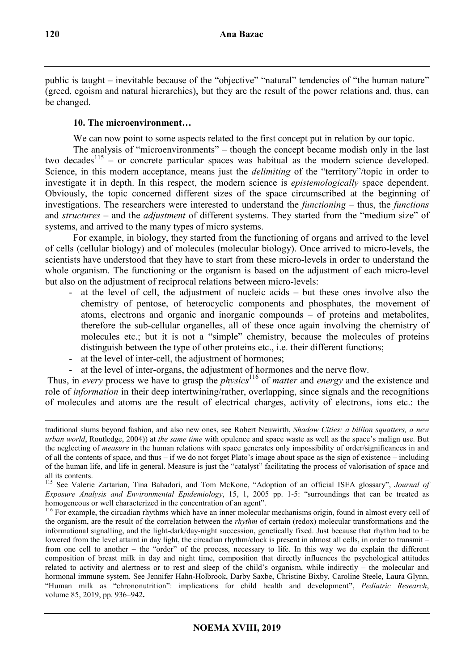public is taught – inevitable because of the "objective" "natural" tendencies of "the human nature" (greed, egoism and natural hierarchies), but they are the result of the power relations and, thus, can be changed.

# **10. The microenvironment…**

We can now point to some aspects related to the first concept put in relation by our topic.

The analysis of "microenvironments" – though the concept became modish only in the last two decades<sup>115</sup> – or concrete particular spaces was habitual as the modern science developed. Science, in this modern acceptance, means just the *delimiting* of the "territory"/topic in order to investigate it in depth. In this respect, the modern science is *epistemologically* space dependent. Obviously, the topic concerned different sizes of the space circumscribed at the beginning of investigations. The researchers were interested to understand the *functioning* – thus, the *functions*  and *structures* – and the *adjustment* of different systems. They started from the "medium size" of systems, and arrived to the many types of micro systems.

For example, in biology, they started from the functioning of organs and arrived to the level of cells (cellular biology) and of molecules (molecular biology). Once arrived to micro-levels, the scientists have understood that they have to start from these micro-levels in order to understand the whole organism. The functioning or the organism is based on the adjustment of each micro-level but also on the adjustment of reciprocal relations between micro-levels:

- at the level of cell, the adjustment of nucleic acids  $-$  but these ones involve also the chemistry of pentose, of heterocyclic components and phosphates, the movement of atoms, electrons and organic and inorganic compounds – of proteins and metabolites, therefore the sub-cellular organelles, all of these once again involving the chemistry of molecules etc.; but it is not a "simple" chemistry, because the molecules of proteins distinguish between the type of other proteins etc., i.e. their different functions;
- at the level of inter-cell, the adjustment of hormones;
- at the level of inter-organs, the adjustment of hormones and the nerve flow.

 Thus, in *every* process we have to grasp the *physics*<sup>116</sup> of *matter* and *energy* and the existence and role of *information* in their deep intertwining/rather, overlapping, since signals and the recognitions of molecules and atoms are the result of electrical charges, activity of electrons, ions etc.: the

traditional slums beyond fashion, and also new ones, see Robert Neuwirth, *Shadow Cities: a billion squatters, a new urban world*, Routledge, 2004)) at *the same time* with opulence and space waste as well as the space's malign use. But the neglecting of *measure* in the human relations with space generates only impossibility of order/significances in and of all the contents of space, and thus – if we do not forget Plato's image about space as the sign of existence – including of the human life, and life in general. Measure is just the "catalyst" facilitating the process of valorisation of space and all its contents.

<sup>115</sup> See Valerie Zartarian, Tina Bahadori, and Tom McKone, "Adoption of an official ISEA glossary", *Journal of Exposure Analysis and Environmental Epidemiology*, 15, 1, 2005 pp. 1-5: "surroundings that can be treated as homogeneous or well characterized in the concentration of an agent".

<sup>&</sup>lt;sup>116</sup> For example, the circadian rhythms which have an inner molecular mechanisms origin, found in almost every cell of the organism, are the result of the correlation between the *rhythm* of certain (redox) molecular transformations and the informational signalling, and the light-dark/day-night succession, genetically fixed. Just because that rhythm had to be lowered from the level attaint in day light, the circadian rhythm/clock is present in almost all cells, in order to transmit – from one cell to another – the "order" of the process, necessary to life. In this way we do explain the different composition of breast milk in day and night time, composition that directly influences the psychological attitudes related to activity and alertness or to rest and sleep of the child's organism, while indirectly – the molecular and hormonal immune system. See Jennifer Hahn-Holbrook, Darby Saxbe, Christine Bixby, Caroline Steele, Laura Glynn, "Human milk as "chrononutrition": implications for child health and development**"**, *Pediatric Research*, volume 85, 2019, pp. 936–942**.**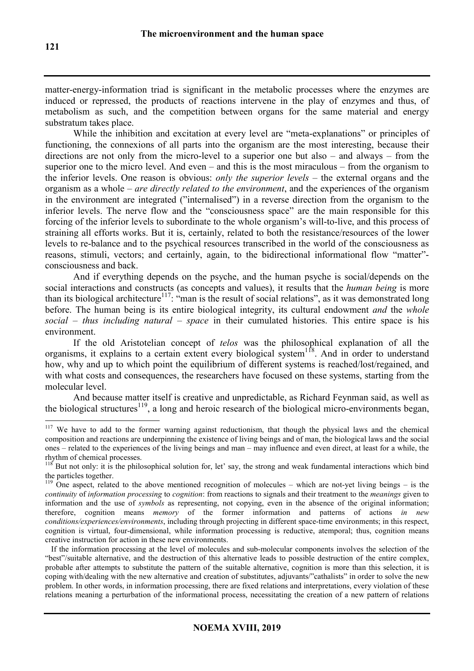matter-energy-information triad is significant in the metabolic processes where the enzymes are induced or repressed, the products of reactions intervene in the play of enzymes and thus, of metabolism as such, and the competition between organs for the same material and energy substratum takes place.

While the inhibition and excitation at every level are "meta-explanations" or principles of functioning, the connexions of all parts into the organism are the most interesting, because their directions are not only from the micro-level to a superior one but also – and always – from the superior one to the micro level. And even – and this is the most miraculous – from the organism to the inferior levels. One reason is obvious: *only the superior levels* – the external organs and the organism as a whole – *are directly related to the environment*, and the experiences of the organism in the environment are integrated ("internalised") in a reverse direction from the organism to the inferior levels. The nerve flow and the "consciousness space" are the main responsible for this forcing of the inferior levels to subordinate to the whole organism's will-to-live, and this process of straining all efforts works. But it is, certainly, related to both the resistance/resources of the lower levels to re-balance and to the psychical resources transcribed in the world of the consciousness as reasons, stimuli, vectors; and certainly, again, to the bidirectional informational flow "matter" consciousness and back.

And if everything depends on the psyche, and the human psyche is social/depends on the social interactions and constructs (as concepts and values), it results that the *human being* is more than its biological architecture<sup>117</sup>: "man is the result of social relations", as it was demonstrated long before. The human being is its entire biological integrity, its cultural endowment *and* the *whole social – thus including natural – space* in their cumulated histories. This entire space is his environment.

If the old Aristotelian concept of *telos* was the philosophical explanation of all the organisms, it explains to a certain extent every biological system<sup>118</sup>. And in order to understand how, why and up to which point the equilibrium of different systems is reached/lost/regained, and with what costs and consequences, the researchers have focused on these systems, starting from the molecular level.

And because matter itself is creative and unpredictable, as Richard Feynman said, as well as the biological structures<sup>119</sup>, a long and heroic research of the biological micro-environments began,

<sup>&</sup>lt;sup>117</sup> We have to add to the former warning against reductionism, that though the physical laws and the chemical composition and reactions are underpinning the existence of living beings and of man, the biological laws and the social ones – related to the experiences of the living beings and man – may influence and even direct, at least for a while, the rhythm of chemical processes.

 $118$  But not only: it is the philosophical solution for, let' say, the strong and weak fundamental interactions which bind the particles together.

<sup>&</sup>lt;sup>119</sup> One aspect, related to the above mentioned recognition of molecules – which are not-yet living beings – is the *continuity* of *information processing* to *cognition*: from reactions to signals and their treatment to the *meanings* given to information and the use of *symbols* as representing, not copying, even in the absence of the original information; therefore, cognition means *memory* of the former information and patterns of actions *in new conditions/experiences/environments*, including through projecting in different space-time environments; in this respect, cognition is virtual, four-dimensional, while information processing is reductive, atemporal; thus, cognition means creative instruction for action in these new environments.

If the information processing at the level of molecules and sub-molecular components involves the selection of the "best"/suitable alternative, and the destruction of this alternative leads to possible destruction of the entire complex, probable after attempts to substitute the pattern of the suitable alternative, cognition is more than this selection, it is coping with/dealing with the new alternative and creation of substitutes, adjuvants/"cathalists" in order to solve the new problem. In other words, in information processing, there are fixed relations and interpretations, every violation of these relations meaning a perturbation of the informational process, necessitating the creation of a new pattern of relations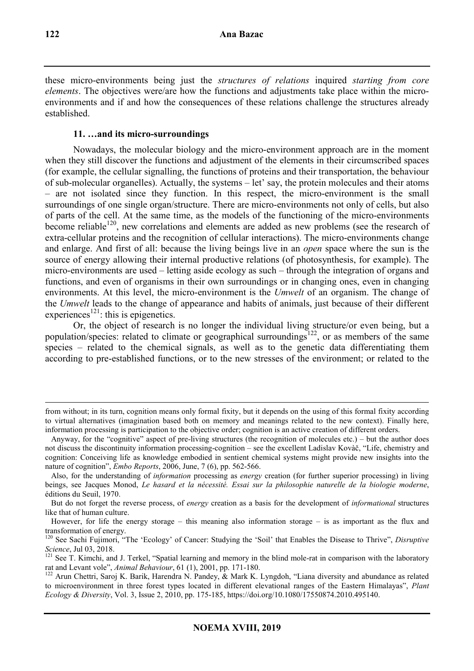these micro-environments being just the *structures of relations* inquired *starting from core elements*. The objectives were/are how the functions and adjustments take place within the microenvironments and if and how the consequences of these relations challenge the structures already established.

# **11. …and its micro-surroundings**

Nowadays, the molecular biology and the micro-environment approach are in the moment when they still discover the functions and adjustment of the elements in their circumscribed spaces (for example, the cellular signalling, the functions of proteins and their transportation, the behaviour of sub-molecular organelles). Actually, the systems – let' say, the protein molecules and their atoms – are not isolated since they function. In this respect, the micro-environment is the small surroundings of one single organ/structure. There are micro-environments not only of cells, but also of parts of the cell. At the same time, as the models of the functioning of the micro-environments become reliable<sup>120</sup>, new correlations and elements are added as new problems (see the research of extra-cellular proteins and the recognition of cellular interactions). The micro-environments change and enlarge. And first of all: because the living beings live in an *open* space where the sun is the source of energy allowing their internal productive relations (of photosynthesis, for example). The micro-environments are used – letting aside ecology as such – through the integration of organs and functions, and even of organisms in their own surroundings or in changing ones, even in changing environments. At this level, the micro-environment is the *Umwelt* of an organism. The change of the *Umwelt* leads to the change of appearance and habits of animals, just because of their different experiences<sup>121</sup>: this is epigenetics.

Or, the object of research is no longer the individual living structure/or even being, but a population/species: related to climate or geographical surroundings<sup>122</sup>, or as members of the same species – related to the chemical signals, as well as to the genetic data differentiating them according to pre-established functions, or to the new stresses of the environment; or related to the

from without; in its turn, cognition means only formal fixity, but it depends on the using of this formal fixity according to virtual alternatives (imagination based both on memory and meanings related to the new context). Finally here, information processing is participation to the objective order; cognition is an active creation of different orders.

Anyway, for the "cognitive" aspect of pre-living structures (the recognition of molecules etc.) – but the author does not discuss the discontinuity information processing-cognition – see the excellent Ladislav Kovàč, "Life, chemistry and cognition: Conceiving life as knowledge embodied in sentient chemical systems might provide new insights into the nature of cognition", *Embo Reports*, 2006, June, 7 (6), pp. 562-566.

Also, for the understanding of *information* processing as *energy* creation (for further superior processing) in living beings, see Jacques Monod, *Le hasard et la nécessité. Essai sur la philosophie naturelle de la biologie moderne*, éditions du Seuil, 1970.

But do not forget the reverse process, of *energy* creation as a basis for the development of *informational* structures like that of human culture.

However, for life the energy storage – this meaning also information storage – is as important as the flux and transformation of energy.

<sup>120</sup> See Sachi Fujimori, "The 'Ecology' of Cancer: Studying the 'Soil' that Enables the Disease to Thrive", *Disruptive Science*, Jul 03, 2018.

<sup>&</sup>lt;sup>121</sup> See T. Kimchi, and J. Terkel, "Spatial learning and memory in the blind mole-rat in comparison with the laboratory rat and Levant vole", *Animal Behaviour*, 61 (1), 2001, pp. 171-180.

<sup>&</sup>lt;sup>122</sup> Arun Chettri, Saroj K. Barik, Harendra N. Pandey, & Mark K. Lyngdoh, "Liana diversity and abundance as related to microenvironment in three forest types located in different elevational ranges of the Eastern Himalayas", *Plant Ecology & Diversity*, Vol. 3, Issue 2, 2010, pp. 175-185, https://doi.org/10.1080/17550874.2010.495140.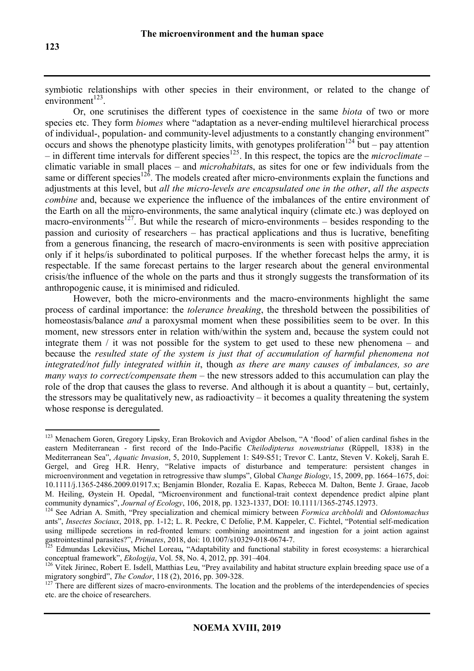symbiotic relationships with other species in their environment, or related to the change of  $environment^{123}$ .

Or, one scrutinises the different types of coexistence in the same *biota* of two or more species etc. They form *biomes* where "adaptation as a never-ending multilevel hierarchical process of individual-, population- and community-level adjustments to a constantly changing environment" occurs and shows the phenotype plasticity limits, with genotypes proliferation<sup>124</sup> but – pay attention  $-$  in different time intervals for different species<sup>125</sup>. In this respect, the topics are the *microclimate* – climatic variable in small places – and *microhabitat*s, as sites for one or few individuals from the same or different species<sup>126</sup>. The models created after micro-environments explain the functions and adjustments at this level, but *all the micro-levels are encapsulated one in the other*, *all the aspects combine* and, because we experience the influence of the imbalances of the entire environment of the Earth on all the micro-environments, the same analytical inquiry (climate etc.) was deployed on macro-environments<sup>127</sup>. But while the research of micro-environments – besides responding to the passion and curiosity of researchers – has practical applications and thus is lucrative, benefiting from a generous financing, the research of macro-environments is seen with positive appreciation only if it helps/is subordinated to political purposes. If the whether forecast helps the army, it is respectable. If the same forecast pertains to the larger research about the general environmental crisis/the influence of the whole on the parts and thus it strongly suggests the transformation of its anthropogenic cause, it is minimised and ridiculed.

However, both the micro-environments and the macro-environments highlight the same process of cardinal importance: the *tolerance breaking*, the threshold between the possibilities of homeostasis/balance *and* a paroxysmal moment when these possibilities seem to be over. In this moment, new stressors enter in relation with/within the system and, because the system could not integrate them / it was not possible for the system to get used to these new phenomena – and because the *resulted state of the system is just that of accumulation of harmful phenomena not integrated/not fully integrated within it*, though *as there are many causes of imbalances, so are many ways to correct/compensate them –* the new stressors added to this accumulation can play the role of the drop that causes the glass to reverse. And although it is about a quantity – but, certainly, the stressors may be qualitatively new, as radioactivity – it becomes a quality threatening the system whose response is deregulated.

 $\overline{a}$ <sup>123</sup> Menachem Goren, Gregory Lipsky, Eran Brokovich and Avigdor Abelson, "A 'flood' of alien cardinal fishes in the eastern Mediterranean - first record of the Indo-Pacific *Cheilodipterus novemstriatus* (Rüppell, 1838) in the Mediterranean Sea", *Aquatic Invasion*, 5, 2010, Supplement 1: S49-S51; Trevor C. Lantz, Steven V. Kokelj, Sarah E. Gergel, and Greg H.R. Henry, "Relative impacts of disturbance and temperature: persistent changes in microenvironment and vegetation in retrogressive thaw slumps", Global *Change Biology*, 15, 2009, pp. 1664–1675, doi: 10.1111/j.1365-2486.2009.01917.x; Benjamin Blonder, Rozalia E. Kapas, Rebecca M. Dalton, Bente J. Graae, Jacob M. Heiling, Øystein H. Opedal, "Microenvironment and functional-trait context dependence predict alpine plant community dynamics", *Journal of Ecology*, 106, 2018, pp. 1323-1337, DOI: 10.1111/1365-2745.12973.

<sup>124</sup> See Adrian A. Smith, "Prey specialization and chemical mimicry between *Formica archboldi* and *Odontomachus* ants", *Insectes Sociaux*, 2018, pp. 1-12; L. R. Peckre, C Defolie, P.M. Kappeler, C. Fichtel, "Potential self-medication using millipede secretions in red-fronted lemurs: combining anointment and ingestion for a joint action against gastrointestinal parasites?", *Primates*, 2018, doi: 10.1007/s10329-018-0674-7.

<sup>125</sup> Edmundas Lekevičius**,** Michel Loreau**,** "Adaptability and functional stability in forest ecosystems: a hierarchical conceptual framework", *Ekologija*, Vol. 58, No. 4, 2012, pp. 391–404.

<sup>&</sup>lt;sup>126</sup> Vitek Jirinec, Robert E. Isdell, Matthias Leu, "Prey availability and habitat structure explain breeding space use of a migratory songbird", *The Condor*, 118 (2), 2016, pp. 309-328.

<sup>&</sup>lt;sup>127</sup> There are different sizes of macro-environments. The location and the problems of the interdependencies of species etc. are the choice of researchers.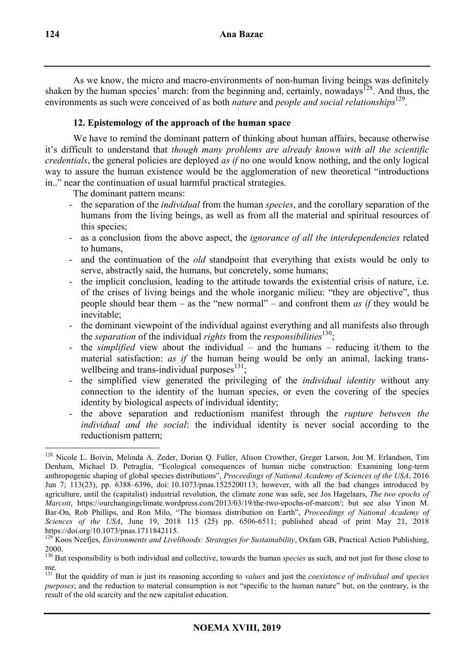As we know, the micro and macro-environments of non-human living beings was definitely shaken by the human species' march: from the beginning and, certainly, nowadays<sup>128</sup>. And thus, the environments as such were conceived of as both *nature* and *people and social relationships*<sup>129</sup>.

# **12. Epistemology of the approach of the human space**

We have to remind the dominant pattern of thinking about human affairs, because otherwise it's difficult to understand that *though many problems are already known with all the scientific credentials*, the general policies are deployed *as if* no one would know nothing, and the only logical way to assure the human existence would be the agglomeration of new theoretical "introductions" in.." near the continuation of usual harmful practical strategies.

The dominant pattern means:

- the separation of the *individual* from the human *species*, and the corollary separation of the humans from the living beings, as well as from all the material and spiritual resources of this species;
- as a conclusion from the above aspect, the *ignorance of all the interdependencies* related to humans,
- and the continuation of the *old* standpoint that everything that exists would be only to serve, abstractly said, the humans, but concretely, some humans;
- the implicit conclusion, leading to the attitude towards the existential crisis of nature, i.e. of the crises of living beings and the whole inorganic milieu: "they are objective", thus people should bear them – as the "new normal" – and confront them *as if* they would be inevitable;
- the dominant viewpoint of the individual against everything and all manifests also through the *separation* of the individual *rights* from the *responsibilities*<sup>130</sup>;
- the *simplified* view about the individual and the humans reducing it/them to the material satisfaction: *as if* the human being would be only an animal, lacking transwellbeing and trans-individual purposes $131$ ;
- the simplified view generated the privileging of the *individual identity* without any connection to the identity of the human species, or even the covering of the species identity by biological aspects of individual identity;
- the above separation and reductionism manifest through the *rupture between the individual and the social*: the individual identity is never social according to the reductionism pattern;

<sup>128</sup> Nicole L. Boivin, Melinda A. Zeder, Dorian Q. Fuller, Alison Crowther, Greger Larson, Jon M. Erlandson, Tim Denham, Michael D. Petraglia, "Ecological consequences of human niche construction: Examining long-term anthropogenic shaping of global species distributions", *Proceedings of National Academy of Sciences of the USA*, 2016 Jun 7; 113(23), pp. 6388–6396, doi: 10.1073/pnas.1525200113; however, with all the bad changes introduced by agriculture, until the (capitalist) industrial revolution, the climate zone was safe, see Jos Hagelaars, *The two epochs of Marcott*, https://ourchangingclimate.wordpress.com/2013/03/19/the-two-epochs-of-marcott/; but see also Yinon M. Bar-On, Rob Phillips, and Ron Milo, "The biomass distribution on Earth", *Proceedings of National Academy of Sciences of the USA*, June 19, 2018 115 (25) pp. 6506-6511; published ahead of print May 21, 2018 https://doi.org/10.1073/pnas.1711842115.

<sup>&</sup>lt;sup>129</sup> Koos Neefjes, *Environments and Livelihoods: Strategies for Sustainability*, Oxfam GB, Practical Action Publishing, 2000.

<sup>130</sup> But responsibility is both individual and collective, towards the human *species* as such, and not just for those close to me.

<sup>131</sup> But the quiddity of man is just its reasoning according to *values* and just the *coexistence of individual and species purposes*; and the reduction to material consumption is not "specific to the human nature" but, on the contrary, is the result of the old scarcity and the new capitalist education.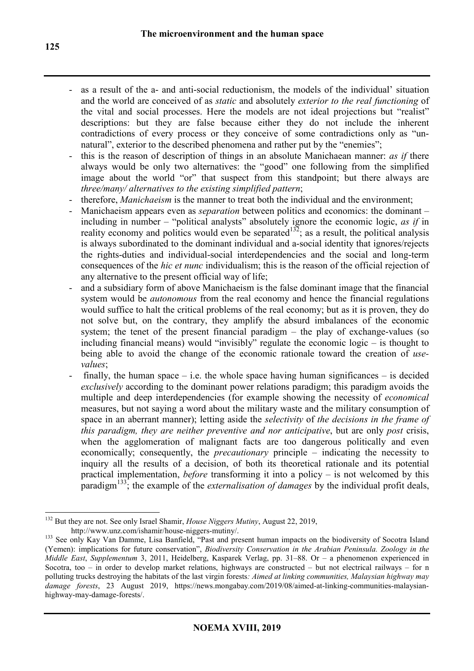- as a result of the a- and anti-social reductionism, the models of the individual' situation and the world are conceived of as *static* and absolutely *exterior to the real functioning* of the vital and social processes. Here the models are not ideal projections but "realist" descriptions: but they are false because either they do not include the inherent contradictions of every process or they conceive of some contradictions only as "unnatural", exterior to the described phenomena and rather put by the "enemies":
- this is the reason of description of things in an absolute Manichaean manner: *as if* there always would be only two alternatives: the "good" one following from the simplified image about the world "or" that suspect from this standpoint; but there always are *three/many/ alternatives to the existing simplified pattern*;
- therefore, *Manichaeism* is the manner to treat both the individual and the environment;
- Manichaeism appears even as *separation* between politics and economics: the dominant including in number – "political analysts" absolutely ignore the economic logic, *as if* in reality economy and politics would even be separated  $132$ ; as a result, the political analysis is always subordinated to the dominant individual and a-social identity that ignores/rejects the rights-duties and individual-social interdependencies and the social and long-term consequences of the *hic et nunc* individualism; this is the reason of the official rejection of any alternative to the present official way of life;
- and a subsidiary form of above Manichaeism is the false dominant image that the financial system would be *autonomous* from the real economy and hence the financial regulations would suffice to halt the critical problems of the real economy; but as it is proven, they do not solve but, on the contrary, they amplify the absurd imbalances of the economic system; the tenet of the present financial paradigm – the play of exchange-values (so including financial means) would "invisibly" regulate the economic logic – is thought to being able to avoid the change of the economic rationale toward the creation of *usevalues*;
- finally, the human space i.e. the whole space having human significances is decided *exclusively* according to the dominant power relations paradigm; this paradigm avoids the multiple and deep interdependencies (for example showing the necessity of *economical* measures, but not saying a word about the military waste and the military consumption of space in an aberrant manner); letting aside the *selectivity* of *the decisions in the frame of this paradigm, they are neither preventive and nor anticipative*, but are only *post* crisis, when the agglomeration of malignant facts are too dangerous politically and even economically; consequently, the *precautionary* principle – indicating the necessity to inquiry all the results of a decision, of both its theoretical rationale and its potential practical implementation, *before* transforming it into a policy – is not welcomed by this paradigm<sup>133</sup>; the example of the *externalisation of damages* by the individual profit deals,

 $\overline{a}$ <sup>132</sup> But they are not. See only Israel Shamir, *House Niggers Mutiny*, August 22, 2019, http://www.unz.com/ishamir/house-niggers-mutiny/.

<sup>&</sup>lt;sup>133</sup> See only Kay Van Damme, Lisa Banfield, "Past and present human impacts on the biodiversity of Socotra Island (Yemen): implications for future conservation", *Biodiversity Conservation in the Arabian Peninsula. Zoology in the Middle East*, *Supplementum* 3, 2011, Heidelberg, Kasparek Verlag, pp. 31–88. Or – a phenomenon experienced in Socotra, too – in order to develop market relations, highways are constructed – but not electrical railways – for n polluting trucks destroying the habitats of the last virgin forests*: Aimed at linking communities, Malaysian highway may damage forests*, 23 August 2019, https://news.mongabay.com/2019/08/aimed-at-linking-communities-malaysianhighway-may-damage-forests/.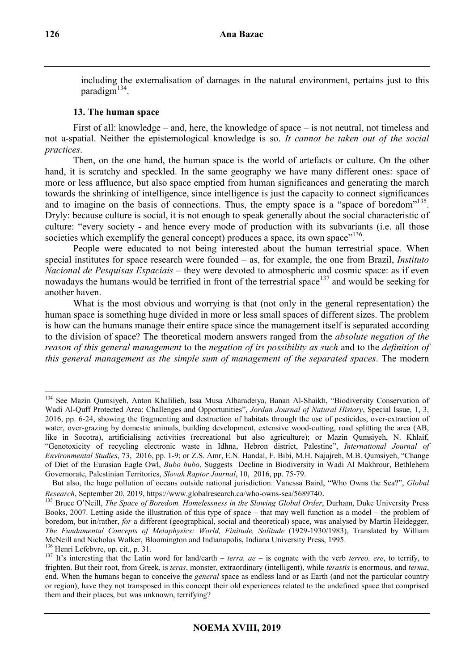including the externalisation of damages in the natural environment, pertains just to this paradigm<sup>134</sup>.

## **13. The human space**

First of all: knowledge – and, here, the knowledge of space – is not neutral, not timeless and not a-spatial. Neither the epistemological knowledge is so. *It cannot be taken out of the social practices*.

Then, on the one hand, the human space is the world of artefacts or culture. On the other hand, it is scratchy and speckled. In the same geography we have many different ones: space of more or less affluence, but also space emptied from human significances and generating the march towards the shrinking of intelligence, since intelligence is just the capacity to connect significances and to imagine on the basis of connections. Thus, the empty space is a "space of boredom"<sup>135</sup>. Dryly: because culture is social, it is not enough to speak generally about the social characteristic of culture: "every society - and hence every mode of production with its subvariants (i.e. all those societies which exemplify the general concept) produces a space, its own space"<sup>136</sup>.

People were educated to not being interested about the human terrestrial space. When special institutes for space research were founded – as, for example, the one from Brazil, *Instituto Nacional de Pesquisas Espaciais* – they were devoted to atmospheric and cosmic space: as if even nowadays the humans would be terrified in front of the terrestrial space<sup>137</sup> and would be seeking for another haven.

What is the most obvious and worrying is that (not only in the general representation) the human space is something huge divided in more or less small spaces of different sizes. The problem is how can the humans manage their entire space since the management itself is separated according to the division of space? The theoretical modern answers ranged from the *absolute negation of the reason of this general management* to the *negation of its possibility as such* and to the *definition of this general management as the simple sum of management of the separated spaces*. The modern

<sup>&</sup>lt;sup>134</sup> See Mazin Qumsiyeh, Anton Khalilieh, Issa Musa Albaradeiya, Banan Al-Shaikh, "Biodiversity Conservation of Wadi Al-Quff Protected Area: Challenges and Opportunities", *Jordan Journal of Natural History*, Special Issue, 1, 3, 2016, pp. 6-24, showing the fragmenting and destruction of habitats through the use of pesticides, over-extraction of water, over-grazing by domestic animals, building development, extensive wood-cutting, road splitting the area (AB, like in Socotra), artificialising activities (recreational but also agriculture); or Mazin Qumsiyeh, N. Khlaif, "Genotoxicity of recycling electronic waste in Idhna, Hebron district, Palestine", *International Journal of Environmental Studies*, 73, 2016, pp. 1-9; or Z.S. Amr, E.N. Handal, F. Bibi, M.H. Najajreh, M.B. Qumsiyeh, "Change of Diet of the Eurasian Eagle Owl, *Bubo bubo*, Suggests Decline in Biodiversity in Wadi Al Makhrour, Bethlehem Governorate, Palestinian Territories, *Slovak Raptor Journal*, 10, 2016, pp. 75-79.

But also, the huge pollution of oceans outside national jurisdiction: Vanessa Baird, "Who Owns the Sea?", *Global Research*, September 20, 2019, https://www.globalresearch.ca/who-owns-sea/5689740.

<sup>&</sup>lt;sup>135</sup> Bruce O'Neill, *The Space of Boredom. Homelessness in the Slowing Global Order*, Durham, Duke University Press Books, 2007. Letting aside the illustration of this type of space – that may well function as a model – the problem of boredom, but in/rather, *for* a different (geographical, social and theoretical) space, was analysed by Martin Heidegger, *The Fundamental Concepts of Metaphysics: World, Finitude, Solitude* (1929-1930/1983), Translated by William McNeill and Nicholas Walker, Bloomington and Indianapolis, Indiana University Press, 1995. <sup>136</sup> Henri Lefebvre, op. cit., p. 31.

<sup>137</sup> It's interesting that the Latin word for land/earth – *terra, ae* – is cognate with the verb *terreo, ere*, to terrify, to frighten. But their root, from Greek, is *teras*, monster, extraordinary (intelligent), while *terastis* is enormous, and *terma*, end. When the humans began to conceive the *general* space as endless land or as Earth (and not the particular country or region), have they not transposed in this concept their old experiences related to the undefined space that comprised them and their places, but was unknown, terrifying?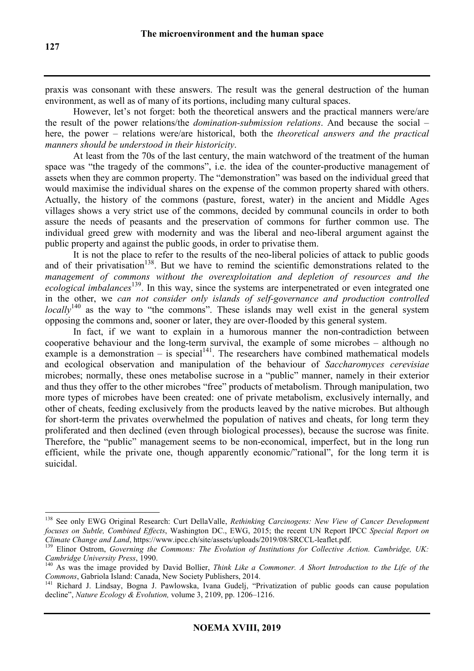praxis was consonant with these answers. The result was the general destruction of the human environment, as well as of many of its portions, including many cultural spaces.

However, let's not forget: both the theoretical answers and the practical manners were/are the result of the power relations/the *domination-submission relations*. And because the social – here, the power – relations were/are historical, both the *theoretical answers and the practical manners should be understood in their historicity*.

At least from the 70s of the last century, the main watchword of the treatment of the human space was "the tragedy of the commons", i.e. the idea of the counter-productive management of assets when they are common property. The "demonstration" was based on the individual greed that would maximise the individual shares on the expense of the common property shared with others. Actually, the history of the commons (pasture, forest, water) in the ancient and Middle Ages villages shows a very strict use of the commons, decided by communal councils in order to both assure the needs of peasants and the preservation of commons for further common use. The individual greed grew with modernity and was the liberal and neo-liberal argument against the public property and against the public goods, in order to privatise them.

It is not the place to refer to the results of the neo-liberal policies of attack to public goods and of their privatisation<sup>138</sup>. But we have to remind the scientific demonstrations related to the *management of commons without the overexploitation and depletion of resources and the ecological imbalances*<sup>139</sup>. In this way, since the systems are interpenetrated or even integrated one in the other, we *can not consider only islands of self-governance and production controlled locally*<sup>140</sup> as the way to "the commons". These islands may well exist in the general system opposing the commons and, sooner or later, they are over-flooded by this general system.

In fact, if we want to explain in a humorous manner the non-contradiction between cooperative behaviour and the long-term survival, the example of some microbes – although no example is a demonstration – is special<sup>141</sup>. The researchers have combined mathematical models and ecological observation and manipulation of the behaviour of *Saccharomyces cerevisiae*  microbes; normally, these ones metabolise sucrose in a "public" manner, namely in their exterior and thus they offer to the other microbes "free" products of metabolism. Through manipulation, two more types of microbes have been created: one of private metabolism, exclusively internally, and other of cheats, feeding exclusively from the products leaved by the native microbes. But although for short-term the privates overwhelmed the population of natives and cheats, for long term they proliferated and then declined (even through biological processes), because the sucrose was finite. Therefore, the "public" management seems to be non-economical, imperfect, but in the long run efficient, while the private one, though apparently economic/"rational", for the long term it is suicidal.

<sup>138</sup> See only EWG Original Research: Curt DellaValle, *Rethinking Carcinogens: New View of Cancer Development focuses on Subtle, Combined Effects*, Washington DC., EWG, 2015; the recent UN Report IPCC *Special Report on Climate Change and Land*, https://www.ipcc.ch/site/assets/uploads/2019/08/SRCCL-leaflet.pdf.

<sup>139</sup> Elinor Ostrom, *Governing the Commons: The Evolution of Institutions for Collective Action. Cambridge, UK: Cambridge University Press*, 1990.

<sup>&</sup>lt;sup>140</sup> As was the image provided by David Bollier, *Think Like a Commoner. A Short Introduction to the Life of the Commons*, Gabriola Island: Canada, New Society Publishers, 2014.

<sup>141</sup> Richard J. Lindsay, Bogna J. Pawlowska, Ivana Gudelj, "Privatization of public goods can cause population decline", *Nature Ecology & Evolution,* volume 3, 2109, pp. 1206–1216.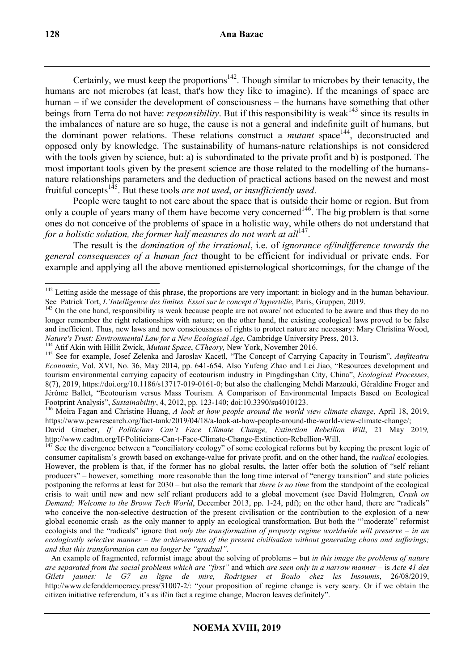Certainly, we must keep the proportions $142$ . Though similar to microbes by their tenacity, the humans are not microbes (at least, that's how they like to imagine). If the meanings of space are human – if we consider the development of consciousness – the humans have something that other beings from Terra do not have: *responsibility*. But if this responsibility is weak<sup>143</sup> since its results in the imbalances of nature are so huge, the cause is not a general and indefinite guilt of humans, but the dominant power relations. These relations construct a *mutant* space<sup>144</sup>, deconstructed and opposed only by knowledge. The sustainability of humans-nature relationships is not considered with the tools given by science, but: a) is subordinated to the private profit and b) is postponed. The most important tools given by the present science are those related to the modelling of the humansnature relationships parameters and the deduction of practical actions based on the newest and most fruitful concepts<sup>145</sup>. But these tools *are not used*, *or insufficiently used*.

People were taught to not care about the space that is outside their home or region. But from only a couple of years many of them have become very concerned<sup>146</sup>. The big problem is that some ones do not conceive of the problems of space in a holistic way, while others do not understand that for a holistic solution, the former half measures do not work at all<sup>147</sup>.

The result is the *domination of the irrational*, i.e. of *ignorance of/indifference towards the general consequences of a human fact* thought to be efficient for individual or private ends. For example and applying all the above mentioned epistemological shortcomings, for the change of the

 $142$  Letting aside the message of this phrase, the proportions are very important: in biology and in the human behaviour. See Patrick Tort, *L'Intelligence des limites. Essai sur le concept d'hypertélie*, Paris, Gruppen, 2019.

<sup>&</sup>lt;sup>143</sup> On the one hand, responsibility is weak because people are not aware/ not educated to be aware and thus they do no longer remember the right relationships with nature; on the other hand, the existing ecological laws proved to be false and inefficient. Thus, new laws and new consciousness of rights to protect nature are necessary: Mary Christina Wood, *Nature's Trust: Environmental Law for a New Ecological Age*, Cambridge University Press, 2013.

<sup>144</sup> Atif Akin with Hillit Zwick, *Mutant Space*, *CTheory,* New York, November 2016.

<sup>145</sup> See for example, Josef Zelenka and Jaroslav Kacetl, "The Concept of Carrying Capacity in Tourism", *Amfiteatru Economic*, Vol. XVI, No. 36, May 2014, pp. 641-654. Also Yufeng Zhao and Lei Jiao, "Resources development and tourism environmental carrying capacity of ecotourism industry in Pingdingshan City, China", *Ecological Processes*, 8(7), 2019, https://doi.org/10.1186/s13717-019-0161-0; but also the challenging Mehdi Marzouki, Géraldine Froger and Jérôme Ballet, "Ecotourism versus Mass Tourism. A Comparison of Environmental Impacts Based on Ecological Footprint Analysis", *Sustainability*, 4, 2012, pp. 123-140; doi:10.3390/su4010123.

<sup>146</sup> Moira Fagan and Christine Huang, *A look at how people around the world view climate change*, April 18, 2019, https://www.pewresearch.org/fact-tank/2019/04/18/a-look-at-how-people-around-the-world-view-climate-change/;

David Graeber, *If Politicians Can't Face Climate Change, Extinction Rebellion Will*, 21 May 2019*,*  http://www.cadtm.org/If-Politicians-Can-t-Face-Climate-Change-Extinction-Rebellion-Will.

 $147$  See the divergence between a "conciliatory ecology" of some ecological reforms but by keeping the present logic of consumer capitalism's growth based on exchange-value for private profit, and on the other hand, the *radical* ecologies. However, the problem is that, if the former has no global results, the latter offer both the solution of "self reliant producers" – however, something more reasonable than the long time interval of "energy transition" and state policies postponing the reforms at least for 2030 – but also the remark that *there is no time* from the standpoint of the ecological crisis to wait until new and new self reliant producers add to a global movement (see David Holmgren, *Crash on Demand; Welcome to the Brown Tech World*, December 2013, pp. 1-24, pdf); on the other hand, there are "radicals" who conceive the non-selective destruction of the present civilisation or the contribution to the explosion of a new global economic crash as the only manner to apply an ecological transformation. But both the "'moderate" reformist ecologists and the "radicals" ignore that *only the transformation of property regime worldwide will preserve – in an ecologically selective manner – the achievements of the present civilisation without generating chaos and sufferings; and that this transformation can no longer be "gradual"*.

An example of fragmented, reformist image about the solving of problems – but *in this image the problems of nature are separated from the social problems which are "first"* and which *are seen only in a narrow manner* – is *Acte 41 des Gilets jaunes: le G7 en ligne de mire, Rodrigues et Boulo chez les Insoumis*, 26/08/2019, http://www.defenddemocracy.press/31007-2/: "your proposition of regime change is very scary. Or if we obtain the citizen initiative referendum, it's as if/in fact a regime change, Macron leaves definitely".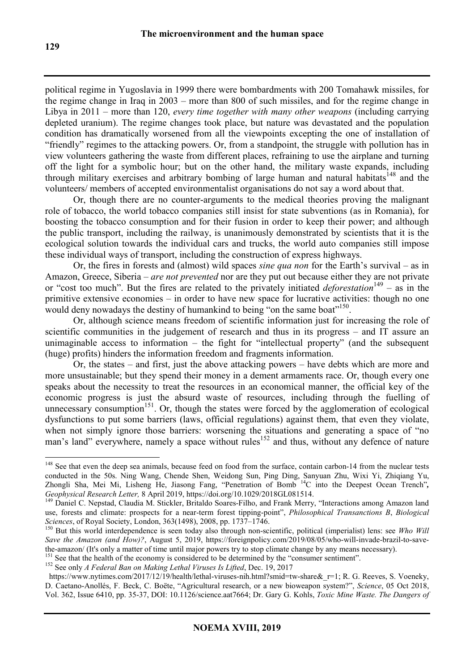political regime in Yugoslavia in 1999 there were bombardments with 200 Tomahawk missiles, for the regime change in Iraq in 2003 – more than 800 of such missiles, and for the regime change in Libya in 2011 – more than 120, *every time together with many other weapons* (including carrying depleted uranium). The regime changes took place, but nature was devastated and the population condition has dramatically worsened from all the viewpoints excepting the one of installation of "friendly" regimes to the attacking powers. Or, from a standpoint, the struggle with pollution has in view volunteers gathering the waste from different places, refraining to use the airplane and turning off the light for a symbolic hour; but on the other hand, the military waste expands, including through military exercises and arbitrary bombing of large human and natural habitats<sup>148</sup> and the volunteers/ members of accepted environmentalist organisations do not say a word about that.

Or, though there are no counter-arguments to the medical theories proving the malignant role of tobacco, the world tobacco companies still insist for state subventions (as in Romania), for boosting the tobacco consumption and for their fusion in order to keep their power; and although the public transport, including the railway, is unanimously demonstrated by scientists that it is the ecological solution towards the individual cars and trucks, the world auto companies still impose these individual ways of transport, including the construction of express highways.

Or, the fires in forests and (almost) wild spaces *sine qua non* for the Earth's survival – as in Amazon, Greece, Siberia – *are not prevented* nor are they put out because either they are not private or "cost too much". But the fires are related to the privately initiated *deforestation*<sup>149</sup> – as in the primitive extensive economies – in order to have new space for lucrative activities: though no one would deny nowadays the destiny of humankind to being "on the same boat"<sup>150</sup>.

Or, although science means freedom of scientific information just for increasing the role of scientific communities in the judgement of research and thus in its progress – and IT assure an unimaginable access to information – the fight for "intellectual property" (and the subsequent (huge) profits) hinders the information freedom and fragments information.

Or, the states – and first, just the above attacking powers – have debts which are more and more unsustainable; but they spend their money in a dement armaments race. Or, though every one speaks about the necessity to treat the resources in an economical manner, the official key of the economic progress is just the absurd waste of resources, including through the fuelling of unnecessary consumption<sup>151</sup>. Or, though the states were forced by the agglomeration of ecological dysfunctions to put some barriers (laws, official regulations) against them, that even they violate, when not simply ignore those barriers: worsening the situations and generating a space of "no" man's land" everywhere, namely a space without rules<sup>152</sup> and thus, without any defence of nature

<sup>&</sup>lt;sup>148</sup> See that even the deep sea animals, because feed on food from the surface, contain carbon-14 from the nuclear tests conducted in the 50s. Ning Wang, Chende Shen, Weidong Sun, Ping Ding, Sanyuan Zhu, Wixi Yi, Zhiqiang Yu, Zhongli Sha, Mei Mi, Lisheng He, Jiasong Fang, "Penetration of Bomb<sup>14</sup>C into the Deepest Ocean Trench", *Geophysical Research Letter,* 8 April 2019, https://doi.org/10.1029/2018GL081514.

<sup>&</sup>lt;sup>149</sup> Daniel C. Nepstad, Claudia M. Stickler, Britaldo Soares-Filho, and Frank Merry, "Interactions among Amazon land use, forests and climate: prospects for a near-term forest tipping-point", *Philosophical Transanctions B*, *Biological Sciences*, of Royal Society, London, 363(1498), 2008, pp. 1737–1746.

<sup>150</sup> But this world interdependence is seen today also through non-scientific, political (imperialist) lens: see *Who Will Save the Amazon (and How)?*, August 5, 2019, https://foreignpolicy.com/2019/08/05/who-will-invade-brazil-to-savethe-amazon/ (It's only a matter of time until major powers try to stop climate change by any means necessary).

<sup>&</sup>lt;sup>151</sup> See that the health of the economy is considered to be determined by the "consumer sentiment".

<sup>152</sup> See only *A Federal Ban on Making Lethal Viruses Is Lifted*, Dec. 19, 2017

https://www.nytimes.com/2017/12/19/health/lethal-viruses-nih.html?smid=tw-share& r=1; R. G. Reeves, S. Voeneky, D. Caetano-Anollés, F. Beck, C. Boëte, "Agricultural research, or a new bioweapon system?", *Science*, 05 Oct 2018, Vol. 362, Issue 6410, pp. 35-37, DOI: 10.1126/science.aat7664; Dr. Gary G. Kohls, *Toxic Mine Waste. The Dangers of*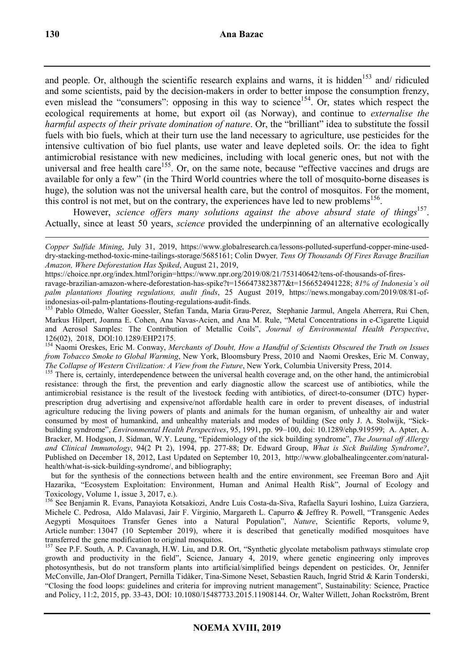and people. Or, although the scientific research explains and warns, it is hidden<sup>153</sup> and/ ridiculed and some scientists, paid by the decision-makers in order to better impose the consumption frenzy, even mislead the "consumers": opposing in this way to science<sup>154</sup>. Or, states which respect the ecological requirements at home, but export oil (as Norway), and continue to *externalise the harmful aspects of their private domination of nature*. Or, the "brilliant" idea to substitute the fossil fuels with bio fuels, which at their turn use the land necessary to agriculture, use pesticides for the intensive cultivation of bio fuel plants, use water and leave depleted soils. Or: the idea to fight antimicrobial resistance with new medicines, including with local generic ones, but not with the universal and free health care<sup>155</sup>. Or, on the same note, because "effective vaccines and drugs are available for only a few" (in the Third World countries where the toll of mosquito-borne diseases is huge), the solution was not the universal health care, but the control of mosquitos. For the moment, this control is not met, but on the contrary, the experiences have led to new problems<sup>156</sup>.

However, *science offers many solutions against the above absurd state of things*<sup>157</sup>. Actually, since at least 50 years, *science* provided the underpinning of an alternative ecologically

https://choice.npr.org/index.html?origin=https://www.npr.org/2019/08/21/753140642/tens-of-thousands-of-fires-

ravage-brazilian-amazon-where-deforestation-has-spike?t=1566473823877&t=1566524941228; *81% of Indonesia's oil palm plantations flouting regulations, audit finds*, 25 August 2019, https://news.mongabay.com/2019/08/81-ofindonesias-oil-palm-plantations-flouting-regulations-audit-finds.

<sup>153</sup> Pablo Olmedo, Walter Goessler, Stefan Tanda, Maria Grau-Perez, Stephanie Jarmul, Angela Aherrera, Rui Chen, Markus Hilpert, Joanna E. Cohen, Ana Navas-Acien, and Ana M. Rule, "Metal Concentrations in e-Cigarette Liquid and Aerosol Samples: The Contribution of Metallic Coils", *Journal of Environmental Health Perspective*, 126(02), 2018, DOI:10.1289/EHP2175.

<sup>154</sup> Naomi Oreskes, Eric M. Conway, *Merchants of Doubt, How a Handful of Scientists Obscured the Truth on Issues from Tobacco Smoke to Global Warming*, New York, Bloomsbury Press, 2010 and Naomi Oreskes, Eric M. Conway, *The Collapse of Western Civilization: A View from the Future*, New York, Columbia University Press, 2014.

<sup>155</sup> There is, certainly, interdependence between the universal health coverage and, on the other hand, the antimicrobial resistance: through the first, the prevention and early diagnostic allow the scarcest use of antibiotics, while the antimicrobial resistance is the result of the livestock feeding with antibiotics, of direct-to-consumer (DTC) hyperprescription drug advertising and expensive/not affordable health care in order to prevent diseases, of industrial agriculture reducing the living powers of plants and animals for the human organism, of unhealthy air and water consumed by most of humankind, and unhealthy materials and modes of building (See only J. A. Stolwijk, "Sickbuilding syndrome", *Environmental Health Perspectives*, 95, 1991, pp. 99–100, doi: 10.1289/ehp.919599; A. Apter, A. Bracker, M. Hodgson, J. Sidman, W.Y. Leung, "Epidemiology of the sick building syndrome", *The Journal off Allergy and Clinical Immunology*, 94(2 Pt 2), 1994, pp. 277-88; Dr. Edward Group, *What is Sick Building Syndrome?*, Published on December 18, 2012, Last Updated on September 10, 2013, http://www.globalhealingcenter.com/naturalhealth/what-is-sick-building-syndrome/, and bibliography;

 but for the synthesis of the connections between health and the entire environment, see Freeman Boro and Ajit Hazarika, "Ecosystem Exploitation: Environment, Human and Animal Health Risk", Journal of Ecology and Toxicology, Volume 1, issue 3, 2017, e.).

<sup>156</sup> See Benjamin R. Evans, Panayiota Kotsakiozi, Andre Luis Costa-da-Siva, Rafaella Sayuri Ioshino, Luiza Garziera, Michele C. Pedrosa, Aldo Malavasi, Jair F. Virginio, Margareth L. Capurro **&** Jeffrey R. Powell, "Transgenic Aedes Aegypti Mosquitoes Transfer Genes into a Natural Population", *Nature*, Scientific Reports, volume 9, Article number: 13047 (10 September 2019), where it is described that genetically modified mosquitoes have transferred the gene modification to original mosquitos.

<sup>157</sup> See P.F. South, A. P. Cavanagh, H.W. Liu, and D.R. Ort, "Synthetic glycolate metabolism pathways stimulate crop growth and productivity in the field", Science, January 4, 2019, where genetic engineering only improves photosynthesis, but do not transform plants into artificial/simplified beings dependent on pesticides. Or, Jennifer McConville, Jan-Olof Drangert, Pernilla Tidåker, Tina-Simone Neset, Sebastien Rauch, Ingrid Strid & Karin Tonderski, "Closing the food loops: guidelines and criteria for improving nutrient management", Sustainability: Science, Practice and Policy, 11:2, 2015, pp. 33-43, DOI: 10.1080/15487733.2015.11908144. Or, Walter Willett, Johan Rockström, Brent

 $\overline{a}$ *Copper Sulfide Mining*, July 31, 2019, https://www.globalresearch.ca/lessons-polluted-superfund-copper-mine-useddry-stacking-method-toxic-mine-tailings-storage/5685161; Colin Dwyer*, Tens Of Thousands Of Fires Ravage Brazilian Amazon, Where Deforestation Has Spiked*, August 21, 2019,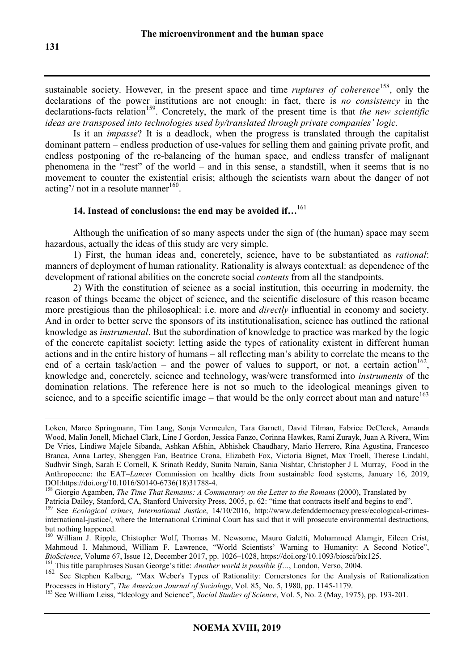sustainable society. However, in the present space and time *ruptures of coherence*<sup>158</sup>, only the declarations of the power institutions are not enough: in fact, there is *no consistency* in the declarations-facts relation<sup>159</sup>. Concretely, the mark of the present time is that *the new scientific ideas are transposed into technologies used by/translated through private companies' logic.* 

Is it an *impasse*? It is a deadlock, when the progress is translated through the capitalist dominant pattern – endless production of use-values for selling them and gaining private profit, and endless postponing of the re-balancing of the human space, and endless transfer of malignant phenomena in the "rest" of the world – and in this sense, a standstill, when it seems that is no movement to counter the existential crisis; although the scientists warn about the danger of not acting'/ not in a resolute manner<sup>160</sup>.

# **14. Instead of conclusions: the end may be avoided if…**<sup>161</sup>

Although the unification of so many aspects under the sign of (the human) space may seem hazardous, actually the ideas of this study are very simple.

1) First, the human ideas and, concretely, science, have to be substantiated as *rational*: manners of deployment of human rationality. Rationality is always contextual: as dependence of the development of rational abilities on the concrete social *contents* from all the standpoints.

2) With the constitution of science as a social institution, this occurring in modernity, the reason of things became the object of science, and the scientific disclosure of this reason became more prestigious than the philosophical: i.e. more and *directly* influential in economy and society. And in order to better serve the sponsors of its institutionalisation, science has outlined the rational knowledge as *instrumental*. But the subordination of knowledge to practice was marked by the logic of the concrete capitalist society: letting aside the types of rationality existent in different human actions and in the entire history of humans – all reflecting man's ability to correlate the means to the end of a certain task/action – and the power of values to support, or not, a certain action<sup>162</sup>, knowledge and, concretely, science and technology, was/were transformed into *instruments* of the domination relations. The reference here is not so much to the ideological meanings given to science, and to a specific scientific image – that would be the only correct about man and nature<sup>163</sup>

Loken, Marco Springmann, Tim Lang, Sonja Vermeulen, Tara Garnett, David Tilman, Fabrice DeClerck, Amanda Wood, Malin Jonell, Michael Clark, Line J Gordon, Jessica Fanzo, Corinna Hawkes, Rami Zurayk, Juan A Rivera, Wim De Vries, Lindiwe Majele Sibanda, Ashkan Afshin, Abhishek Chaudhary, Mario Herrero, Rina Agustina, Francesco Branca, Anna Lartey, Shenggen Fan, Beatrice Crona, Elizabeth Fox, Victoria Bignet, Max Troell, Therese Lindahl, Sudhvir Singh, Sarah E Cornell, K Srinath Reddy, Sunita Narain, Sania Nishtar, Christopher J L Murray, Food in the Anthropocene: the EAT–*Lancet* Commission on healthy diets from sustainable food systems, January 16, 2019, DOI:https://doi.org/10.1016/S0140-6736(18)31788-4.

<sup>&</sup>lt;sup>158</sup> Giorgio Agamben, *The Time That Remains: A Commentary on the Letter to the Romans* (2000), Translated by

Patricia Dailey, Stanford, CA, Stanford University Press, 2005, p. 62: "time that contracts itself and begins to end".

<sup>159</sup> See *Ecological crimes, International Justice*, 14/10/2016, http://www.defenddemocracy.press/ecological-crimesinternational-justice/, where the International Criminal Court has said that it will prosecute environmental destructions, but nothing happened.

<sup>&</sup>lt;sup>160</sup> William J. Ripple, Chistopher Wolf, Thomas M. Newsome, Mauro Galetti, Mohammed Alamgir, Eileen Crist, Mahmoud I. Mahmoud, William F. Lawrence, "World Scientists' Warning to Humanity: A Second Notice", *BioScience*, Volume 67, Issue 12, December 2017, pp. 1026–1028, https://doi.org/10.1093/biosci/bix125.

<sup>161</sup> This title paraphrases Susan George's title: *Another world is possible if…*, London, Verso, 2004.

<sup>162</sup> See Stephen Kalberg, "Max Weber's Types of Rationality: Cornerstones for the Analysis of Rationalization Processes in History", *The American Journal of Sociology*, Vol. 85, No. 5, 1980, pp. 1145-1179.

<sup>163</sup> See William Leiss, "Ideology and Science", *Social Studies of Science*, Vol. 5, No. 2 (May, 1975), pp. 193-201.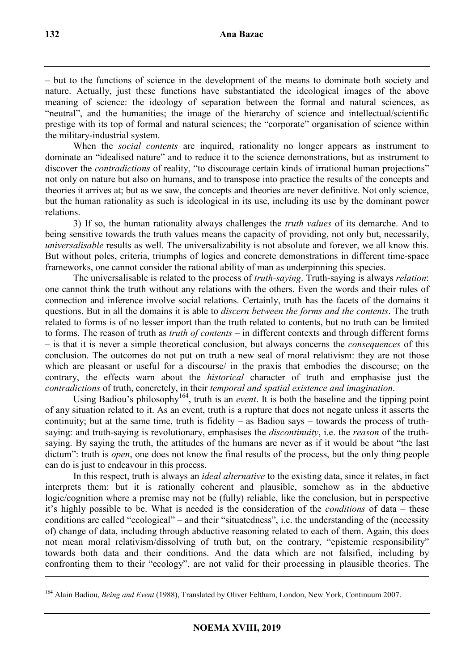– but to the functions of science in the development of the means to dominate both society and nature. Actually, just these functions have substantiated the ideological images of the above meaning of science: the ideology of separation between the formal and natural sciences, as "neutral", and the humanities; the image of the hierarchy of science and intellectual/scientific prestige with its top of formal and natural sciences; the "corporate" organisation of science within the military-industrial system.

When the *social contents* are inquired, rationality no longer appears as instrument to dominate an "idealised nature" and to reduce it to the science demonstrations, but as instrument to discover the *contradictions* of reality, "to discourage certain kinds of irrational human projections" not only on nature but also on humans, and to transpose into practice the results of the concepts and theories it arrives at; but as we saw, the concepts and theories are never definitive. Not only science, but the human rationality as such is ideological in its use, including its use by the dominant power relations.

3) If so, the human rationality always challenges the *truth values* of its demarche. And to being sensitive towards the truth values means the capacity of providing, not only but, necessarily, *universalisable* results as well. The universalizability is not absolute and forever, we all know this. But without poles, criteria, triumphs of logics and concrete demonstrations in different time-space frameworks, one cannot consider the rational ability of man as underpinning this species.

The universalisable is related to the process of *truth-saying*. Truth-saying is always *relation*: one cannot think the truth without any relations with the others. Even the words and their rules of connection and inference involve social relations. Certainly, truth has the facets of the domains it questions. But in all the domains it is able to *discern between the forms and the contents*. The truth related to forms is of no lesser import than the truth related to contents, but no truth can be limited to forms. The reason of truth as *truth of contents* – in different contexts and through different forms – is that it is never a simple theoretical conclusion, but always concerns the *consequences* of this conclusion. The outcomes do not put on truth a new seal of moral relativism: they are not those which are pleasant or useful for a discourse/ in the praxis that embodies the discourse; on the contrary, the effects warn about the *historical* character of truth and emphasise just the *contradictions* of truth, concretely, in their *temporal and spatial existence and imagination*.

Using Badiou's philosophy<sup>164</sup>, truth is an *event*. It is both the baseline and the tipping point of any situation related to it. As an event, truth is a rupture that does not negate unless it asserts the continuity; but at the same time, truth is fidelity – as Badiou says – towards the process of truthsaying: and truth-saying is revolutionary, emphasises the *discontinuity*, i.e. the *reason* of the truthsaying. By saying the truth, the attitudes of the humans are never as if it would be about "the last dictum": truth is *open*, one does not know the final results of the process, but the only thing people can do is just to endeavour in this process.

In this respect, truth is always an *ideal alternative* to the existing data, since it relates, in fact interprets them: but it is rationally coherent and plausible, somehow as in the abductive logic/cognition where a premise may not be (fully) reliable, like the conclusion, but in perspective it's highly possible to be. What is needed is the consideration of the *conditions* of data – these conditions are called "ecological" – and their "situatedness", i.e. the understanding of the (necessity of) change of data, including through abductive reasoning related to each of them. Again, this does not mean moral relativism/dissolving of truth but, on the contrary, "epistemic responsibility" towards both data and their conditions. And the data which are not falsified, including by confronting them to their "ecology", are not valid for their processing in plausible theories. The

<sup>164</sup> Alain Badiou, *Being and Event* (1988), Translated by Oliver Feltham, London, New York, Continuum 2007.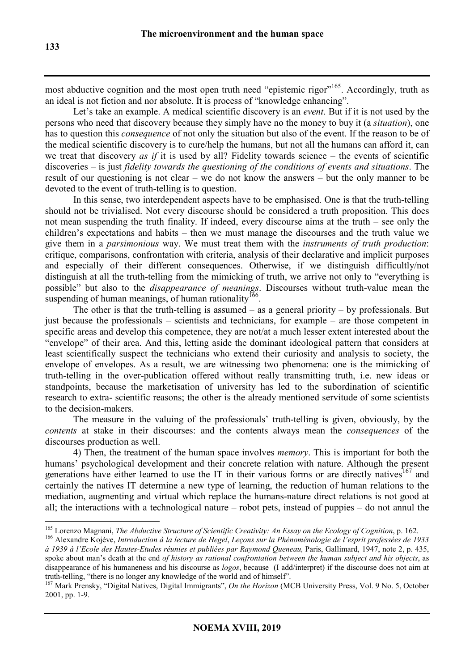most abductive cognition and the most open truth need "epistemic rigor"<sup>165</sup>. Accordingly, truth as an ideal is not fiction and nor absolute. It is process of "knowledge enhancing".

Let's take an example. A medical scientific discovery is an *event*. But if it is not used by the persons who need that discovery because they simply have no the money to buy it (a *situation*), one has to question this *consequence* of not only the situation but also of the event. If the reason to be of the medical scientific discovery is to cure/help the humans, but not all the humans can afford it, can we treat that discovery *as if* it is used by all? Fidelity towards science – the events of scientific discoveries – is just *fidelity towards the questioning of the conditions of events and situations*. The result of our questioning is not clear – we do not know the answers – but the only manner to be devoted to the event of truth-telling is to question.

In this sense, two interdependent aspects have to be emphasised. One is that the truth-telling should not be trivialised. Not every discourse should be considered a truth proposition. This does not mean suspending the truth finality. If indeed, every discourse aims at the truth – see only the children's expectations and habits – then we must manage the discourses and the truth value we give them in a *parsimonious* way. We must treat them with the *instruments of truth production*: critique, comparisons, confrontation with criteria, analysis of their declarative and implicit purposes and especially of their different consequences. Otherwise, if we distinguish difficultly/not distinguish at all the truth-telling from the mimicking of truth, we arrive not only to "everything is possible" but also to the *disappearance of meanings*. Discourses without truth-value mean the suspending of human meanings, of human rationality  $^{166}$ .

The other is that the truth-telling is assumed – as a general priority – by professionals. But just because the professionals – scientists and technicians, for example – are those competent in specific areas and develop this competence, they are not/at a much lesser extent interested about the "envelope" of their area. And this, letting aside the dominant ideological pattern that considers at least scientifically suspect the technicians who extend their curiosity and analysis to society, the envelope of envelopes. As a result, we are witnessing two phenomena: one is the mimicking of truth-telling in the over-publication offered without really transmitting truth, i.e. new ideas or standpoints, because the marketisation of university has led to the subordination of scientific research to extra- scientific reasons; the other is the already mentioned servitude of some scientists to the decision-makers.

The measure in the valuing of the professionals' truth-telling is given, obviously, by the *contents* at stake in their discourses: and the contents always mean the *consequences* of the discourses production as well.

4) Then, the treatment of the human space involves *memory*. This is important for both the humans' psychological development and their concrete relation with nature. Although the present generations have either learned to use the IT in their various forms or are directly natives<sup>167</sup> and certainly the natives IT determine a new type of learning, the reduction of human relations to the mediation, augmenting and virtual which replace the humans-nature direct relations is not good at all; the interactions with a technological nature – robot pets, instead of puppies – do not annul the

<sup>166</sup> Alexandre Kojève, *Introduction à la lecture de Hegel*, *Leçons sur la Phénoménologie de l'esprit professées de 1933 à 1939 à l'Ecole des Hautes-Etudes réunies et publiées par Raymond Queneau,* Paris, Gallimard, 1947, note 2, p. 435, spoke about man's death at the end *of history as rational confrontation between the human subject and his objects*, as disappearance of his humaneness and his discourse as *logos*, because (I add/interpret) if the discourse does not aim at truth-telling, "there is no longer any knowledge of the world and of himself".

 $\overline{a}$ <sup>165</sup> Lorenzo Magnani, *The Abductive Structure of Scientific Creativity: An Essay on the Ecology of Cognition*, p. 162.

<sup>167</sup> Mark Prensky, "Digital Natives, Digital Immigrants", *On the Horizon* (MCB University Press, Vol. 9 No. 5, October 2001, pp. 1-9.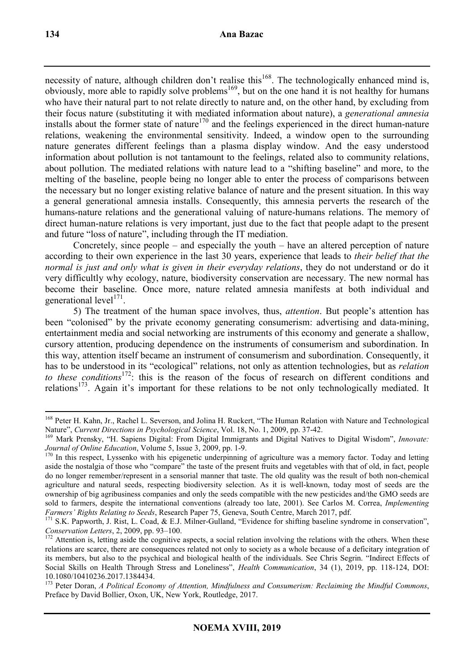necessity of nature, although children don't realise this<sup>168</sup>. The technologically enhanced mind is, obviously, more able to rapidly solve problems<sup>169</sup>, but on the one hand it is not healthy for humans who have their natural part to not relate directly to nature and, on the other hand, by excluding from their focus nature (substituting it with mediated information about nature), a *generational amnesia* installs about the former state of nature<sup>170</sup> and the feelings experienced in the direct human-nature relations, weakening the environmental sensitivity. Indeed, a window open to the surrounding nature generates different feelings than a plasma display window. And the easy understood information about pollution is not tantamount to the feelings, related also to community relations, about pollution. The mediated relations with nature lead to a "shifting baseline" and more, to the melting of the baseline, people being no longer able to enter the process of comparisons between the necessary but no longer existing relative balance of nature and the present situation. In this way a general generational amnesia installs. Consequently, this amnesia perverts the research of the humans-nature relations and the generational valuing of nature-humans relations. The memory of direct human-nature relations is very important, just due to the fact that people adapt to the present and future "loss of nature", including through the IT mediation.

Concretely, since people – and especially the youth – have an altered perception of nature according to their own experience in the last 30 years, experience that leads to *their belief that the normal is just and only what is given in their everyday relations*, they do not understand or do it very difficultly why ecology, nature, biodiversity conservation are necessary. The new normal has become their baseline. Once more, nature related amnesia manifests at both individual and generational level<sup>171</sup>.

5) The treatment of the human space involves, thus, *attention*. But people's attention has been "colonised" by the private economy generating consumerism: advertising and data-mining, entertainment media and social networking are instruments of this economy and generate a shallow, cursory attention, producing dependence on the instruments of consumerism and subordination. In this way, attention itself became an instrument of consumerism and subordination. Consequently, it has to be understood in its "ecological" relations, not only as attention technologies, but as *relation to these conditions*<sup>172</sup>: this is the reason of the focus of research on different conditions and relations<sup>173</sup>. Again it's important for these relations to be not only technologically mediated. It

<sup>&</sup>lt;sup>168</sup> Peter H. Kahn, Jr., Rachel L. Severson, and Jolina H. Ruckert, "The Human Relation with Nature and Technological Nature", *Current Directions in Psychological Science*, Vol. 18, No. 1, 2009, pp. 37-42.

<sup>169</sup> Mark Prensky, "H. Sapiens Digital: From Digital Immigrants and Digital Natives to Digital Wisdom", *Innovate: Journal of Online Education*, Volume 5, Issue 3, 2009, pp. 1-9.

 $170$  In this respect, Lyssenko with his epigenetic underpinning of agriculture was a memory factor. Today and letting aside the nostalgia of those who "compare" the taste of the present fruits and vegetables with that of old, in fact, people do no longer remember/represent in a sensorial manner that taste. The old quality was the result of both non-chemical agriculture and natural seeds, respecting biodiversity selection. As it is well-known, today most of seeds are the ownership of big agribusiness companies and only the seeds compatible with the new pesticides and/the GMO seeds are sold to farmers, despite the international conventions (already too late, 2001). See Carlos M. Correa, *Implementing Farmers' Rights Relating to Seeds*, Research Paper 75, Geneva, South Centre, March 2017, pdf.

<sup>171</sup> S.K. Papworth, J. Rist, L. Coad, & E.J. Milner-Gulland, "Evidence for shifting baseline syndrome in conservation", *Conservation Letters*, 2, 2009, pp. 93–100.

 $172$  Attention is, letting aside the cognitive aspects, a social relation involving the relations with the others. When these relations are scarce, there are consequences related not only to society as a whole because of a deficitary integration of its members, but also to the psychical and biological health of the individuals. See Chris Segrin. "Indirect Effects of Social Skills on Health Through Stress and Loneliness", *Health Communication*, 34 (1), 2019, pp. 118-124, DOI: 10.1080/10410236.2017.1384434.

<sup>173</sup> Peter Doran, *A Political Economy of Attention, Mindfulness and Consumerism: Reclaiming the Mindful Commons*, Preface by David Bollier, Oxon, UK, New York, Routledge, 2017.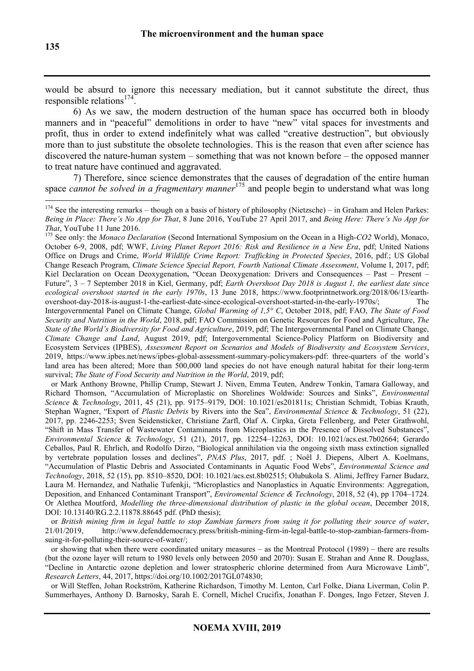would be absurd to ignore this necessary mediation, but it cannot substitute the direct, thus responsible relations<sup>174</sup> .

6) As we saw, the modern destruction of the human space has occurred both in bloody manners and in "peaceful" demolitions in order to have "new" vital spaces for investments and profit, thus in order to extend indefinitely what was called "creative destruction", but obviously more than to just substitute the obsolete technologies. This is the reason that even after science has discovered the nature-human system – something that was not known before – the opposed manner to treat nature have continued and aggravated.

7) Therefore, since science demonstrates that the causes of degradation of the entire human space *cannot be solved in a fragmentary manner*<sup>175</sup> and people begin to understand what was long

<sup>175</sup> See only: the *Monaco Declaration* (Second International Symposium on the Ocean in a High-*CO2* World), Monaco, October 6-9, 2008, pdf; WWF, *Living Planet Report 2016: Risk and Resilience in a New Era*, pdf; United Nations Office on Drugs and Crime, *World Wildlife Crime Report: Trafficking in Protected Species*, 2016, pdf.; US Global Change Reseach Program, *Climate Science Special Report, Fourth National Climate Assessment*, Volume I, 2017, pdf; Kiel Declaration on Ocean Deoxygenation, "Ocean Deoxygenation: Drivers and Consequences - Past - Present -Future", 3 – 7 September 2018 in Kiel, Germany, pdf; *Earth Overshoot Day 2018 is August 1, the earliest date since ecological overshoot started in the early 1970s*, 13 June 2018, https://www.footprintnetwork.org/2018/06/13/earthovershoot-day-2018-is-august-1-the-earliest-date-since-ecological-overshoot-started-in-the-early-1970s/; The Intergovernmental Panel on Climate Change, *Global Warming of 1,5° C*, October 2018, pdf; FAO, *The State of Food Security and Nutrition in the World*, 2018, pdf; FAO Commission on Genetic Resources for Food and Agriculture, *The State of the World's Biodiversity for Food and Agriculture*, 2019, pdf; The Intergovernmental Panel on Climate Change, *Climate Change and Land*, August 2019, pdf; Intergovernmental Science-Policy Platform on Biodiversity and Ecosystem Services (IPBES), *Assessment Report on Scenarios and Models of Biodiversity and Ecosystem Services*, 2019, https://www.ipbes.net/news/ipbes-global-assessment-summary-policymakers-pdf: three-quarters of the world's land area has been altered; More than 500,000 land species do not have enough natural habitat for their long-term survival; *The State of Food Security and Nutrition in the World*, 2019, pdf;

 or Mark Anthony Browne, Phillip Crump, Stewart J. Niven, Emma Teuten, Andrew Tonkin, Tamara Galloway, and Richard Thomson, "Accumulation of Microplastic on Shorelines Woldwide: Sources and Sinks", *Environmental Science* & *Technology*, 2011, 45 (21), pp. 9175–9179, DOI: 10.1021/es201811s; Christian Schmidt, Tobias Krauth, Stephan Wagner, "Export of *Plastic Debris* by Rivers into the Sea", *Environmental Science* & *Technology*, 51 (22), 2017, pp. 2246-2253; Sven Seidensticker, Christiane Zarfl, Olaf A. Cirpka, Greta Fellenberg, and Peter Grathwohl, "Shift in Mass Transfer of Wastewater Contaminants from Microplastics in the Presence of Dissolved Substances", *Environmental Science* & *Technology*, 51 (21), 2017, pp. 12254–12263, DOI: 10.1021/acs.est.7b02664; Gerardo Ceballos, Paul R. Ehrlich, and Rodolfo Dirzo, "Biological annihilation via the ongoing sixth mass extinction signalled by vertebrate population losses and declines", *PNAS Plus*, 2017, pdf. ; Noël J. Diepens, Albert A. Koelmans, "Accumulation of Plastic Debris and Associated Contaminants in Aquatic Food Webs", *Environmental Science and Technology*, 2018, 52 (15), pp. 8510–8520, DOI: 10.1021/acs.est.8b02515; Olubukola S. Alimi, Jeffrey Farner Budarz, Laura M. Hernandez, and Nathalie Tufenkji, "Microplastics and Nanoplastics in Aquatic Environments: Aggregation, Deposition, and Enhanced Contaminant Transport", *Enviromental Science & Technology*, 2018, 52 (4), pp 1704–1724. Or Alethea Moutford, *Modelling the three-dimensional distribution of plastic in the global ocean*, December 2018, DOI: 10.13140/RG.2.2.11878.88645 pdf. (PhD thesis);

 or *British mining firm in legal battle to stop Zambian farmers from suing it for polluting their source of water*, 21/01/2019, http://www.defenddemocracy.press/british-mining-firm-in-legal-battle-to-stop-zambian-farmers-fromsuing-it-for-polluting-their-source-of-water/;

 or showing that when there were coordinated unitary measures – as the Montreal Protocol (1989) – there are results (but the ozone layer will return to 1980 levels only between 2050 and 2070): Susan E. Strahan and Anne R. Douglass, "Decline in Antarctic ozone depletion and lower stratospheric chlorine determined from Aura Microwave Limb", *Research Letters*, 44, 2017, https://doi.org/10.1002/2017GL074830;

 or Will Steffen, Johan Rockström, Katherine Richardson, Timothy M. Lenton, Carl Folke, Diana Liverman, Colin P. Summerhayes, Anthony D. Barnosky, Sarah E. Cornell, Michel Crucifix, Jonathan F. Donges, Ingo Fetzer, Steven J.

 $174$  See the interesting remarks – though on a basis of history of philosophy (Nietzsche) – in Graham and Helen Parkes: *Being in Place: There's No App for That*, 8 June 2016, YouTube 27 April 2017, and *Being Here: There's No App for That*, YouTube 11 June 2016.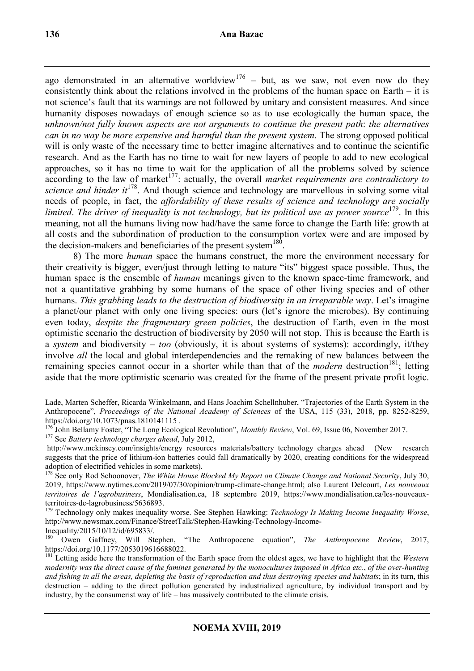ago demonstrated in an alternative worldview<sup>176</sup> – but, as we saw, not even now do they consistently think about the relations involved in the problems of the human space on Earth – it is not science's fault that its warnings are not followed by unitary and consistent measures. And since humanity disposes nowadays of enough science so as to use ecologically the human space, the *unknown/not fully known aspects are not arguments to continue the present path*: *the alternatives can in no way be more expensive and harmful than the present system*. The strong opposed political will is only waste of the necessary time to better imagine alternatives and to continue the scientific research. And as the Earth has no time to wait for new layers of people to add to new ecological approaches, so it has no time to wait for the application of all the problems solved by science according to the law of market<sup>177</sup>: actually, the overall *market requirements are contradictory to science and hinder it*<sup>178</sup>. And though science and technology are marvellous in solving some vital needs of people, in fact, the *affordability of these results of science and technology are socially*  limited. The driver of inequality is not technology, but its political use as power source<sup>179</sup>. In this meaning, not all the humans living now had/have the same force to change the Earth life: growth at all costs and the subordination of production to the consumption vortex were and are imposed by the decision-makers and beneficiaries of the present system<sup>180</sup>.

8) The more *human* space the humans construct, the more the environment necessary for their creativity is bigger, even/just through letting to nature "its" biggest space possible. Thus, the human space is the ensemble of *human* meanings given to the known space-time framework, and not a quantitative grabbing by some humans of the space of other living species and of other humans. *This grabbing leads to the destruction of biodiversity in an irreparable way*. Let's imagine a planet/our planet with only one living species: ours (let's ignore the microbes). By continuing even today, *despite the fragmentary green policies*, the destruction of Earth, even in the most optimistic scenario the destruction of biodiversity by 2050 will not stop. This is because the Earth is a *system* and biodiversity – *too* (obviously, it is about systems of systems): accordingly, it/they involve *all* the local and global interdependencies and the remaking of new balances between the remaining species cannot occur in a shorter while than that of the *modern* destruction<sup>181</sup>; letting aside that the more optimistic scenario was created for the frame of the present private profit logic.

 $\overline{a}$ Lade, Marten Scheffer, Ricarda Winkelmann, and Hans Joachim Schellnhuber, "Trajectories of the Earth System in the Anthropocene", *Proceedings of the National Academy of Sciences* of the USA, 115 (33), 2018, pp. 8252-8259, https://doi.org/10.1073/pnas.1810141115 .

<sup>&</sup>lt;sup>176</sup> John Bellamy Foster, "The Long Ecological Revolution", *Monthly Review*, Vol. 69, Issue 06, November 2017. <sup>177</sup> See *Battery technology charges ahead*, July 2012,

http://www.mckinsey.com/insights/energy\_resources\_materials/battery\_technology\_charges\_ahead (New research suggests that the price of lithium-ion batteries could fall dramatically by 2020, creating conditions for the widespread adoption of electrified vehicles in some markets).

<sup>&</sup>lt;sup>178</sup> See only Rod Schoonover, *The White House Blocked My Report on Climate Change and National Security*, July 30, 2019, https://www.nytimes.com/2019/07/30/opinion/trump-climate-change.html; also Laurent Delcourt, *Les nouveaux territoires de l'agrobusiness*, Mondialisation.ca, 18 septembre 2019, https://www.mondialisation.ca/les-nouveauxterritoires-de-lagrobusiness/5636893.

<sup>&</sup>lt;sup>179</sup> Technology only makes inequality worse. See Stephen Hawking: *Technology Is Making Income Inequality Worse*, http://www.newsmax.com/Finance/StreetTalk/Stephen-Hawking-Technology-Income-Inequality/2015/10/12/id/695833/.

<sup>180</sup> Owen Gaffney, Will Stephen, "The Anthropocene equation", *The Anthropocene Review*, 2017, https://doi.org/10.1177/2053019616688022.

<sup>&</sup>lt;sup>181</sup> Letting aside here the transformation of the Earth space from the oldest ages, we have to highlight that the *Western modernity was the direct cause of the famines generated by the monocultures imposed in Africa etc*., *of the over-hunting and fishing in all the areas, depleting the basis of reproduction and thus destroying species and habitats*; in its turn, this destruction – adding to the direct pollution generated by industrialized agriculture, by individual transport and by industry, by the consumerist way of life – has massively contributed to the climate crisis.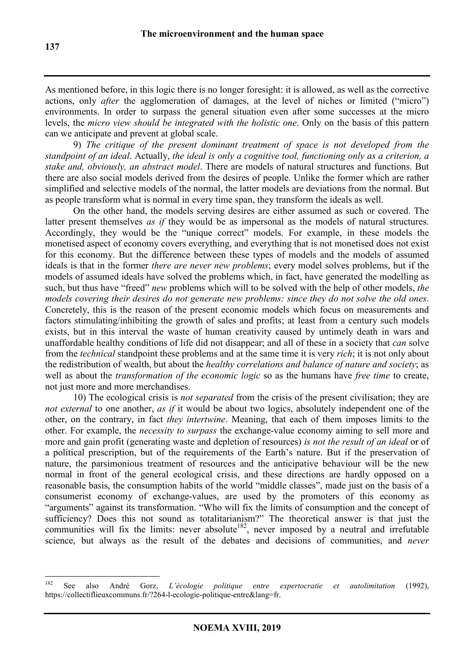As mentioned before, in this logic there is no longer foresight: it is allowed, as well as the corrective actions, only *after* the agglomeration of damages, at the level of niches or limited ("micro") environments. In order to surpass the general situation even after some successes at the micro levels, the *micro view should be integrated with the holistic one*. Only on the basis of this pattern can we anticipate and prevent at global scale.

9) *The critique of the present dominant treatment of space is not developed from the standpoint of an ideal*. Actually, *the ideal is only a cognitive tool, functioning only as a criterion, a stake and, obviously, an abstract model*. There are models of natural structures and functions. But there are also social models derived from the desires of people. Unlike the former which are rather simplified and selective models of the normal, the latter models are deviations from the normal. But as people transform what is normal in every time span, they transform the ideals as well.

On the other hand, the models serving desires are either assumed as such or covered. The latter present themselves *as if* they would be as impersonal as the models of natural structures. Accordingly, they would be the "unique correct" models. For example, in these models the monetised aspect of economy covers everything, and everything that is not monetised does not exist for this economy. But the difference between these types of models and the models of assumed ideals is that in the former *there are never new problems*; every model solves problems, but if the models of assumed ideals have solved the problems which, in fact, have generated the modelling as such, but thus have "freed" *new* problems which will to be solved with the help of other models, *the models covering their desires do not generate new problems: since they do not solve the old ones*. Concretely, this is the reason of the present economic models which focus on measurements and factors stimulating/inhibiting the growth of sales and profits; at least from a century such models exists, but in this interval the waste of human creativity caused by untimely death in wars and unaffordable healthy conditions of life did not disappear; and all of these in a society that *can* solve from the *technical* standpoint these problems and at the same time it is very *rich*; it is not only about the redistribution of wealth, but about the *healthy correlations and balance of nature and society*; as well as about the *transformation of the economic logic* so as the humans have *free time* to create, not just more and more merchandises.

10) The ecological crisis is *not separated* from the crisis of the present civilisation; they are *not external* to one another, *as if* it would be about two logics, absolutely independent one of the other, on the contrary, in fact *they intertwine*. Meaning, that each of them imposes limits to the other. For example, the *necessity to surpass* the exchange-value economy aiming to sell more and more and gain profit (generating waste and depletion of resources) *is not the result of an ideal* or of a political prescription, but of the requirements of the Earth's nature. But if the preservation of nature, the parsimonious treatment of resources and the anticipative behaviour will be the new normal in front of the general ecological crisis, and these directions are hardly opposed on a reasonable basis, the consumption habits of the world "middle classes", made just on the basis of a consumerist economy of exchange-values, are used by the promoters of this economy as "arguments" against its transformation. "Who will fix the limits of consumption and the concept of sufficiency? Does this not sound as totalitarianism?" The theoretical answer is that just the communities will fix the limits: never absolute<sup>182</sup>, never imposed by a neutral and irrefutable science, but always as the result of the debates and decisions of communities, and *never* 

<sup>182</sup> See also André Gorz, *L'écologie politique entre expertocratie et autolimitation* (1992), https://collectiflieuxcommuns.fr/?264-l-ecologie-politique-entre&lang=fr.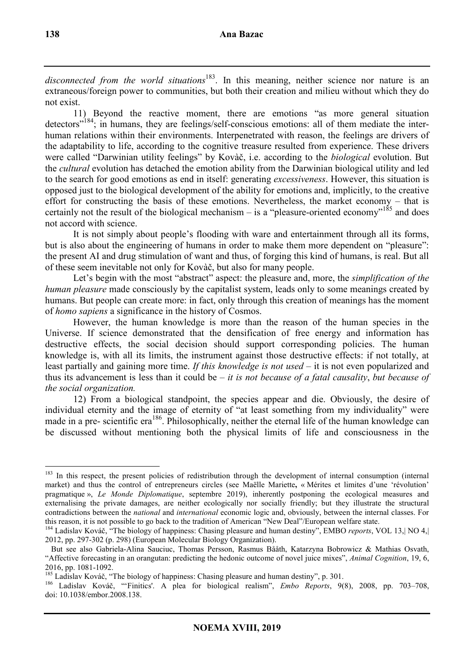disconnected from the world situations<sup>183</sup>. In this meaning, neither science nor nature is an extraneous/foreign power to communities, but both their creation and milieu without which they do not exist.

11) Beyond the reactive moment, there are emotions "as more general situation detectors<sup>"184</sup>; in humans, they are feelings/self-conscious emotions: all of them mediate the interhuman relations within their environments. Interpenetrated with reason, the feelings are drivers of the adaptability to life, according to the cognitive treasure resulted from experience. These drivers were called "Darwinian utility feelings" by Kovàč, i.e. according to the *biological* evolution. But the *cultural* evolution has detached the emotion ability from the Darwinian biological utility and led to the search for good emotions as end in itself: generating *excessiveness*. However, this situation is opposed just to the biological development of the ability for emotions and, implicitly, to the creative effort for constructing the basis of these emotions. Nevertheless, the market economy – that is certainly not the result of the biological mechanism – is a "pleasure-oriented economy"<sup>185</sup> and does not accord with science.

It is not simply about people's flooding with ware and entertainment through all its forms, but is also about the engineering of humans in order to make them more dependent on "pleasure": the present AI and drug stimulation of want and thus, of forging this kind of humans, is real. But all of these seem inevitable not only for Kovàč, but also for many people.

Let's begin with the most "abstract" aspect: the pleasure and, more, the *simplification of the human pleasure* made consciously by the capitalist system, leads only to some meanings created by humans. But people can create more: in fact, only through this creation of meanings has the moment of *homo sapiens* a significance in the history of Cosmos.

However, the human knowledge is more than the reason of the human species in the Universe. If science demonstrated that the densification of free energy and information has destructive effects, the social decision should support corresponding policies. The human knowledge is, with all its limits, the instrument against those destructive effects: if not totally, at least partially and gaining more time. *If this knowledge is not used* – it is not even popularized and thus its advancement is less than it could be – *it is not because of a fatal causality*, *but because of the social organization.* 

12) From a biological standpoint, the species appear and die. Obviously, the desire of individual eternity and the image of eternity of "at least something from my individuality" were made in a pre- scientific era<sup>186</sup>. Philosophically, neither the eternal life of the human knowledge can be discussed without mentioning both the physical limits of life and consciousness in the

<sup>&</sup>lt;sup>183</sup> In this respect, the present policies of redistribution through the development of internal consumption (internal market) and thus the control of entrepreneurs circles (see Maëlle Mariette**,** « Mérites et limites d'une 'révolution' pragmatique », *Le Monde Diplomatique*, septembre 2019), inherently postponing the ecological measures and externalising the private damages, are neither ecologically nor socially friendly; but they illustrate the structural contradictions between the *national* and *international* economic logic and, obviously, between the internal classes. For this reason, it is not possible to go back to the tradition of American "New Deal"/European welfare state.

<sup>184</sup> Ladislav Kováč, "The biology of happiness: Chasing pleasure and human destiny", EMBO *reports*, VOL 13,| NO 4,| 2012, pp. 297-302 (p. 298) (European Molecular Biology Organization).

But see also Gabriela-Alina Sauciuc, Thomas Persson, Rasmus Bååth, Katarzyna Bobrowicz & Mathias Osvath, "Affective forecasting in an orangutan: predicting the hedonic outcome of novel juice mixes", *Animal Cognition*, 19, 6, 2016, pp. 1081-1092.

<sup>&</sup>lt;sup>185</sup> Ladislav Kováč, "The biology of happiness: Chasing pleasure and human destiny", p. 301.

<sup>186</sup> Ladislav Kováč, "'Finitics'. A plea for biological realism", *Embo Reports*, 9(8), 2008, pp. 703–708, doi: 10.1038/embor.2008.138.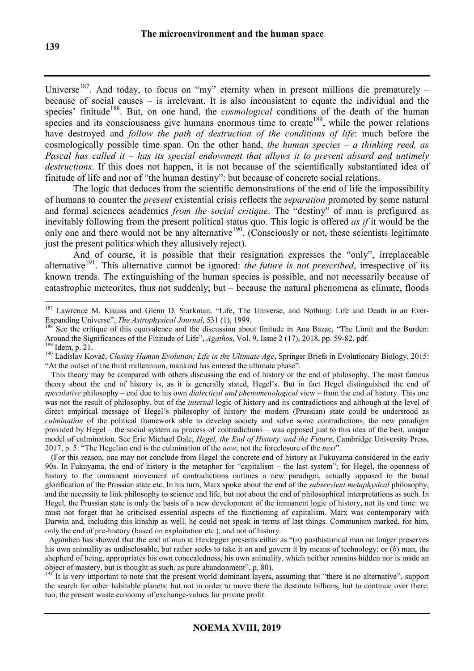Universe<sup>187</sup>. And today, to focus on "my" eternity when in present millions die prematurely – because of social causes – is irrelevant. It is also inconsistent to equate the individual and the species' finitude<sup>188</sup>. But, on one hand, the *cosmological* conditions of the death of the human species and its consciousness give humans enormous time to create<sup>189</sup>, while the power relations have destroyed and *follow the path of destruction of the conditions of life*: much before the cosmologically possible time span. On the other hand, *the human species – a thinking reed, as Pascal has called it – has its special endowment that allows it to prevent absurd and untimely destructions*. If this does not happen, it is not because of the scientifically substantiated idea of finitude of life and nor of "the human destiny": but because of concrete social relations.

The logic that deduces from the scientific demonstrations of the end of life the impossibility of humans to counter the *present* existential crisis reflects the *separation* promoted by some natural and formal sciences academics *from the social critique*. The "destiny" of man is prefigured as inevitably following from the present political status quo. This logic is offered *as if* it would be the only one and there would not be any alternative<sup>190</sup>. (Consciously or not, these scientists legitimate just the present politics which they allusively reject).

And of course, it is possible that their resignation expresses the "only", irreplaceable alternative<sup>191</sup>. This alternative cannot be ignored: *the future is not prescribed*, irrespective of its known trends. The extinguishing of the human species is possible, and not necessarily because of catastrophic meteorites, thus not suddenly; but – because the natural phenomena as climate, floods

 (For this reason, one may not conclude from Hegel the concrete end of history as Fukuyama considered in the early 90s. In Fukuyama, the end of history is the metaphor for "capitalism – the last system"; for Hegel, the openness of history to the immanent movement of contradictions outlines a new paradigm, actually opposed to the banal glorification of the Prussian state etc. In his turn, Marx spoke about the end of the *subservient metaphysical* philosophy, and the necessity to link philosophy to science and life, but not about the end of philosophical interpretations as such. In Hegel, the Prussian state is only the basis of a new development of the immanent logic of history, not its end time: we must not forget that he criticised essential aspects of the functioning of capitalism. Marx was contemporary with Darwin and, including this kinship as well, he could not speak in terms of last things. Communism marked, for him, only the end of pre-history (based on exploitation etc.), and not of history.

 Agamben has showed that the end of man at Heidegger presents either as "(*a*) posthistorical man no longer preserves his own animality as undisclosable, but rather seeks to take it on and govern it by means of technology; or (*b*) man, the shepherd of being, appropriates his own concealedness, his own animality, which neither remains hidden nor is made an object of mastery, but is thought as such, as pure abandonment", p. 80).

<sup>191</sup><sup>It</sup> is very important to note that the present world dominant layers, assuming that "there is no alternative", support the search for other habitable planets; but not in order to move there the destitute billions, but to continue over there, too, the present waste economy of exchange-values for private profit.

 $\overline{a}$ <sup>187</sup> Lawrence M. Krauss and Glenn D. Starkman, "Life, The Universe, and Nothing: Life and Death in an Ever-Expanding Universe", *The Astrophysical Journal*, 531 (1), 1999.

<sup>&</sup>lt;sup>188</sup> See the critique of this equivalence and the discussion about finitude in Ana Bazac, "The Limit and the Burden: Around the Significances of the Finitude of Life", *Agathos*, Vol. 9, Issue 2 (17), 2018, pp. 59-82, pdf.

<sup>189</sup> Idem, p. 21.

<sup>190</sup> Ladislav Kovàč, *Closing Human Evolution: Life in the Ultimate Age*, Springer Briefs in Evolutionary Biology, 2015: "At the outset of the third millennium, mankind has entered the ultimate phase".

This theory may be compared with others discussing the end of history or the end of philosophy. The most famous theory about the end of history is, as it is generally stated, Hegel's. But in fact Hegel distinguished the end of *speculative* philosophy – end due to his own *dialectical and phenomenological* view – from the end of history. This one was not the result of philosophy, but of the *internal* logic of history and its contradictions and although at the level of direct empirical message of Hegel's philosophy of history the modern (Prussian) state could be understood as *culmination* of the political framework able to develop society and solve some contradictions, the new paradigm provided by Hegel – the social system as process of contradictions – was opposed just to this idea of the best, unique model of culmination. See Eric Michael Dale, *Hegel, the End of History, and the Future*, Cambridge University Press, 2017, p. 5: "The Hegelian end is the culmination of the *now*; not the foreclosure of the *next*".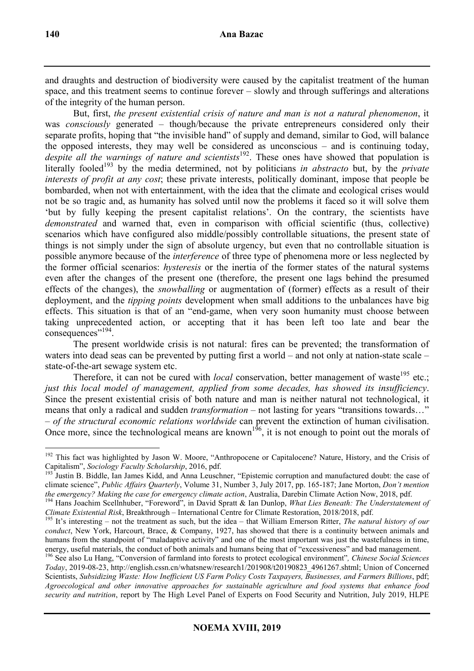and draughts and destruction of biodiversity were caused by the capitalist treatment of the human space, and this treatment seems to continue forever – slowly and through sufferings and alterations of the integrity of the human person.

But, first, *the present existential crisis of nature and man is not a natural phenomenon*, it was *consciously* generated – though/because the private entrepreneurs considered only their separate profits, hoping that "the invisible hand" of supply and demand, similar to God, will balance the opposed interests, they may well be considered as unconscious – and is continuing today, despite all the warnings of nature and scientists<sup>192</sup>. These ones have showed that population is literally fooled<sup>193</sup> by the media determined, not by politicians *in abstracto* but, by the *private interests of profit at any cost*; these private interests, politically dominant, impose that people be bombarded, when not with entertainment, with the idea that the climate and ecological crises would not be so tragic and, as humanity has solved until now the problems it faced so it will solve them 'but by fully keeping the present capitalist relations'. On the contrary, the scientists have *demonstrated* and warned that, even in comparison with official scientific (thus, collective) scenarios which have configured also middle/possibly controllable situations, the present state of things is not simply under the sign of absolute urgency, but even that no controllable situation is possible anymore because of the *interference* of three type of phenomena more or less neglected by the former official scenarios: *hysteresis* or the inertia of the former states of the natural systems even after the changes of the present one (therefore, the present one lags behind the presumed effects of the changes), the *snowballing* or augmentation of (former) effects as a result of their deployment, and the *tipping points* development when small additions to the unbalances have big effects. This situation is that of an "end-game, when very soon humanity must choose between taking unprecedented action, or accepting that it has been left too late and bear the consequences"<sup>194</sup>.

The present worldwide crisis is not natural: fires can be prevented; the transformation of waters into dead seas can be prevented by putting first a world – and not only at nation-state scale – state-of-the-art sewage system etc.

Therefore, it can not be cured with *local* conservation, better management of waste<sup>195</sup> etc.; *just this local model of management, applied from some decades, has showed its insufficiency*. Since the present existential crisis of both nature and man is neither natural not technological, it means that only a radical and sudden *transformation* – not lasting for years "transitions towards..." – *of the structural economic relations worldwide* can prevent the extinction of human civilisation. Once more, since the technological means are known<sup>196</sup>, it is not enough to point out the morals of

 $\overline{a}$ <sup>192</sup> This fact was highlighted by Jason W. Moore, "Anthropocene or Capitalocene? Nature, History, and the Crisis of Capitalism", *Sociology Faculty Scholarship*, 2016, pdf.

<sup>193</sup> Justin B. Biddle, Ian James Kidd, and Anna Leuschner, "Epistemic corruption and manufactured doubt: the case of climate science", *Public Affairs Quarterly*, Volume 31, Number 3, July 2017, pp. 165-187; Jane Morton, *Don't mention the emergency? Making the case for emergency climate action*, Australia, Darebin Climate Action Now, 2018, pdf.

<sup>194</sup> Hans Joachim Scellnhuber, "Foreword", in David Spratt & Ian Dunlop, *What Lies Beneath: The Understatement of Climate Existential Risk*, Breakthrough – International Centre for Climate Restoration, 2018/2018, pdf.

<sup>&</sup>lt;sup>195</sup> It's interesting – not the treatment as such, but the idea – that William Emerson Ritter, *The natural history of our conduct*, New York, Harcourt, Brace, & Company, 1927, has showed that there is a continuity between animals and humans from the standpoint of "maladaptive activity" and one of the most important was just the wastefulness in time, energy, useful materials, the conduct of both animals and humans being that of "excessiveness" and bad management.

<sup>196</sup> See also Lu Hang, "Conversion of farmland into forests to protect ecological environment"*, Chinese Social Sciences Today*, 2019-08-23, http://english.cssn.cn/whatsnew/research1/201908/t20190823\_4961267.shtml; Union of Concerned Scientists, *Subsidizing Waste: How Inefficient US Farm Policy Costs Taxpayers, Businesses, and Farmers Billions*, pdf; *Agroecological and other innovative approaches for sustainable agriculture and food systems that enhance food security and nutrition*, report by The High Level Panel of Experts on Food Security and Nutrition, July 2019, HLPE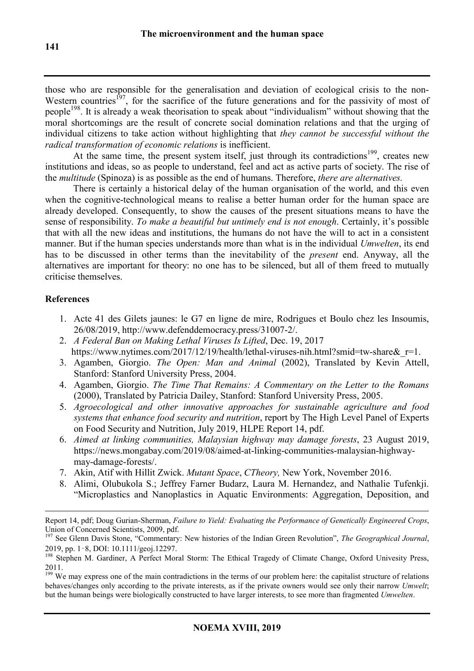those who are responsible for the generalisation and deviation of ecological crisis to the non-Western countries<sup>197</sup>, for the sacrifice of the future generations and for the passivity of most of people<sup>198</sup>. It is already a weak theorisation to speak about "individualism" without showing that the moral shortcomings are the result of concrete social domination relations and that the urging of individual citizens to take action without highlighting that *they cannot be successful without the radical transformation of economic relations* is inefficient.

At the same time, the present system itself, just through its contradictions<sup>199</sup>, creates new institutions and ideas, so as people to understand, feel and act as active parts of society. The rise of the *multitude* (Spinoza) is as possible as the end of humans. Therefore, *there are alternatives.*

There is certainly a historical delay of the human organisation of the world, and this even when the cognitive-technological means to realise a better human order for the human space are already developed. Consequently, to show the causes of the present situations means to have the sense of responsibility. *To make a beautiful but untimely end is not enough*. Certainly, it's possible that with all the new ideas and institutions, the humans do not have the will to act in a consistent manner. But if the human species understands more than what is in the individual *Umwelten*, its end has to be discussed in other terms than the inevitability of the *present* end. Anyway, all the alternatives are important for theory: no one has to be silenced, but all of them freed to mutually criticise themselves.

# **References**

- 1. Acte 41 des Gilets jaunes: le G7 en ligne de mire, Rodrigues et Boulo chez les Insoumis, 26/08/2019, http://www.defenddemocracy.press/31007-2/.
- 2. *A Federal Ban on Making Lethal Viruses Is Lifted*, Dec. 19, 2017 https://www.nytimes.com/2017/12/19/health/lethal-viruses-nih.html?smid=tw-share&r=1.
- 3. Agamben, Giorgio. *The Open: Man and Animal* (2002), Translated by Kevin Attell, Stanford: Stanford University Press, 2004.
- 4. Agamben, Giorgio. *The Time That Remains: A Commentary on the Letter to the Romans*  (2000), Translated by Patricia Dailey, Stanford: Stanford University Press, 2005.
- 5. *Agroecological and other innovative approaches for sustainable agriculture and food systems that enhance food security and nutrition*, report by The High Level Panel of Experts on Food Security and Nutrition, July 2019, HLPE Report 14, pdf.
- 6. *Aimed at linking communities, Malaysian highway may damage forests*, 23 August 2019, https://news.mongabay.com/2019/08/aimed-at-linking-communities-malaysian-highwaymay-damage-forests/.
- 7. Akin, Atif with Hillit Zwick. *Mutant Space*, *CTheory,* New York, November 2016.
- 8. Alimi, Olubukola S.; Jeffrey Farner Budarz, Laura M. Hernandez, and Nathalie Tufenkji. "Microplastics and Nanoplastics in Aquatic Environments: Aggregation, Deposition, and

 $\overline{a}$ Report 14, pdf; Doug Gurian-Sherman, *Failure to Yield: Evaluating the Performance of Genetically Engineered Crops*, Union of Concerned Scientists, 2009, pdf.

<sup>197</sup> See Glenn Davis Stone, "Commentary: New histories of the Indian Green Revolution", *The Geographical Journal*, 2019, pp. 1–8, DOI: 10.1111/geoj.12297.

<sup>198</sup> Stephen M. Gardiner, A Perfect Moral Storm: The Ethical Tragedy of Climate Change, Oxford Univesity Press, 2011.

<sup>199</sup> We may express one of the main contradictions in the terms of our problem here: the capitalist structure of relations behaves/changes only according to the private interests, as if the private owners would see only their narrow *Umwelt*; but the human beings were biologically constructed to have larger interests, to see more than fragmented *Umwelten*.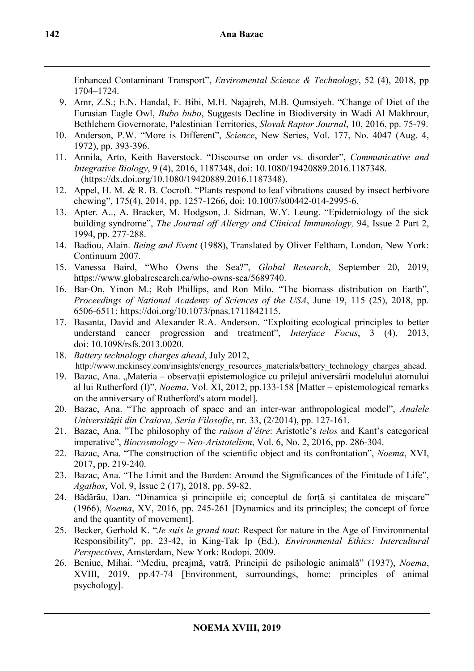Enhanced Contaminant Transport", *Enviromental Science & Technology*, 52 (4), 2018, pp 1704–1724.

- 9. Amr, Z.S.; E.N. Handal, F. Bibi, M.H. Najajreh, M.B. Qumsiyeh. "Change of Diet of the Eurasian Eagle Owl, *Bubo bubo*, Suggests Decline in Biodiversity in Wadi Al Makhrour, Bethlehem Governorate, Palestinian Territories, *Slovak Raptor Journal*, 10, 2016, pp. 75-79.
- 10. Anderson, P.W. "More is Different", *Science*, New Series, Vol. 177, No. 4047 (Aug. 4, 1972), pp. 393-396.
- 11. Annila, Arto, Keith Baverstock. "Discourse on order vs. disorder", *Communicative and Integrative Biology*, 9 (4), 2016, 1187348, doi: 10.1080/19420889.2016.1187348. (https://dx.doi.org/10.1080/19420889.2016.1187348).
- 12. Appel, H. M. & R. B. Cocroft. "Plants respond to leaf vibrations caused by insect herbivore chewing", 175(4), 2014, pp. 1257-1266, doi: 10.1007/s00442-014-2995-6.
- 13. Apter. A.., A. Bracker, M. Hodgson, J. Sidman, W.Y. Leung. "Epidemiology of the sick building syndrome", *The Journal off Allergy and Clinical Immunology,* 94, Issue 2 Part 2, 1994, pp. 277-288.
- 14. Badiou, Alain. *Being and Event* (1988), Translated by Oliver Feltham, London, New York: Continuum 2007.
- 15. Vanessa Baird, "Who Owns the Sea?", *Global Research*, September 20, 2019, https://www.globalresearch.ca/who-owns-sea/5689740.
- 16. Bar-On, Yinon M.; Rob Phillips, and Ron Milo. "The biomass distribution on Earth", *Proceedings of National Academy of Sciences of the USA*, June 19, 115 (25), 2018, pp. 6506-6511; https://doi.org/10.1073/pnas.1711842115.
- 17. Basanta, David and Alexander R.A. Anderson. "Exploiting ecological principles to better understand cancer progression and treatment", *Interface Focus*, 3 (4), 2013, doi: 10.1098/rsfs.2013.0020.
- 18. *Battery technology charges ahead*, July 2012, http://www.mckinsey.com/insights/energy\_resources\_materials/battery\_technology\_charges\_ahead.
- 19. Bazac, Ana. "Materia observații epistemologice cu prilejul aniversării modelului atomului al lui Rutherford (I)", *Noema*, Vol. XI, 2012, pp.133-158 [Matter – epistemological remarks on the anniversary of Rutherford's atom model].
- 20. Bazac, Ana. "The approach of space and an inter-war anthropological model", *Analele Universităţii din Craiova, Seria Filosofie*, nr. 33, (2/2014), pp. 127-161.
- 21. Bazac, Ana. "The philosophy of the *raison d'être*: Aristotle's *telos* and Kant's categorical imperative", *Biocosmology – Neo-Aristotelism*, Vol. 6, No. 2, 2016, pp. 286-304.
- 22. Bazac, Ana. "The construction of the scientific object and its confrontation", *Noema*, XVI, 2017, pp. 219-240.
- 23. Bazac, Ana. "The Limit and the Burden: Around the Significances of the Finitude of Life", *Agathos*, Vol. 9, Issue 2 (17), 2018, pp. 59-82.
- 24. Bădărău, Dan. "Dinamica și principiile ei; conceptul de forță și cantitatea de mișcare" (1966), *Noema*, XV, 2016, pp. 245-261 [Dynamics and its principles; the concept of force and the quantity of movement].
- 25. Becker, Gerhold K. "*Je suis le grand tout*: Respect for nature in the Age of Environmental Responsibility", pp. 23-42, in King-Tak Ip (Ed.), *Environmental Ethics: Intercultural Perspectives*, Amsterdam, New York: Rodopi, 2009.
- 26. Beniuc, Mihai. "Mediu, preajmă, vatră. Principii de psihologie animală" (1937), *Noema*, XVIII, 2019, pp.47-74 [Environment, surroundings, home: principles of animal psychology].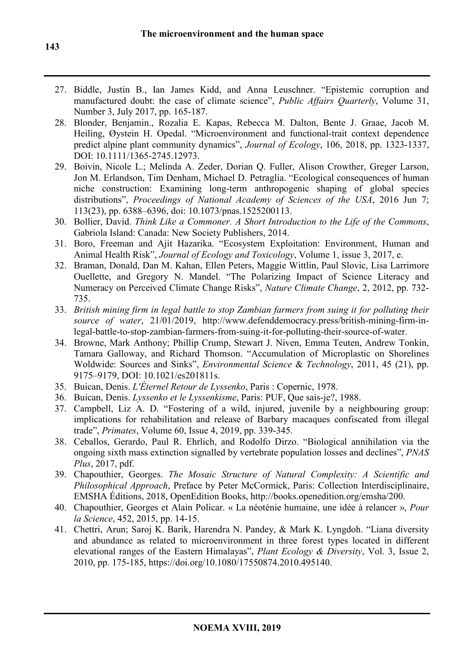- 27. Biddle, Justin B., Ian James Kidd, and Anna Leuschner. "Epistemic corruption and manufactured doubt: the case of climate science", *Public Affairs Quarterly*, Volume 31, Number 3, July 2017, pp. 165-187.
- 28. Blonder, Benjamin., Rozalia E. Kapas, Rebecca M. Dalton, Bente J. Graae, Jacob M. Heiling, Øystein H. Opedal. "Microenvironment and functional-trait context dependence predict alpine plant community dynamics", *Journal of Ecology*, 106, 2018, pp. 1323-1337, DOI: 10.1111/1365-2745.12973.
- 29. Boivin, Nicole L.; Melinda A. Zeder, Dorian Q. Fuller, Alison Crowther, Greger Larson, Jon M. Erlandson, Tim Denham, Michael D. Petraglia. "Ecological consequences of human niche construction: Examining long-term anthropogenic shaping of global species distributions", *Proceedings of National Academy of Sciences of the USA*, 2016 Jun 7; 113(23), pp. 6388–6396, doi: 10.1073/pnas.1525200113.
- 30. Bollier, David. *Think Like a Commoner. A Short Introduction to the Life of the Commons*, Gabriola Island: Canada: New Society Publishers, 2014.
- 31. Boro, Freeman and Ajit Hazarika. "Ecosystem Exploitation: Environment, Human and Animal Health Risk", *Journal of Ecology and Toxicology*, Volume 1, issue 3, 2017, e.
- 32. Braman, Donald, Dan M. Kahan, Ellen Peters, Maggie Wittlin, Paul Slovic, Lisa Larrimore Ouellette, and Gregory N. Mandel. "The Polarizing Impact of Science Literacy and Numeracy on Perceived Climate Change Risks", *Nature Climate Change*, 2, 2012, pp. 732- 735.
- 33. *British mining firm in legal battle to stop Zambian farmers from suing it for polluting their source of water*, 21/01/2019, http://www.defenddemocracy.press/british-mining-firm-inlegal-battle-to-stop-zambian-farmers-from-suing-it-for-polluting-their-source-of-water.
- 34. Browne, Mark Anthony; Phillip Crump, Stewart J. Niven, Emma Teuten, Andrew Tonkin, Tamara Galloway, and Richard Thomson. "Accumulation of Microplastic on Shorelines Woldwide: Sources and Sinks", *Environmental Science* & *Technology*, 2011, 45 (21), pp. 9175–9179, DOI: 10.1021/es201811s.
- 35. Buican, Denis. *L'Éternel Retour de Lyssenko*, Paris : Copernic, 1978.
- 36. Buican, Denis. *Lyssenko et le Lyssenkisme*, Paris: PUF, Que sais-je?, 1988.
- 37. Campbell, Liz A. D. "Fostering of a wild, injured, juvenile by a neighbouring group: implications for rehabilitation and release of Barbary macaques confiscated from illegal trade", *Primates*, Volume 60, Issue 4, 2019, pp. 339-345.
- 38. Ceballos, Gerardo, Paul R. Ehrlich, and Rodolfo Dirzo. "Biological annihilation via the ongoing sixth mass extinction signalled by vertebrate population losses and declines", *PNAS Plus*, 2017, pdf.
- 39. Chapouthier, Georges. *The Mosaic Structure of Natural Complexity: A Scientific and Philosophical Approach*, Preface by Peter McCormick, Paris: Collection Interdisciplinaire, EMSHA Éditions, 2018, OpenEdition Books, http://books.openedition.org/emsha/200.
- 40. Chapouthier, Georges et Alain Policar. « La néoténie humaine, une idée à relancer », *Pour la Science*, 452, 2015, pp. 14-15.
- 41. Chettri, Arun; Saroj K. Barik, Harendra N. Pandey, & Mark K. Lyngdoh. "Liana diversity and abundance as related to microenvironment in three forest types located in different elevational ranges of the Eastern Himalayas", *Plant Ecology & Diversity*, Vol. 3, Issue 2, 2010, pp. 175-185, https://doi.org/10.1080/17550874.2010.495140.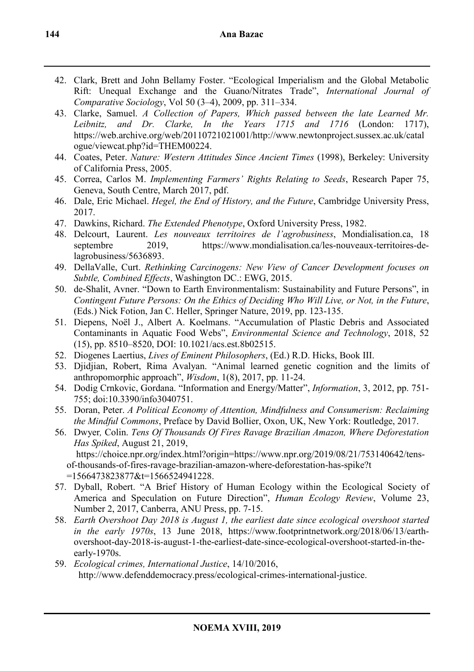- 42. Clark, Brett and John Bellamy Foster. "Ecological Imperialism and the Global Metabolic Rift: Unequal Exchange and the Guano/Nitrates Trade", *International Journal of Comparative Sociology*, Vol 50 (3–4), 2009, pp. 311–334.
- 43. Clarke, Samuel. *A Collection of Papers, Which passed between the late Learned Mr. Leibnitz, and Dr. Clarke, In the Years 1715 and 1716* (London: 1717), https://web.archive.org/web/20110721021001/http://www.newtonproject.sussex.ac.uk/catal ogue/viewcat.php?id=THEM00224.
- 44. Coates, Peter. *Nature: Western Attitudes Since Ancient Times* (1998), Berkeley: University of California Press, 2005.
- 45. Correa, Carlos M. *Implementing Farmers' Rights Relating to Seeds*, Research Paper 75, Geneva, South Centre, March 2017, pdf.
- 46. Dale, Eric Michael. *Hegel, the End of History, and the Future*, Cambridge University Press, 2017.
- 47. Dawkins, Richard. *The Extended Phenotype*, Oxford University Press, 1982.
- 48. Delcourt, Laurent. *Les nouveaux territoires de l'agrobusiness*, Mondialisation.ca, 18 septembre 2019, https://www.mondialisation.ca/les-nouveaux-territoires-delagrobusiness/5636893.
- 49. DellaValle, Curt. *Rethinking Carcinogens: New View of Cancer Development focuses on Subtle, Combined Effects*, Washington DC.: EWG, 2015.
- 50. de-Shalit, Avner. "Down to Earth Environmentalism: Sustainability and Future Persons", in *Contingent Future Persons: On the Ethics of Deciding Who Will Live, or Not, in the Future*, (Eds.) Nick Fotion, Jan C. Heller, Springer Nature, 2019, pp. 123-135.
- 51. Diepens, Noël J., Albert A. Koelmans. "Accumulation of Plastic Debris and Associated Contaminants in Aquatic Food Webs", *Environmental Science and Technology*, 2018, 52 (15), pp. 8510–8520, DOI: 10.1021/acs.est.8b02515.
- 52. Diogenes Laertius, *Lives of Eminent Philosophers*, (Ed.) R.D. Hicks, Book III.
- 53. Djidjian, Robert, Rima Avalyan. "Animal learned genetic cognition and the limits of anthropomorphic approach", *Wisdom*, 1(8), 2017, pp. 11-24.
- 54. Dodig Crnkovic, Gordana. "Information and Energy/Matter", *Information*, 3, 2012, pp. 751- 755; doi:10.3390/info3040751.
- 55. Doran, Peter. *A Political Economy of Attention, Mindfulness and Consumerism: Reclaiming the Mindful Commons*, Preface by David Bollier, Oxon, UK, New York: Routledge, 2017.
- 56. Dwyer*,* Colin. *Tens Of Thousands Of Fires Ravage Brazilian Amazon, Where Deforestation Has Spiked*, August 21, 2019, https://choice.npr.org/index.html?origin=https://www.npr.org/2019/08/21/753140642/tensof-thousands-of-fires-ravage-brazilian-amazon-where-deforestation-has-spike?t
- =1566473823877&t=1566524941228. 57. Dyball, Robert. "A Brief History of Human Ecology within the Ecological Society of America and Speculation on Future Direction", *Human Ecology Review*, Volume 23, Number 2, 2017, Canberra, ANU Press, pp. 7-15.
- 58. *Earth Overshoot Day 2018 is August 1, the earliest date since ecological overshoot started in the early 1970s*, 13 June 2018, https://www.footprintnetwork.org/2018/06/13/earthovershoot-day-2018-is-august-1-the-earliest-date-since-ecological-overshoot-started-in-theearly-1970s.
- 59. *Ecological crimes, International Justice*, 14/10/2016, http://www.defenddemocracy.press/ecological-crimes-international-justice.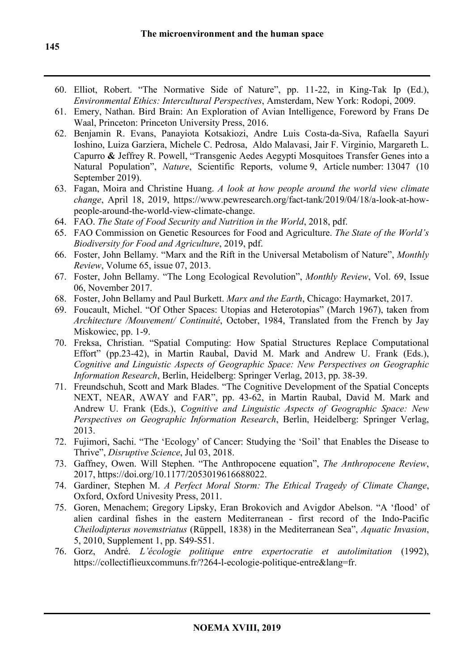- 60. Elliot, Robert. "The Normative Side of Nature", pp. 11-22, in King-Tak Ip (Ed.), *Environmental Ethics: Intercultural Perspectives*, Amsterdam, New York: Rodopi, 2009.
- 61. Emery, Nathan. Bird Brain: An Exploration of Avian Intelligence, Foreword by Frans De Waal, Princeton: Princeton University Press, 2016.
- 62. Benjamin R. Evans, Panayiota Kotsakiozi, Andre Luis Costa-da-Siva, Rafaella Sayuri Ioshino, Luiza Garziera, Michele C. Pedrosa, Aldo Malavasi, Jair F. Virginio, Margareth L. Capurro **&** Jeffrey R. Powell, "Transgenic Aedes Aegypti Mosquitoes Transfer Genes into a Natural Population", *Nature*, Scientific Reports, volume 9, Article number: 13047 (10 September 2019).
- 63. Fagan, Moira and Christine Huang. *A look at how people around the world view climate change*, April 18, 2019, https://www.pewresearch.org/fact-tank/2019/04/18/a-look-at-howpeople-around-the-world-view-climate-change.
- 64. FAO. *The State of Food Security and Nutrition in the World*, 2018, pdf.
- 65. FAO Commission on Genetic Resources for Food and Agriculture. *The State of the World's Biodiversity for Food and Agriculture*, 2019, pdf.
- 66. Foster, John Bellamy. "Marx and the Rift in the Universal Metabolism of Nature", *Monthly Review*, Volume 65, issue 07, 2013.
- 67. Foster, John Bellamy. "The Long Ecological Revolution", *Monthly Review*, Vol. 69, Issue 06, November 2017.
- 68. Foster, John Bellamy and Paul Burkett. *Marx and the Earth*, Chicago: Haymarket, 2017.
- 69. Foucault, Michel. "Of Other Spaces: Utopias and Heterotopias" (March 1967), taken from *Architecture /Mouvement/ Continuité*, October, 1984, Translated from the French by Jay Miskowiec, pp. 1-9.
- 70. Freksa, Christian. "Spatial Computing: How Spatial Structures Replace Computational Effort" (pp.23-42), in Martin Raubal, David M. Mark and Andrew U. Frank (Eds.), *Cognitive and Linguistic Aspects of Geographic Space: New Perspectives on Geographic Information Research*, Berlin, Heidelberg: Springer Verlag, 2013, pp. 38-39.
- 71. Freundschuh, Scott and Mark Blades. "The Cognitive Development of the Spatial Concepts NEXT, NEAR, AWAY and FAR", pp. 43-62, in Martin Raubal, David M. Mark and Andrew U. Frank (Eds.), *Cognitive and Linguistic Aspects of Geographic Space: New Perspectives on Geographic Information Research*, Berlin, Heidelberg: Springer Verlag, 2013.
- 72. Fujimori, Sachi. "The 'Ecology' of Cancer: Studying the 'Soil' that Enables the Disease to Thrive", *Disruptive Science*, Jul 03, 2018.
- 73. Gaffney, Owen. Will Stephen. "The Anthropocene equation", *The Anthropocene Review*, 2017, https://doi.org/10.1177/2053019616688022.
- 74. Gardiner, Stephen M. *A Perfect Moral Storm: The Ethical Tragedy of Climate Change*, Oxford, Oxford Univesity Press, 2011.
- 75. Goren, Menachem; Gregory Lipsky, Eran Brokovich and Avigdor Abelson. "A 'flood' of alien cardinal fishes in the eastern Mediterranean - first record of the Indo-Pacific *Cheilodipterus novemstriatus* (Rüppell, 1838) in the Mediterranean Sea", *Aquatic Invasion*, 5, 2010, Supplement 1, pp. S49-S51.
- 76. Gorz, André. *L'écologie politique entre expertocratie et autolimitation* (1992), https://collectiflieuxcommuns.fr/?264-l-ecologie-politique-entre&lang=fr.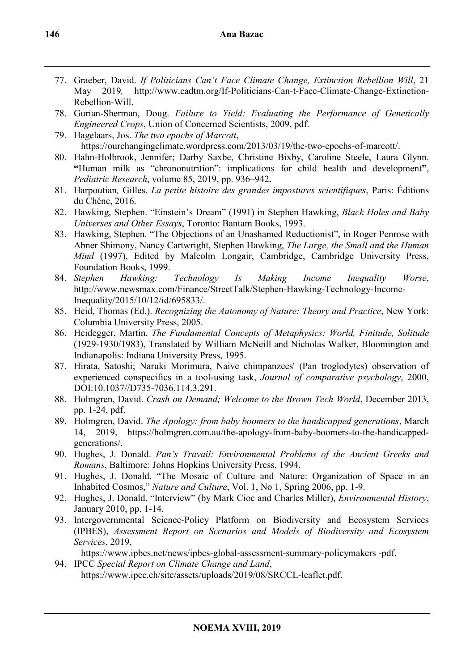- 77. Graeber, David. *If Politicians Can't Face Climate Change, Extinction Rebellion Will*, 21 May 2019*,* http://www.cadtm.org/If-Politicians-Can-t-Face-Climate-Change-Extinction-Rebellion-Will.
- 78. Gurian-Sherman, Doug. *Failure to Yield: Evaluating the Performance of Genetically Engineered Crops*, Union of Concerned Scientists, 2009, pdf.
- 79. Hagelaars, Jos. *The two epochs of Marcott*, https://ourchangingclimate.wordpress.com/2013/03/19/the-two-epochs-of-marcott/.
- 80. Hahn-Holbrook, Jennifer; Darby Saxbe, Christine Bixby, Caroline Steele, Laura Glynn. **"**Human milk as "chrononutrition": implications for child health and development**"**, *Pediatric Research*, volume 85, 2019, pp. 936–942**.**
- 81. Harpoutian*,* Gilles. *La petite histoire des grandes impostures scientifiques*, Paris: Éditions du Chêne, 2016.
- 82. Hawking, Stephen. "Einstein's Dream" (1991) in Stephen Hawking, *Black Holes and Baby Universes and Other Essays*, Toronto: Bantam Books, 1993.
- 83. Hawking, Stephen. "The Objections of an Unashamed Reductionist", in Roger Penrose with Abner Shimony, Nancy Cartwright, Stephen Hawking, *The Large, the Small and the Human Mind* (1997), Edited by Malcolm Longair, Cambridge, Cambridge University Press, Foundation Books, 1999.
- 84. *Stephen Hawking: Technology Is Making Income Inequality Worse*, http://www.newsmax.com/Finance/StreetTalk/Stephen-Hawking-Technology-Income-Inequality/2015/10/12/id/695833/.
- 85. Heid, Thomas (Ed.). *Recognizing the Autonomy of Nature: Theory and Practice*, New York: Columbia University Press, 2005.
- 86. Heidegger, Martin. *The Fundamental Concepts of Metaphysics: World, Finitude, Solitude* (1929-1930/1983), Translated by William McNeill and Nicholas Walker, Bloomington and Indianapolis: Indiana University Press, 1995.
- 87. Hirata, Satoshi; Naruki Morimura, Naive chimpanzees' (Pan troglodytes) observation of experienced conspecifics in a tool-using task, *Journal of comparative psychology*, 2000, DOI:10.1037//D735-7036.114.3.291.
- 88. Holmgren, David. *Crash on Demand; Welcome to the Brown Tech World*, December 2013, pp. 1-24, pdf.
- 89. Holmgren, David. *The Apology: from baby boomers to the handicapped generations*, March 14, 2019, https://holmgren.com.au/the-apology-from-baby-boomers-to-the-handicappedgenerations/.
- 90. Hughes, J. Donald. *Pan's Travail: Environmental Problems of the Ancient Greeks and Romans*, Baltimore: Johns Hopkins University Press, 1994.
- 91. Hughes, J. Donald. "The Mosaic of Culture and Nature: Organization of Space in an Inhabited Cosmos," *Nature and Culture*, Vol. 1, No 1, Spring 2006, pp. 1-9.
- 92. Hughes, J. Donald. "Interview" (by Mark Cioc and Charles Miller), *Environmental History*, January 2010, pp. 1-14.
- 93. Intergovernmental Science-Policy Platform on Biodiversity and Ecosystem Services (IPBES), *Assessment Report on Scenarios and Models of Biodiversity and Ecosystem Services*, 2019,

https://www.ipbes.net/news/ipbes-global-assessment-summary-policymakers -pdf.

94. IPCC *Special Report on Climate Change and Land*, https://www.ipcc.ch/site/assets/uploads/2019/08/SRCCL-leaflet.pdf.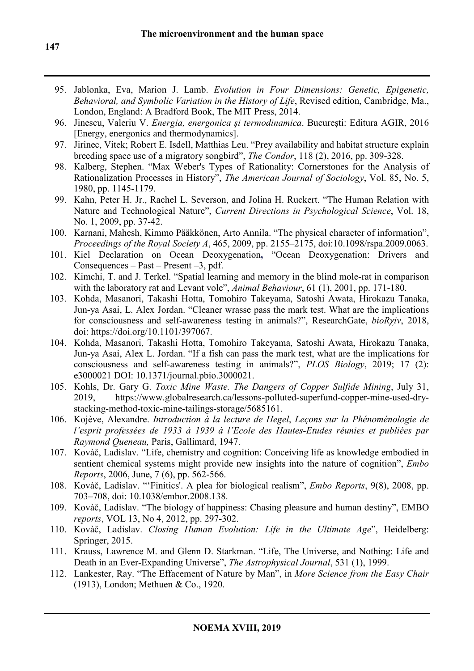- 95. Jablonka, Eva, Marion J. Lamb. *Evolution in Four Dimensions: Genetic, Epigenetic, Behavioral, and Symbolic Variation in the History of Life*, Revised edition, Cambridge, Ma., London, England: A Bradford Book, The MIT Press, 2014.
- 96. Jinescu, Valeriu V. *Energia, energonica și termodinamica*. București: Editura AGIR, 2016 [Energy, energonics and thermodynamics].
- 97. Jirinec, Vitek; Robert E. Isdell, Matthias Leu. "Prey availability and habitat structure explain breeding space use of a migratory songbird", *The Condor*, 118 (2), 2016, pp. 309-328.
- 98. Kalberg, Stephen. "Max Weber's Types of Rationality: Cornerstones for the Analysis of Rationalization Processes in History", *The American Journal of Sociology*, Vol. 85, No. 5, 1980, pp. 1145-1179.
- 99. Kahn, Peter H. Jr., Rachel L. Severson, and Jolina H. Ruckert. "The Human Relation with Nature and Technological Nature", *Current Directions in Psychological Science*, Vol. 18, No. 1, 2009, pp. 37-42.
- 100. Karnani, Mahesh, Kimmo Pääkkönen, Arto Annila. "The physical character of information", *Proceedings of the Royal Society A*, 465, 2009, pp. 2155–2175, doi:10.1098/rspa.2009.0063.
- 101. Kiel Declaration on Ocean Deoxygenation**,** "Ocean Deoxygenation: Drivers and Consequences – Past – Present –3, pdf.
- 102. Kimchi, T. and J. Terkel. "Spatial learning and memory in the blind mole-rat in comparison with the laboratory rat and Levant vole", *Animal Behaviour*, 61 (1), 2001, pp. 171-180.
- 103. Kohda, Masanori, Takashi Hotta, Tomohiro Takeyama, Satoshi Awata, Hirokazu Tanaka, Jun-ya Asai, L. Alex Jordan. "Cleaner wrasse pass the mark test. What are the implications for consciousness and self-awareness testing in animals?", ResearchGate, *bioRχiv*, 2018, doi: https://doi.org/10.1101/397067.
- 104. Kohda, Masanori, Takashi Hotta, Tomohiro Takeyama, Satoshi Awata, Hirokazu Tanaka, Jun-ya Asai, Alex L. Jordan. "If a fish can pass the mark test, what are the implications for consciousness and self-awareness testing in animals?", *PLOS Biology*, 2019; 17 (2): e3000021 DOI: 10.1371/journal.pbio.3000021.
- 105. Kohls, Dr. Gary G. *Toxic Mine Waste. The Dangers of Copper Sulfide Mining*, July 31, 2019, https://www.globalresearch.ca/lessons-polluted-superfund-copper-mine-used-drystacking-method-toxic-mine-tailings-storage/5685161.
- 106. Kojève, Alexandre. *Introduction à la lecture de Hegel*, *Leçons sur la Phénoménologie de l'esprit professées de 1933 à 1939 à l'Ecole des Hautes-Etudes réunies et publiées par Raymond Queneau,* Paris, Gallimard, 1947.
- 107. Kovàč, Ladislav. "Life, chemistry and cognition: Conceiving life as knowledge embodied in sentient chemical systems might provide new insights into the nature of cognition", *Embo Reports*, 2006, June, 7 (6), pp. 562-566.
- 108. Kovàč, Ladislav. "'Finitics'. A plea for biological realism", *Embo Reports*, 9(8), 2008, pp. 703–708, doi: 10.1038/embor.2008.138.
- 109. Kovàč, Ladislav. "The biology of happiness: Chasing pleasure and human destiny", EMBO *reports*, VOL 13, No 4, 2012, pp. 297-302.
- 110. Kovàč, Ladislav. *Closing Human Evolution: Life in the Ultimate Age*", Heidelberg: Springer, 2015.
- 111. Krauss, Lawrence M. and Glenn D. Starkman. "Life, The Universe, and Nothing: Life and Death in an Ever-Expanding Universe", *The Astrophysical Journal*, 531 (1), 1999.
- 112. Lankester, Ray. "The Effacement of Nature by Man", in *More Science from the Easy Chair*  (1913), London; Methuen & Co., 1920.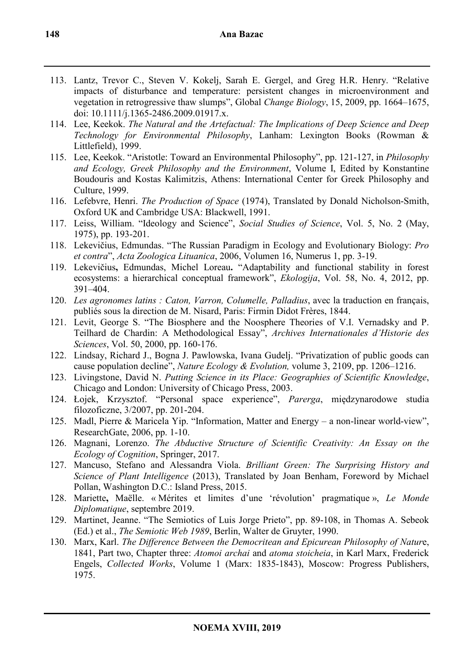- 113. Lantz, Trevor C., Steven V. Kokelj, Sarah E. Gergel, and Greg H.R. Henry. "Relative impacts of disturbance and temperature: persistent changes in microenvironment and vegetation in retrogressive thaw slumps", Global *Change Biology*, 15, 2009, pp. 1664–1675, doi: 10.1111/j.1365-2486.2009.01917.x.
- 114. Lee, Keekok. *The Natural and the Artefactual: The Implications of Deep Science and Deep Technology for Environmental Philosophy*, Lanham: Lexington Books (Rowman & Littlefield), 1999.
- 115. Lee, Keekok. "Aristotle: Toward an Environmental Philosophy", pp. 121-127, in *Philosophy and Ecology, Greek Philosophy and the Environment*, Volume I, Edited by Konstantine Boudouris and Kostas Kalimitzis, Athens: International Center for Greek Philosophy and Culture, 1999.
- 116. Lefebvre, Henri. *The Production of Space* (1974), Translated by Donald Nicholson-Smith, Oxford UK and Cambridge USA: Blackwell, 1991.
- 117. Leiss, William. "Ideology and Science", *Social Studies of Science*, Vol. 5, No. 2 (May, 1975), pp. 193-201.
- 118. Lekevičius, Edmundas. "The Russian Paradigm in Ecology and Evolutionary Biology: *Pro et contra*", *Acta Zoologica Lituanica*, 2006, Volumen 16, Numerus 1, pp. 3-19.
- 119. Lekevičius**,** Edmundas, Michel Loreau**.** "Adaptability and functional stability in forest ecosystems: a hierarchical conceptual framework", *Ekologija*, Vol. 58, No. 4, 2012, pp. 391–404.
- 120. *Les agronomes latins : Caton, Varron, Columelle, Palladius*, avec la traduction en français, publiés sous la direction de M. Nisard, Paris: Firmin Didot Frères, 1844.
- 121. Levit, George S. "The Biosphere and the Noosphere Theories of V.I. Vernadsky and P. Teilhard de Chardin: A Methodological Essay", *Archives Internationales d'Historie des Sciences*, Vol. 50, 2000, pp. 160-176.
- 122. Lindsay, Richard J., Bogna J. Pawlowska, Ivana Gudelj. "Privatization of public goods can cause population decline", *Nature Ecology & Evolution,* volume 3, 2109, pp. 1206–1216.
- 123. Livingstone, David N. *Putting Science in its Place: Geographies of Scientific Knowledge*, Chicago and London: University of Chicago Press, 2003.
- 124. Łojek, Krzysztof. "Personal space experience", *Parerga*, międzynarodowe studia filozoficzne, 3/2007, pp. 201-204.
- 125. Madl, Pierre & Maricela Yip. "Information, Matter and Energy a non-linear world-view", ResearchGate, 2006, pp. 1-10.
- 126. Magnani, Lorenzo. *The Abductive Structure of Scientific Creativity: An Essay on the Ecology of Cognition*, Springer, 2017.
- 127. Mancuso, Stefano and Alessandra Viola. *Brilliant Green: The Surprising History and Science of Plant Intelligence* (2013), Translated by Joan Benham, Foreword by Michael Pollan, Washington D.C.: Island Press, 2015.
- 128. Mariette**,** Maëlle. « Mérites et limites d'une 'révolution' pragmatique », *Le Monde Diplomatique*, septembre 2019.
- 129. Martinet, Jeanne. "The Semiotics of Luis Jorge Prieto", pp. 89-108, in Thomas A. Sebeok (Ed.) et al., *The Semiotic Web 1989*, Berlin, Walter de Gruyter, 1990.
- 130. Marx, Karl. *The Difference Between the Democritean and Epicurean Philosophy of Natur*e, 1841, Part two, Chapter three: *Atomoi archai* and *atoma stoicheia*, in Karl Marx, Frederick Engels, *Collected Works*, Volume 1 (Marx: 1835-1843), Moscow: Progress Publishers, 1975.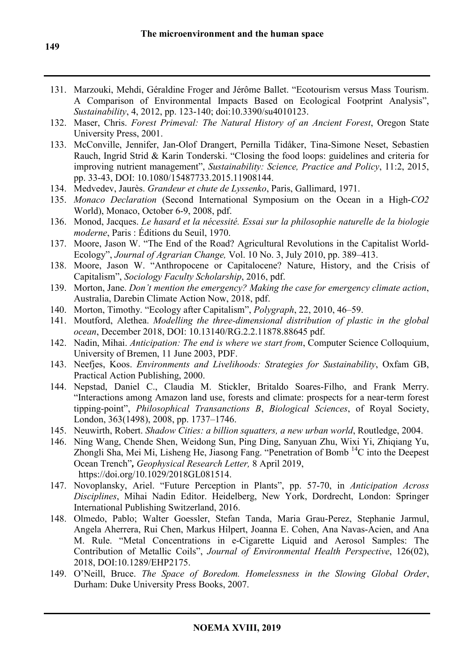- 131. Marzouki, Mehdi, Géraldine Froger and Jérôme Ballet. "Ecotourism versus Mass Tourism. A Comparison of Environmental Impacts Based on Ecological Footprint Analysis", *Sustainability*, 4, 2012, pp. 123-140; doi:10.3390/su4010123.
- 132. Maser, Chris. *Forest Primeval: The Natural History of an Ancient Forest*, Oregon State University Press, 2001.
- 133. McConville, Jennifer, Jan-Olof Drangert, Pernilla Tidåker, Tina-Simone Neset, Sebastien Rauch, Ingrid Strid & Karin Tonderski. "Closing the food loops: guidelines and criteria for improving nutrient management", *Sustainability: Science, Practice and Policy*, 11:2, 2015, pp. 33-43, DOI: 10.1080/15487733.2015.11908144.
- 134. Medvedev, Jaurès. *Grandeur et chute de Lyssenko*, Paris, Gallimard, 1971.
- 135. *Monaco Declaration* (Second International Symposium on the Ocean in a High-*CO2* World), Monaco, October 6-9, 2008, pdf.
- 136. Monod, Jacques. *Le hasard et la nécessité. Essai sur la philosophie naturelle de la biologie moderne*, Paris : Éditions du Seuil, 1970.
- 137. Moore, Jason W. "The End of the Road? Agricultural Revolutions in the Capitalist World-Ecology", *Journal of Agrarian Change,* Vol. 10 No. 3, July 2010, pp. 389–413.
- 138. Moore, Jason W. "Anthropocene or Capitalocene? Nature, History, and the Crisis of Capitalism", *Sociology Faculty Scholarship*, 2016, pdf.
- 139. Morton, Jane. *Don't mention the emergency? Making the case for emergency climate action*, Australia, Darebin Climate Action Now, 2018, pdf.
- 140. Morton, Timothy. "Ecology after Capitalism", *Polygraph*, 22, 2010, 46–59.
- 141. Moutford, Alethea. *Modelling the three-dimensional distribution of plastic in the global ocean*, December 2018, DOI: 10.13140/RG.2.2.11878.88645 pdf.
- 142. Nadin, Mihai. *Anticipation: The end is where we start from*, Computer Science Colloquium, University of Bremen, 11 June 2003, PDF.
- 143. Neefjes, Koos. *Environments and Livelihoods: Strategies for Sustainability*, Oxfam GB, Practical Action Publishing, 2000.
- 144. Nepstad, Daniel C., Claudia M. Stickler, Britaldo Soares-Filho, and Frank Merry. "Interactions among Amazon land use, forests and climate: prospects for a near-term forest tipping-point", *Philosophical Transanctions B*, *Biological Sciences*, of Royal Society, London, 363(1498), 2008, pp. 1737–1746.
- 145. Neuwirth, Robert. *Shadow Cities: a billion squatters, a new urban world*, Routledge, 2004.
- 146. Ning Wang, Chende Shen, Weidong Sun, Ping Ding, Sanyuan Zhu, Wixi Yi, Zhiqiang Yu, Zhongli Sha, Mei Mi, Lisheng He, Jiasong Fang. "Penetration of Bomb<sup>14</sup>C into the Deepest Ocean Trench"*, Geophysical Research Letter,* 8 April 2019, https://doi.org/10.1029/2018GL081514.
- 147. Novoplansky, Ariel. "Future Perception in Plants", pp. 57-70, in *Anticipation Across Disciplines*, Mihai Nadin Editor. Heidelberg, New York, Dordrecht, London: Springer International Publishing Switzerland, 2016.
- 148. Olmedo, Pablo; Walter Goessler, Stefan Tanda, Maria Grau-Perez, Stephanie Jarmul, Angela Aherrera, Rui Chen, Markus Hilpert, Joanna E. Cohen, Ana Navas-Acien, and Ana M. Rule. "Metal Concentrations in e-Cigarette Liquid and Aerosol Samples: The Contribution of Metallic Coils", *Journal of Environmental Health Perspective*, 126(02), 2018, DOI:10.1289/EHP2175.
- 149. O'Neill, Bruce. *The Space of Boredom. Homelessness in the Slowing Global Order*, Durham: Duke University Press Books, 2007.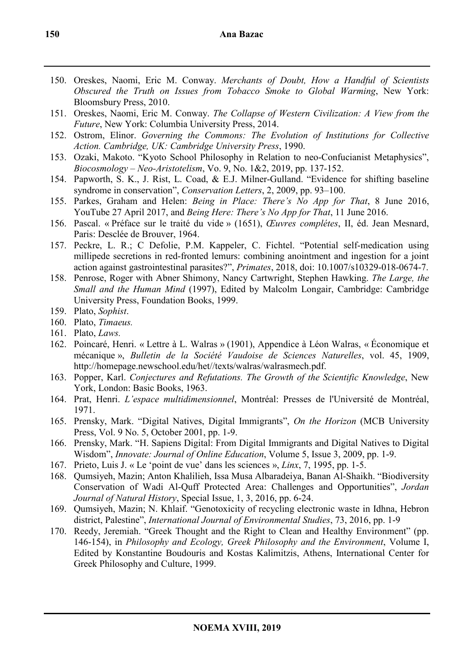- 150. Oreskes, Naomi, Eric M. Conway. *Merchants of Doubt, How a Handful of Scientists Obscured the Truth on Issues from Tobacco Smoke to Global Warming*, New York: Bloomsbury Press, 2010.
- 151. Oreskes, Naomi, Eric M. Conway. *The Collapse of Western Civilization: A View from the Future*, New York: Columbia University Press, 2014.
- 152. Ostrom, Elinor. *Governing the Commons: The Evolution of Institutions for Collective Action. Cambridge, UK: Cambridge University Press*, 1990.
- 153. Ozaki, Makoto. "Kyoto School Philosophy in Relation to neo-Confucianist Metaphysics", *Biocosmology – Neo-Aristotelism*, Vo. 9, No. 1&2, 2019, pp. 137-152.
- 154. Papworth, S. K., J. Rist, L. Coad, & E.J. Milner-Gulland. "Evidence for shifting baseline syndrome in conservation", *Conservation Letters*, 2, 2009, pp. 93–100.
- 155. Parkes, Graham and Helen: *Being in Place: There's No App for That*, 8 June 2016, YouTube 27 April 2017, and *Being Here: There's No App for That*, 11 June 2016.
- 156. Pascal. « Préface sur le traité du vide » (1651), *Œuvres complétes*, II, éd. Jean Mesnard, Paris: Desclée de Brouver, 1964.
- 157. Peckre, L. R.; C Defolie, P.M. Kappeler, C. Fichtel. "Potential self-medication using millipede secretions in red-fronted lemurs: combining anointment and ingestion for a joint action against gastrointestinal parasites?", *Primates*, 2018, doi: 10.1007/s10329-018-0674-7.
- 158. Penrose, Roger with Abner Shimony, Nancy Cartwright, Stephen Hawking. *The Large, the Small and the Human Mind* (1997), Edited by Malcolm Longair, Cambridge: Cambridge University Press, Foundation Books, 1999.
- 159. Plato, *Sophist*.
- 160. Plato, *Timaeus.*
- 161. Plato, *Laws.*
- 162. Poincaré, Henri. « Lettre à L. Walras » (1901), Appendice à Léon Walras, « Économique et mécanique », *Bulletin de la Société Vaudoise de Sciences Naturelles*, vol. 45, 1909, http://homepage.newschool.edu/het//texts/walras/walrasmech.pdf.
- 163. Popper, Karl. *Conjectures and Refutations. The Growth of the Scientific Knowledge*, New York, London: Basic Books, 1963.
- 164. Prat, Henri. *L'espace multidimensionnel*, Montréal: Presses de l'Université de Montréal, 1971.
- 165. Prensky, Mark. "Digital Natives, Digital Immigrants", *On the Horizon* (MCB University Press, Vol. 9 No. 5, October 2001, pp. 1-9.
- 166. Prensky, Mark. "H. Sapiens Digital: From Digital Immigrants and Digital Natives to Digital Wisdom", *Innovate: Journal of Online Education*, Volume 5, Issue 3, 2009, pp. 1-9.
- 167. Prieto, Luis J. « Le 'point de vue' dans les sciences », *Linx*, 7, 1995, pp. 1-5.
- 168. Qumsiyeh, Mazin; Anton Khalilieh, Issa Musa Albaradeiya, Banan Al-Shaikh. "Biodiversity Conservation of Wadi Al-Quff Protected Area: Challenges and Opportunities", *Jordan Journal of Natural History*, Special Issue, 1, 3, 2016, pp. 6-24.
- 169. Qumsiyeh, Mazin; N. Khlaif. "Genotoxicity of recycling electronic waste in Idhna, Hebron district, Palestine", *International Journal of Environmental Studies*, 73, 2016, pp. 1-9
- 170. Reedy, Jeremiah. "Greek Thought and the Right to Clean and Healthy Environment" (pp. 146-154), in *Philosophy and Ecology, Greek Philosophy and the Environment*, Volume I, Edited by Konstantine Boudouris and Kostas Kalimitzis, Athens, International Center for Greek Philosophy and Culture, 1999.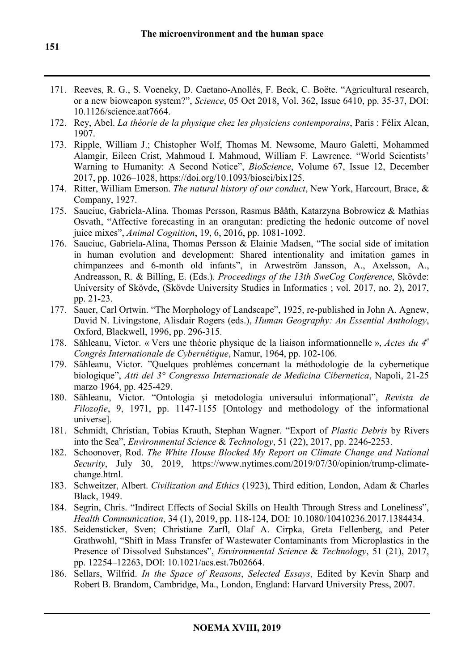- 171. Reeves, R. G., S. Voeneky, D. Caetano-Anollés, F. Beck, C. Boëte. "Agricultural research, or a new bioweapon system?", *Science*, 05 Oct 2018, Vol. 362, Issue 6410, pp. 35-37, DOI: 10.1126/science.aat7664.
- 172. Rey, Abel. *La théorie de la physique chez les physiciens contemporains*, Paris : Félix Alcan, 1907.
- 173. Ripple, William J.; Chistopher Wolf, Thomas M. Newsome, Mauro Galetti, Mohammed Alamgir, Eileen Crist, Mahmoud I. Mahmoud, William F. Lawrence. "World Scientists' Warning to Humanity: A Second Notice", *BioScience*, Volume 67, Issue 12, December 2017, pp. 1026–1028, https://doi.org/10.1093/biosci/bix125.
- 174. Ritter, William Emerson. *The natural history of our conduct*, New York, Harcourt, Brace, & Company, 1927.
- 175. Sauciuc, Gabriela-Alina. Thomas Persson, Rasmus Bååth, Katarzyna Bobrowicz & Mathias Osvath, "Affective forecasting in an orangutan: predicting the hedonic outcome of novel juice mixes", *Animal Cognition*, 19, 6, 2016, pp. 1081-1092.
- 176. Sauciuc, Gabriela-Alina, Thomas Persson & Elainie Madsen, "The social side of imitation in human evolution and development: Shared intentionality and imitation games in chimpanzees and 6-month old infants", in Arweström Jansson, A., Axelsson, A., Andreasson, R. & Billing, E. (Eds.). *Proceedings of the 13th SweCog Conference*, Skövde: University of Skövde, (Skövde University Studies in Informatics ; vol. 2017, no. 2), 2017, pp. 21-23.
- 177. Sauer, Carl Ortwin. "The Morphology of Landscape", 1925, re-published in John A. Agnew, David N. Livingstone, Alisdair Rogers (eds.), *Human Geography: An Essential Anthology*, Oxford, Blackwell, 1996, pp. 296-315.
- 178. Săhleanu, Victor. « Vers une théorie physique de la liaison informationnelle », *Actes du 4<sup>e</sup> Congrès Internationale de Cybernétique*, Namur, 1964, pp. 102-106.
- 179. Săhleanu, Victor. "Quelques problèmes concernant la méthodologie de la cybernetique biologique", *Atti del 3° Congresso Internazionale de Medicina Cibernetica*, Napoli, 21-25 marzo 1964, pp. 425-429.
- 180. Săhleanu, Victor. "Ontologia și metodologia universului informațional", *Revista de Filozofie*, 9, 1971, pp. 1147-1155 [Ontology and methodology of the informational universe].
- 181. Schmidt, Christian, Tobias Krauth, Stephan Wagner. "Export of *Plastic Debris* by Rivers into the Sea", *Environmental Science* & *Technology*, 51 (22), 2017, pp. 2246-2253.
- 182. Schoonover, Rod. *The White House Blocked My Report on Climate Change and National Security*, July 30, 2019, https://www.nytimes.com/2019/07/30/opinion/trump-climatechange.html.
- 183. Schweitzer, Albert. *Civilization and Ethics* (1923), Third edition, London, Adam & Charles Black, 1949.
- 184. Segrin, Chris. "Indirect Effects of Social Skills on Health Through Stress and Loneliness", *Health Communication*, 34 (1), 2019, pp. 118-124, DOI: 10.1080/10410236.2017.1384434.
- 185. Seidensticker, Sven; Christiane Zarfl, Olaf A. Cirpka, Greta Fellenberg, and Peter Grathwohl, "Shift in Mass Transfer of Wastewater Contaminants from Microplastics in the Presence of Dissolved Substances", *Environmental Science* & *Technology*, 51 (21), 2017, pp. 12254–12263, DOI: 10.1021/acs.est.7b02664.
- 186. Sellars, Wilfrid. *In the Space of Reasons*, *Selected Essays*, Edited by Kevin Sharp and Robert B. Brandom, Cambridge, Ma., London, England: Harvard University Press, 2007.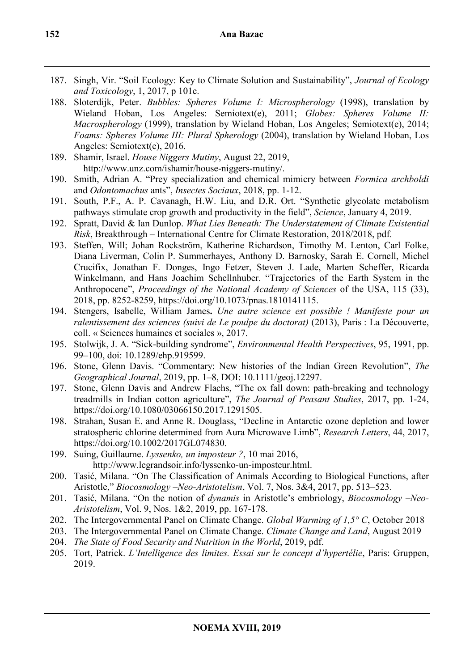- 187. Singh, Vir. "Soil Ecology: Key to Climate Solution and Sustainability", *Journal of Ecology and Toxicology*, 1, 2017, p 101e.
- 188. Sloterdijk, Peter. *Bubbles: Spheres Volume I: Microspherology* (1998), translation by Wieland Hoban, Los Angeles: Semiotext(e), 2011; *Globes: Spheres Volume II: Macrospherology* (1999), translation by Wieland Hoban, Los Angeles; Semiotext(e), 2014; *Foams: Spheres Volume III: Plural Spherology* (2004), translation by Wieland Hoban, Los Angeles: Semiotext(e), 2016.
- 189. Shamir, Israel. *House Niggers Mutiny*, August 22, 2019, http://www.unz.com/ishamir/house-niggers-mutiny/.
- 190. Smith, Adrian A. "Prey specialization and chemical mimicry between *Formica archboldi* and *Odontomachus* ants", *Insectes Sociaux*, 2018, pp. 1-12.
- 191. South, P.F., A. P. Cavanagh, H.W. Liu, and D.R. Ort. "Synthetic glycolate metabolism pathways stimulate crop growth and productivity in the field", *Science*, January 4, 2019.
- 192. Spratt, David & Ian Dunlop. *What Lies Beneath: The Understatement of Climate Existential Risk*, Breakthrough – International Centre for Climate Restoration, 2018/2018, pdf.
- 193. Steffen, Will; Johan Rockström, Katherine Richardson, Timothy M. Lenton, Carl Folke, Diana Liverman, Colin P. Summerhayes, Anthony D. Barnosky, Sarah E. Cornell, Michel Crucifix, Jonathan F. Donges, Ingo Fetzer, Steven J. Lade, Marten Scheffer, Ricarda Winkelmann, and Hans Joachim Schellnhuber. "Trajectories of the Earth System in the Anthropocene", *Proceedings of the National Academy of Sciences* of the USA, 115 (33), 2018, pp. 8252-8259, https://doi.org/10.1073/pnas.1810141115.
- 194. Stengers, Isabelle, William James**.** *Une autre science est possible ! Manifeste pour un ralentissement des sciences (suivi de Le poulpe du doctorat)* (2013), Paris : La Découverte, coll. « Sciences humaines et sociales », 2017.
- 195. Stolwijk, J. A. "Sick-building syndrome", *Environmental Health Perspectives*, 95, 1991, pp. 99–100, doi: 10.1289/ehp.919599.
- 196. Stone, Glenn Davis. "Commentary: New histories of the Indian Green Revolution", *The Geographical Journal*, 2019, pp. 1–8, DOI: 10.1111/geoj.12297.
- 197. Stone, Glenn Davis and Andrew Flachs, "The ox fall down: path-breaking and technology treadmills in Indian cotton agriculture", *The Journal of Peasant Studies*, 2017, pp. 1-24, https://doi.org/10.1080/03066150.2017.1291505.
- 198. Strahan, Susan E. and Anne R. Douglass, "Decline in Antarctic ozone depletion and lower stratospheric chlorine determined from Aura Microwave Limb", *Research Letters*, 44, 2017, https://doi.org/10.1002/2017GL074830.
- 199. Suing, Guillaume. *Lyssenko, un imposteur ?*, 10 mai 2016, http://www.legrandsoir.info/lyssenko-un-imposteur.html.
- 200. Tasić, Milana. "On The Classification of Animals According to Biological Functions, after Aristotle," *Biocosmology –Neo-Aristotelism*, Vol. 7, Nos. 3&4, 2017, pp. 513–523.
- 201. Tasić, Milana. "On the notion of *dynamis* in Aristotle's embriology, *Biocosmology –Neo-Aristotelism*, Vol. 9, Nos. 1&2, 2019, pp. 167-178.
- 202. The Intergovernmental Panel on Climate Change. *Global Warming of 1,5° C*, October 2018
- 203. The Intergovernmental Panel on Climate Change. *Climate Change and Land*, August 2019
- 204. *The State of Food Security and Nutrition in the World*, 2019, pdf.
- 205. Tort, Patrick. *L'Intelligence des limites. Essai sur le concept d'hypertélie*, Paris: Gruppen, 2019.